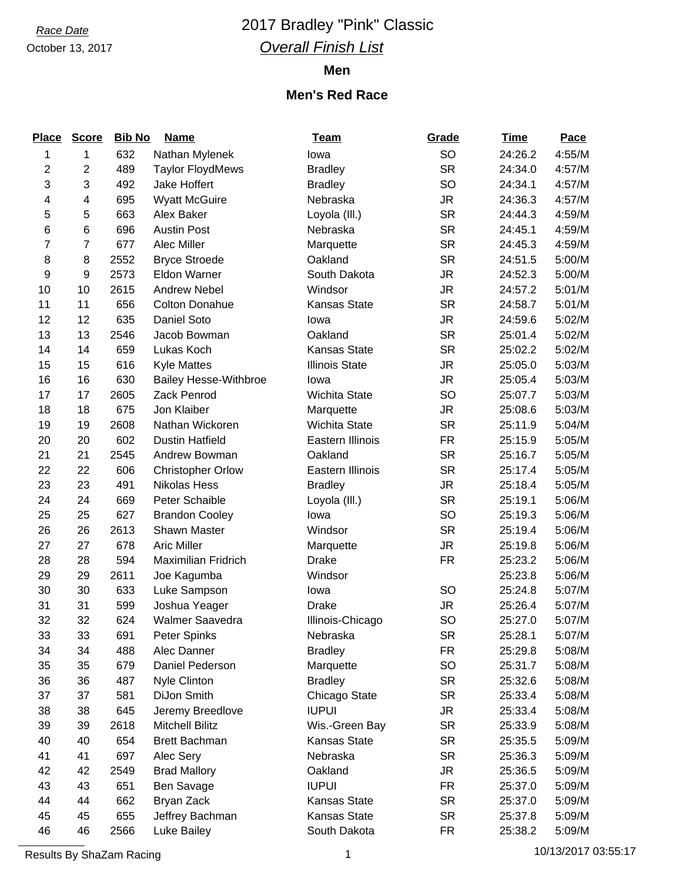### *Race Date* 2017 Bradley "Pink" Classic *Overall Finish List*

### **Men**

#### **Men's Red Race**

| <b>Place</b>   | <b>Score</b>     | <b>Bib No</b> | <b>Name</b>                  | <b>Team</b>           | Grade     | <b>Time</b> | Pace   |
|----------------|------------------|---------------|------------------------------|-----------------------|-----------|-------------|--------|
| 1              | 1                | 632           | Nathan Mylenek               | lowa                  | SO        | 24:26.2     | 4:55/M |
| 2              | $\boldsymbol{2}$ | 489           | <b>Taylor FloydMews</b>      | <b>Bradley</b>        | <b>SR</b> | 24:34.0     | 4:57/M |
| 3              | $\mathbf{3}$     | 492           | Jake Hoffert                 | <b>Bradley</b>        | SO        | 24:34.1     | 4:57/M |
| 4              | 4                | 695           | <b>Wyatt McGuire</b>         | Nebraska              | <b>JR</b> | 24:36.3     | 4:57/M |
| 5              | 5                | 663           | Alex Baker                   | Loyola (III.)         | <b>SR</b> | 24:44.3     | 4:59/M |
| $\,6$          | $\,6$            | 696           | <b>Austin Post</b>           | Nebraska              | <b>SR</b> | 24:45.1     | 4:59/M |
| $\overline{7}$ | $\overline{7}$   | 677           | Alec Miller                  | Marquette             | <b>SR</b> | 24:45.3     | 4:59/M |
| 8              | 8                | 2552          | <b>Bryce Stroede</b>         | Oakland               | <b>SR</b> | 24:51.5     | 5:00/M |
| 9              | $\boldsymbol{9}$ | 2573          | <b>Eldon Warner</b>          | South Dakota          | <b>JR</b> | 24:52.3     | 5:00/M |
| 10             | 10               | 2615          | <b>Andrew Nebel</b>          | Windsor               | <b>JR</b> | 24:57.2     | 5:01/M |
| 11             | 11               | 656           | <b>Colton Donahue</b>        | Kansas State          | <b>SR</b> | 24:58.7     | 5:01/M |
| 12             | 12               | 635           | Daniel Soto                  | lowa                  | <b>JR</b> | 24:59.6     | 5:02/M |
| 13             | 13               | 2546          | Jacob Bowman                 | Oakland               | <b>SR</b> | 25:01.4     | 5:02/M |
| 14             | 14               | 659           | Lukas Koch                   | <b>Kansas State</b>   | <b>SR</b> | 25:02.2     | 5:02/M |
| 15             | 15               | 616           | <b>Kyle Mattes</b>           | <b>Illinois State</b> | <b>JR</b> | 25:05.0     | 5:03/M |
| 16             | 16               | 630           | <b>Bailey Hesse-Withbroe</b> | lowa                  | <b>JR</b> | 25:05.4     | 5:03/M |
| 17             | 17               | 2605          | Zack Penrod                  | <b>Wichita State</b>  | SO        | 25:07.7     | 5:03/M |
| 18             | 18               | 675           | Jon Klaiber                  | Marquette             | <b>JR</b> | 25:08.6     | 5:03/M |
| 19             | 19               | 2608          | Nathan Wickoren              | <b>Wichita State</b>  | <b>SR</b> | 25:11.9     | 5:04/M |
| 20             | 20               | 602           | <b>Dustin Hatfield</b>       | Eastern Illinois      | <b>FR</b> | 25:15.9     | 5:05/M |
| 21             | 21               | 2545          | Andrew Bowman                | Oakland               | <b>SR</b> | 25:16.7     | 5:05/M |
| 22             | 22               | 606           | <b>Christopher Orlow</b>     | Eastern Illinois      | <b>SR</b> | 25:17.4     | 5:05/M |
| 23             | 23               | 491           | Nikolas Hess                 | <b>Bradley</b>        | <b>JR</b> | 25:18.4     | 5:05/M |
| 24             | 24               | 669           | Peter Schaible               | Loyola (III.)         | <b>SR</b> | 25:19.1     | 5:06/M |
| 25             | 25               | 627           | <b>Brandon Cooley</b>        | lowa                  | SO        | 25:19.3     | 5:06/M |
| 26             | 26               | 2613          | Shawn Master                 | Windsor               | <b>SR</b> | 25:19.4     | 5:06/M |
| 27             | 27               | 678           | <b>Aric Miller</b>           | Marquette             | <b>JR</b> | 25:19.8     | 5:06/M |
| 28             | 28               | 594           | <b>Maximilian Fridrich</b>   | <b>Drake</b>          | <b>FR</b> | 25:23.2     | 5:06/M |
| 29             | 29               | 2611          | Joe Kagumba                  | Windsor               |           | 25:23.8     | 5:06/M |
| 30             | 30               | 633           | Luke Sampson                 | lowa                  | <b>SO</b> | 25:24.8     | 5:07/M |
| 31             | 31               | 599           | Joshua Yeager                | <b>Drake</b>          | <b>JR</b> | 25:26.4     | 5:07/M |
| 32             | 32               | 624           | <b>Walmer Saavedra</b>       | Illinois-Chicago      | SO        | 25:27.0     | 5:07/M |
| 33             | 33               | 691           | Peter Spinks                 | Nebraska              | <b>SR</b> | 25:28.1     | 5:07/M |
| 34             | 34               | 488           | Alec Danner                  | <b>Bradley</b>        | <b>FR</b> | 25:29.8     | 5:08/M |
| 35             | 35               | 679           | Daniel Pederson              | Marquette             | SO        | 25:31.7     | 5:08/M |
| 36             | 36               | 487           | Nyle Clinton                 | <b>Bradley</b>        | <b>SR</b> | 25:32.6     | 5:08/M |
| 37             | 37               | 581           | DiJon Smith                  | Chicago State         | <b>SR</b> | 25:33.4     | 5:08/M |
| 38             | 38               | 645           | Jeremy Breedlove             | <b>IUPUI</b>          | JR        | 25:33.4     | 5:08/M |
| 39             | 39               | 2618          | Mitchell Bilitz              | Wis.-Green Bay        | <b>SR</b> | 25:33.9     | 5:08/M |
| 40             | 40               | 654           | <b>Brett Bachman</b>         | Kansas State          | <b>SR</b> | 25:35.5     | 5:09/M |
| 41             | 41               | 697           | Alec Sery                    | Nebraska              | <b>SR</b> | 25:36.3     | 5:09/M |
| 42             | 42               | 2549          | <b>Brad Mallory</b>          | Oakland               | <b>JR</b> | 25:36.5     | 5:09/M |
| 43             | 43               | 651           | Ben Savage                   | <b>IUPUI</b>          | <b>FR</b> | 25:37.0     | 5:09/M |
| 44             | 44               | 662           | Bryan Zack                   | Kansas State          | <b>SR</b> | 25:37.0     | 5:09/M |
| 45             | 45               | 655           | Jeffrey Bachman              | Kansas State          | <b>SR</b> | 25:37.8     | 5:09/M |
| 46             | 46               | 2566          | Luke Bailey                  | South Dakota          | <b>FR</b> | 25:38.2     | 5:09/M |

Results By ShaZam Racing 1 10/13/2017 03:55:17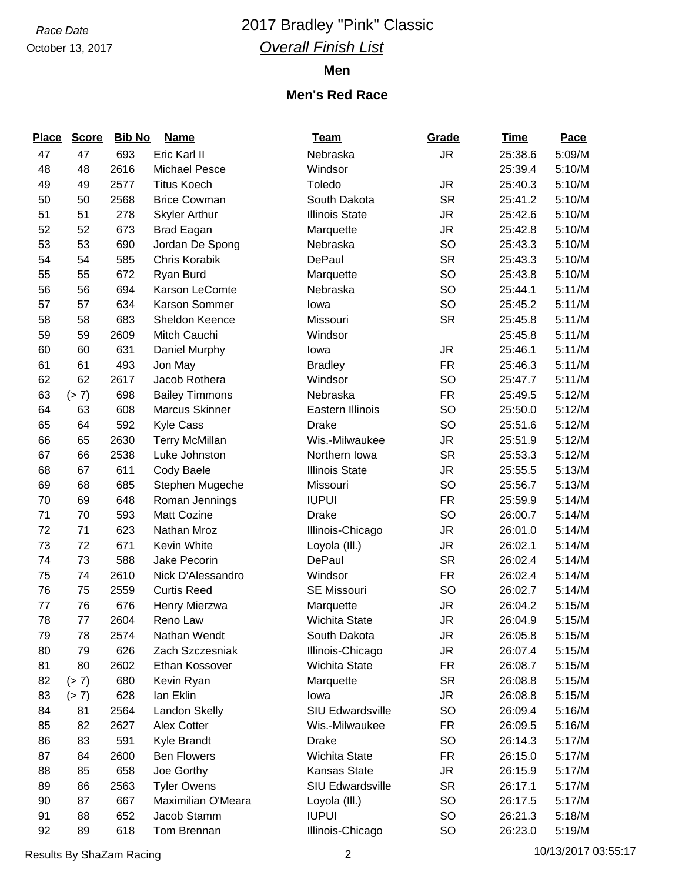### *Race Date* 2017 Bradley "Pink" Classic *Overall Finish List*

### **Men**

| <b>Place</b> | <b>Score</b> | <b>Bib No</b> | <b>Name</b>           | <b>Team</b>             | Grade     | <b>Time</b> | Pace   |
|--------------|--------------|---------------|-----------------------|-------------------------|-----------|-------------|--------|
| 47           | 47           | 693           | Eric Karl II          | Nebraska                | <b>JR</b> | 25:38.6     | 5:09/M |
| 48           | 48           | 2616          | Michael Pesce         | Windsor                 |           | 25:39.4     | 5:10/M |
| 49           | 49           | 2577          | <b>Titus Koech</b>    | Toledo                  | JR.       | 25:40.3     | 5:10/M |
| 50           | 50           | 2568          | <b>Brice Cowman</b>   | South Dakota            | <b>SR</b> | 25:41.2     | 5:10/M |
| 51           | 51           | 278           | <b>Skyler Arthur</b>  | <b>Illinois State</b>   | JR.       | 25:42.6     | 5:10/M |
| 52           | 52           | 673           | <b>Brad Eagan</b>     | Marquette               | <b>JR</b> | 25:42.8     | 5:10/M |
| 53           | 53           | 690           | Jordan De Spong       | Nebraska                | SO        | 25:43.3     | 5:10/M |
| 54           | 54           | 585           | Chris Korabik         | DePaul                  | <b>SR</b> | 25:43.3     | 5:10/M |
| 55           | 55           | 672           | Ryan Burd             | Marquette               | SO        | 25:43.8     | 5:10/M |
| 56           | 56           | 694           | Karson LeComte        | Nebraska                | SO        | 25:44.1     | 5:11/M |
| 57           | 57           | 634           | <b>Karson Sommer</b>  | lowa                    | SO        | 25:45.2     | 5:11/M |
| 58           | 58           | 683           | Sheldon Keence        | Missouri                | <b>SR</b> | 25:45.8     | 5:11/M |
| 59           | 59           | 2609          | Mitch Cauchi          | Windsor                 |           | 25:45.8     | 5:11/M |
| 60           | 60           | 631           | Daniel Murphy         | lowa                    | <b>JR</b> | 25:46.1     | 5:11/M |
| 61           | 61           | 493           | Jon May               | <b>Bradley</b>          | <b>FR</b> | 25:46.3     | 5:11/M |
| 62           | 62           | 2617          | Jacob Rothera         | Windsor                 | SO        | 25:47.7     | 5:11/M |
| 63           | (> 7)        | 698           | <b>Bailey Timmons</b> | Nebraska                | <b>FR</b> | 25:49.5     | 5:12/M |
| 64           | 63           | 608           | <b>Marcus Skinner</b> | Eastern Illinois        | SO        | 25:50.0     | 5:12/M |
| 65           | 64           | 592           | <b>Kyle Cass</b>      | <b>Drake</b>            | SO        | 25:51.6     | 5:12/M |
| 66           | 65           | 2630          | <b>Terry McMillan</b> | Wis.-Milwaukee          | <b>JR</b> | 25:51.9     | 5:12/M |
| 67           | 66           | 2538          | Luke Johnston         | Northern Iowa           | <b>SR</b> | 25:53.3     | 5:12/M |
| 68           | 67           | 611           | Cody Baele            | <b>Illinois State</b>   | <b>JR</b> | 25:55.5     | 5:13/M |
| 69           | 68           | 685           | Stephen Mugeche       | Missouri                | SO        | 25:56.7     | 5:13/M |
| 70           | 69           | 648           | Roman Jennings        | <b>IUPUI</b>            | <b>FR</b> | 25:59.9     | 5:14/M |
| 71           | 70           | 593           | Matt Cozine           | <b>Drake</b>            | SO        | 26:00.7     | 5:14/M |
| 72           | 71           | 623           | Nathan Mroz           | Illinois-Chicago        | <b>JR</b> | 26:01.0     | 5:14/M |
| 73           | 72           | 671           | Kevin White           | Loyola (III.)           | <b>JR</b> | 26:02.1     | 5:14/M |
| 74           | 73           | 588           | Jake Pecorin          | DePaul                  | <b>SR</b> | 26:02.4     | 5:14/M |
| 75           | 74           | 2610          | Nick D'Alessandro     | Windsor                 | <b>FR</b> | 26:02.4     | 5:14/M |
| 76           | 75           | 2559          | <b>Curtis Reed</b>    | <b>SE Missouri</b>      | SO        | 26:02.7     | 5:14/M |
| 77           | 76           | 676           | Henry Mierzwa         | Marquette               | JR.       | 26:04.2     | 5:15/M |
| 78           | 77           | 2604          | Reno Law              | <b>Wichita State</b>    | <b>JR</b> | 26:04.9     | 5:15/M |
| 79           | 78           | 2574          | Nathan Wendt          | South Dakota            | JR        | 26:05.8     | 5:15/M |
| 80           | 79           | 626           | Zach Szczesniak       | Illinois-Chicago        | <b>JR</b> | 26:07.4     | 5:15/M |
| 81           | 80           | 2602          | Ethan Kossover        | Wichita State           | <b>FR</b> | 26:08.7     | 5:15/M |
| 82           | (> 7)        | 680           | Kevin Ryan            | Marquette               | <b>SR</b> | 26:08.8     | 5:15/M |
| 83           | (> 7)        | 628           | Ian Eklin             | lowa                    | JR.       | 26:08.8     | 5:15/M |
| 84           | 81           | 2564          | <b>Landon Skelly</b>  | <b>SIU Edwardsville</b> | SO        | 26:09.4     | 5:16/M |
| 85           | 82           | 2627          | <b>Alex Cotter</b>    | Wis.-Milwaukee          | <b>FR</b> | 26:09.5     | 5:16/M |
| 86           | 83           | 591           | Kyle Brandt           | <b>Drake</b>            | SO        | 26:14.3     | 5:17/M |
| 87           | 84           | 2600          | <b>Ben Flowers</b>    | <b>Wichita State</b>    | <b>FR</b> | 26:15.0     | 5:17/M |
| 88           | 85           | 658           | Joe Gorthy            | Kansas State            | JR.       | 26:15.9     | 5:17/M |
| 89           | 86           | 2563          | <b>Tyler Owens</b>    | <b>SIU Edwardsville</b> | <b>SR</b> | 26:17.1     | 5:17/M |
| 90           | 87           | 667           | Maximilian O'Meara    | Loyola (III.)           | SO        | 26:17.5     | 5:17/M |
| 91           | 88           | 652           | Jacob Stamm           | <b>IUPUI</b>            | <b>SO</b> | 26:21.3     | 5:18/M |
| 92           | 89           | 618           | Tom Brennan           | Illinois-Chicago        | SO        | 26:23.0     | 5:19/M |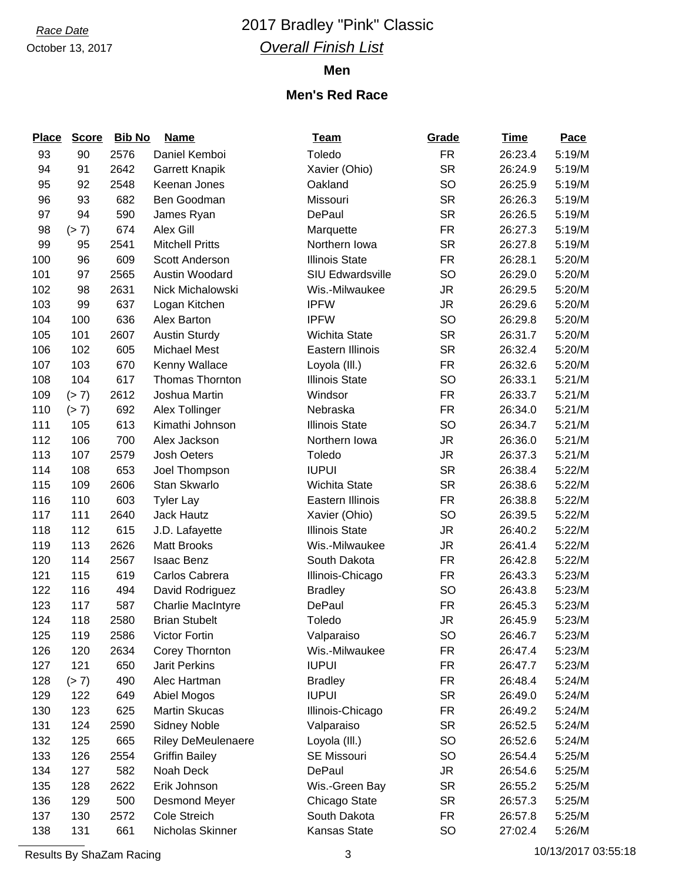### *Race Date* 2017 Bradley "Pink" Classic *Overall Finish List*

### **Men**

### **Men's Red Race**

| <b>Place</b> | <b>Score</b> | <b>Bib No</b> | <b>Name</b>               | <u>Team</u>             | Grade     | <b>Time</b> | Pace   |
|--------------|--------------|---------------|---------------------------|-------------------------|-----------|-------------|--------|
| 93           | 90           | 2576          | Daniel Kemboi             | Toledo                  | <b>FR</b> | 26:23.4     | 5:19/M |
| 94           | 91           | 2642          | Garrett Knapik            | Xavier (Ohio)           | <b>SR</b> | 26:24.9     | 5:19/M |
| 95           | 92           | 2548          | Keenan Jones              | Oakland                 | SO        | 26:25.9     | 5:19/M |
| 96           | 93           | 682           | Ben Goodman               | Missouri                | <b>SR</b> | 26:26.3     | 5:19/M |
| 97           | 94           | 590           | James Ryan                | DePaul                  | <b>SR</b> | 26:26.5     | 5:19/M |
| 98           | (> 7)        | 674           | <b>Alex Gill</b>          | Marquette               | <b>FR</b> | 26:27.3     | 5:19/M |
| 99           | 95           | 2541          | <b>Mitchell Pritts</b>    | Northern Iowa           | <b>SR</b> | 26:27.8     | 5:19/M |
| 100          | 96           | 609           | Scott Anderson            | <b>Illinois State</b>   | <b>FR</b> | 26:28.1     | 5:20/M |
| 101          | 97           | 2565          | Austin Woodard            | <b>SIU Edwardsville</b> | SO        | 26:29.0     | 5:20/M |
| 102          | 98           | 2631          | Nick Michalowski          | Wis.-Milwaukee          | <b>JR</b> | 26:29.5     | 5:20/M |
| 103          | 99           | 637           | Logan Kitchen             | <b>IPFW</b>             | <b>JR</b> | 26:29.6     | 5:20/M |
| 104          | 100          | 636           | Alex Barton               | <b>IPFW</b>             | SO        | 26:29.8     | 5:20/M |
| 105          | 101          | 2607          | <b>Austin Sturdy</b>      | <b>Wichita State</b>    | <b>SR</b> | 26:31.7     | 5:20/M |
| 106          | 102          | 605           | <b>Michael Mest</b>       | <b>Eastern Illinois</b> | <b>SR</b> | 26:32.4     | 5:20/M |
| 107          | 103          | 670           | Kenny Wallace             | Loyola (III.)           | <b>FR</b> | 26:32.6     | 5:20/M |
| 108          | 104          | 617           | <b>Thomas Thornton</b>    | <b>Illinois State</b>   | SO        | 26:33.1     | 5:21/M |
| 109          | (> 7)        | 2612          | Joshua Martin             | Windsor                 | <b>FR</b> | 26:33.7     | 5:21/M |
| 110          | (> 7)        | 692           | Alex Tollinger            | Nebraska                | <b>FR</b> | 26:34.0     | 5:21/M |
| 111          | 105          | 613           | Kimathi Johnson           | <b>Illinois State</b>   | SO        | 26:34.7     | 5:21/M |
| 112          | 106          | 700           | Alex Jackson              | Northern Iowa           | <b>JR</b> | 26:36.0     | 5:21/M |
| 113          | 107          | 2579          | Josh Oeters               | Toledo                  | <b>JR</b> | 26:37.3     | 5:21/M |
| 114          | 108          | 653           | Joel Thompson             | <b>IUPUI</b>            | <b>SR</b> | 26:38.4     | 5:22/M |
| 115          | 109          | 2606          | Stan Skwarlo              | Wichita State           | <b>SR</b> | 26:38.6     | 5:22/M |
| 116          | 110          | 603           | <b>Tyler Lay</b>          | Eastern Illinois        | <b>FR</b> | 26:38.8     | 5:22/M |
| 117          | 111          | 2640          | <b>Jack Hautz</b>         | Xavier (Ohio)           | SO        | 26:39.5     | 5:22/M |
| 118          | 112          | 615           | J.D. Lafayette            | <b>Illinois State</b>   | <b>JR</b> | 26:40.2     | 5:22/M |
| 119          | 113          | 2626          | <b>Matt Brooks</b>        | Wis.-Milwaukee          | <b>JR</b> | 26:41.4     | 5:22/M |
| 120          | 114          | 2567          | <b>Isaac Benz</b>         | South Dakota            | <b>FR</b> | 26:42.8     | 5:22/M |
| 121          | 115          | 619           | Carlos Cabrera            | Illinois-Chicago        | <b>FR</b> | 26:43.3     | 5:23/M |
| 122          | 116          | 494           | David Rodriguez           | <b>Bradley</b>          | SO        | 26:43.8     | 5:23/M |
| 123          | 117          | 587           | Charlie MacIntyre         | <b>DePaul</b>           | <b>FR</b> | 26:45.3     | 5:23/M |
| 124          | 118          | 2580          | <b>Brian Stubelt</b>      | Toledo                  | <b>JR</b> | 26:45.9     | 5:23/M |
| 125          | 119          | 2586          | Victor Fortin             | Valparaiso              | <b>SO</b> | 26:46.7     | 5:23/M |
| 126          | 120          | 2634          | Corey Thornton            | Wis.-Milwaukee          | <b>FR</b> | 26:47.4     | 5:23/M |
| 127          | 121          | 650           | Jarit Perkins             | <b>IUPUI</b>            | <b>FR</b> | 26:47.7     | 5:23/M |
| 128          | (> 7)        | 490           | Alec Hartman              | <b>Bradley</b>          | <b>FR</b> | 26:48.4     | 5:24/M |
| 129          | 122          | 649           | Abiel Mogos               | <b>IUPUI</b>            | <b>SR</b> | 26:49.0     | 5:24/M |
| 130          | 123          | 625           | Martin Skucas             | Illinois-Chicago        | <b>FR</b> | 26:49.2     | 5:24/M |
| 131          | 124          | 2590          | <b>Sidney Noble</b>       | Valparaiso              | <b>SR</b> | 26:52.5     | 5:24/M |
| 132          | 125          | 665           | <b>Riley DeMeulenaere</b> | Loyola (III.)           | <b>SO</b> | 26:52.6     | 5:24/M |
| 133          | 126          | 2554          | <b>Griffin Bailey</b>     | <b>SE Missouri</b>      | <b>SO</b> | 26:54.4     | 5:25/M |
| 134          | 127          | 582           | Noah Deck                 | DePaul                  | JR.       | 26:54.6     | 5:25/M |
| 135          | 128          | 2622          | Erik Johnson              | Wis.-Green Bay          | <b>SR</b> | 26:55.2     | 5:25/M |
| 136          | 129          | 500           | Desmond Meyer             | Chicago State           | <b>SR</b> | 26:57.3     | 5:25/M |
| 137          | 130          | 2572          | Cole Streich              | South Dakota            | <b>FR</b> | 26:57.8     | 5:25/M |
| 138          | 131          | 661           | Nicholas Skinner          | Kansas State            | SO        | 27:02.4     | 5:26/M |

Results By ShaZam Racing 2001 2003 3 2004 3 10/13/2017 03:55:18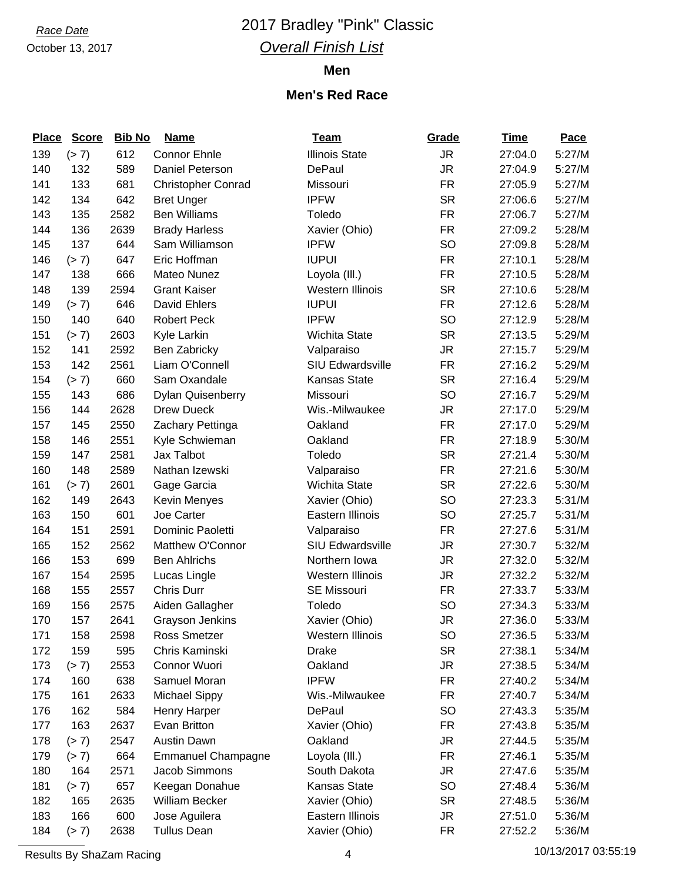### *Race Date* 2017 Bradley "Pink" Classic *Overall Finish List*

### **Men**

#### **Men's Red Race**

| <b>Place</b> | <b>Score</b> | <b>Bib No</b> | <b>Name</b>               | <u>Team</u>             | <b>Grade</b> | <b>Time</b> | Pace   |
|--------------|--------------|---------------|---------------------------|-------------------------|--------------|-------------|--------|
| 139          | (> 7)        | 612           | <b>Connor Ehnle</b>       | <b>Illinois State</b>   | <b>JR</b>    | 27:04.0     | 5:27/M |
| 140          | 132          | 589           | Daniel Peterson           | DePaul                  | <b>JR</b>    | 27:04.9     | 5:27/M |
| 141          | 133          | 681           | <b>Christopher Conrad</b> | Missouri                | <b>FR</b>    | 27:05.9     | 5:27/M |
| 142          | 134          | 642           | <b>Bret Unger</b>         | <b>IPFW</b>             | <b>SR</b>    | 27:06.6     | 5:27/M |
| 143          | 135          | 2582          | <b>Ben Williams</b>       | Toledo                  | <b>FR</b>    | 27:06.7     | 5:27/M |
| 144          | 136          | 2639          | <b>Brady Harless</b>      | Xavier (Ohio)           | <b>FR</b>    | 27:09.2     | 5:28/M |
| 145          | 137          | 644           | Sam Williamson            | <b>IPFW</b>             | SO           | 27:09.8     | 5:28/M |
| 146          | (> 7)        | 647           | Eric Hoffman              | <b>IUPUI</b>            | <b>FR</b>    | 27:10.1     | 5:28/M |
| 147          | 138          | 666           | Mateo Nunez               | Loyola (III.)           | <b>FR</b>    | 27:10.5     | 5:28/M |
| 148          | 139          | 2594          | <b>Grant Kaiser</b>       | <b>Western Illinois</b> | <b>SR</b>    | 27:10.6     | 5:28/M |
| 149          | (> 7)        | 646           | David Ehlers              | <b>IUPUI</b>            | <b>FR</b>    | 27:12.6     | 5:28/M |
| 150          | 140          | 640           | <b>Robert Peck</b>        | <b>IPFW</b>             | SO           | 27:12.9     | 5:28/M |
| 151          | (> 7)        | 2603          | Kyle Larkin               | <b>Wichita State</b>    | <b>SR</b>    | 27:13.5     | 5:29/M |
| 152          | 141          | 2592          | Ben Zabricky              | Valparaiso              | <b>JR</b>    | 27:15.7     | 5:29/M |
| 153          | 142          | 2561          | Liam O'Connell            | <b>SIU Edwardsville</b> | <b>FR</b>    | 27:16.2     | 5:29/M |
| 154          | (> 7)        | 660           | Sam Oxandale              | Kansas State            | <b>SR</b>    | 27:16.4     | 5:29/M |
| 155          | 143          | 686           | <b>Dylan Quisenberry</b>  | Missouri                | SO           | 27:16.7     | 5:29/M |
| 156          | 144          | 2628          | <b>Drew Dueck</b>         | Wis.-Milwaukee          | <b>JR</b>    | 27:17.0     | 5:29/M |
| 157          | 145          | 2550          | Zachary Pettinga          | Oakland                 | <b>FR</b>    | 27:17.0     | 5:29/M |
| 158          | 146          | 2551          | Kyle Schwieman            | Oakland                 | <b>FR</b>    | 27:18.9     | 5:30/M |
| 159          | 147          | 2581          | Jax Talbot                | Toledo                  | <b>SR</b>    | 27:21.4     | 5:30/M |
| 160          | 148          | 2589          | Nathan Izewski            | Valparaiso              | <b>FR</b>    | 27:21.6     | 5:30/M |
| 161          | (> 7)        | 2601          | Gage Garcia               | <b>Wichita State</b>    | <b>SR</b>    | 27:22.6     | 5:30/M |
| 162          | 149          | 2643          | Kevin Menyes              | Xavier (Ohio)           | SO           | 27:23.3     | 5:31/M |
| 163          | 150          | 601           | Joe Carter                | Eastern Illinois        | <b>SO</b>    | 27:25.7     | 5:31/M |
| 164          | 151          | 2591          | Dominic Paoletti          | Valparaiso              | <b>FR</b>    | 27:27.6     | 5:31/M |
| 165          | 152          | 2562          | Matthew O'Connor          | <b>SIU Edwardsville</b> | <b>JR</b>    | 27:30.7     | 5:32/M |
| 166          | 153          | 699           | <b>Ben Ahlrichs</b>       | Northern Iowa           | <b>JR</b>    | 27:32.0     | 5:32/M |
| 167          | 154          | 2595          | Lucas Lingle              | <b>Western Illinois</b> | <b>JR</b>    | 27:32.2     | 5:32/M |
| 168          | 155          | 2557          | <b>Chris Durr</b>         | <b>SE Missouri</b>      | <b>FR</b>    | 27:33.7     | 5:33/M |
| 169          | 156          | 2575          | Aiden Gallagher           | Toledo                  | <b>SO</b>    | 27:34.3     | 5:33/M |
| 170          | 157          | 2641          | Grayson Jenkins           | Xavier (Ohio)           | <b>JR</b>    | 27:36.0     | 5:33/M |
| 171          | 158          | 2598          | Ross Smetzer              | Western Illinois        | <b>SO</b>    | 27:36.5     | 5:33/M |
| 172          | 159          | 595           | Chris Kaminski            | <b>Drake</b>            | <b>SR</b>    | 27:38.1     | 5:34/M |
| 173          | (> 7)        | 2553          | Connor Wuori              | Oakland                 | <b>JR</b>    | 27:38.5     | 5:34/M |
| 174          | 160          | 638           | Samuel Moran              | <b>IPFW</b>             | <b>FR</b>    | 27:40.2     | 5:34/M |
| 175          | 161          | 2633          | <b>Michael Sippy</b>      | Wis.-Milwaukee          | <b>FR</b>    | 27:40.7     | 5:34/M |
| 176          | 162          | 584           | Henry Harper              | DePaul                  | <b>SO</b>    | 27:43.3     | 5:35/M |
| 177          | 163          | 2637          | Evan Britton              | Xavier (Ohio)           | <b>FR</b>    | 27:43.8     | 5:35/M |
| 178          | (> 7)        | 2547          | <b>Austin Dawn</b>        | Oakland                 | <b>JR</b>    | 27:44.5     | 5:35/M |
| 179          | (> 7)        | 664           | <b>Emmanuel Champagne</b> | Loyola (III.)           | <b>FR</b>    | 27:46.1     | 5:35/M |
| 180          | 164          | 2571          | Jacob Simmons             | South Dakota            | <b>JR</b>    | 27:47.6     | 5:35/M |
| 181          | (> 7)        | 657           | Keegan Donahue            | Kansas State            | <b>SO</b>    | 27:48.4     | 5:36/M |
| 182          | 165          | 2635          | William Becker            | Xavier (Ohio)           | <b>SR</b>    | 27:48.5     | 5:36/M |
| 183          | 166          | 600           | Jose Aguilera             | Eastern Illinois        | <b>JR</b>    | 27:51.0     | 5:36/M |
| 184          | (> 7)        | 2638          | <b>Tullus Dean</b>        | Xavier (Ohio)           | <b>FR</b>    | 27:52.2     | 5:36/M |

Results By ShaZam Racing 2001 10/13/2017 03:55:19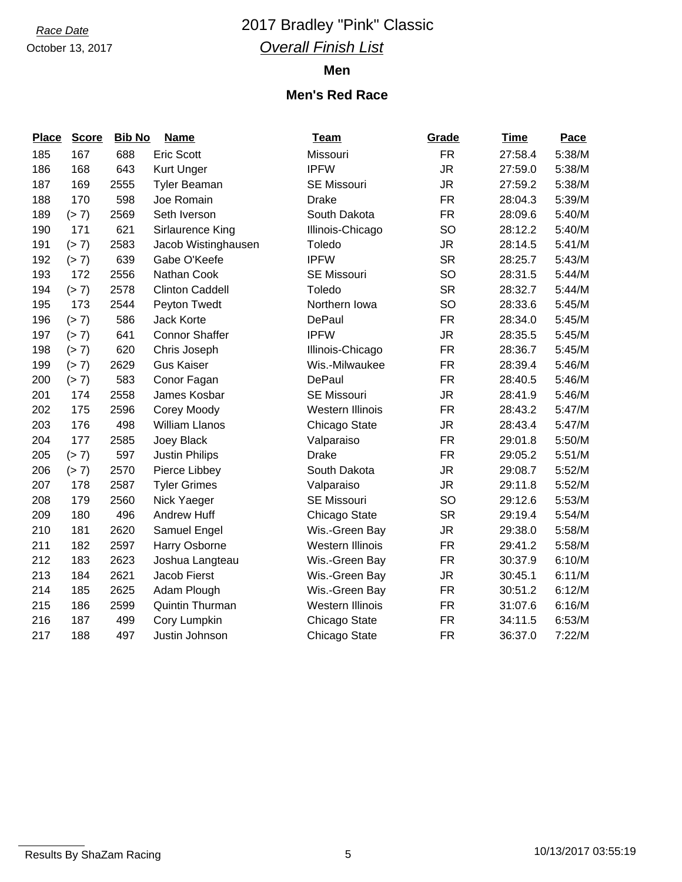### *Race Date* 2017 Bradley "Pink" Classic *Overall Finish List*

### **Men**

| <b>Place</b> | <b>Score</b> | <b>Bib No</b> | <b>Name</b>            | <b>Team</b>             | Grade     | <b>Time</b> | Pace   |
|--------------|--------------|---------------|------------------------|-------------------------|-----------|-------------|--------|
| 185          | 167          | 688           | <b>Eric Scott</b>      | Missouri                | <b>FR</b> | 27:58.4     | 5:38/M |
| 186          | 168          | 643           | <b>Kurt Unger</b>      | <b>IPFW</b>             | <b>JR</b> | 27:59.0     | 5:38/M |
| 187          | 169          | 2555          | Tyler Beaman           | <b>SE Missouri</b>      | <b>JR</b> | 27:59.2     | 5:38/M |
| 188          | 170          | 598           | Joe Romain             | <b>Drake</b>            | <b>FR</b> | 28:04.3     | 5:39/M |
| 189          | (> 7)        | 2569          | Seth Iverson           | South Dakota            | <b>FR</b> | 28:09.6     | 5:40/M |
| 190          | 171          | 621           | Sirlaurence King       | Illinois-Chicago        | SO        | 28:12.2     | 5:40/M |
| 191          | (> 7)        | 2583          | Jacob Wistinghausen    | Toledo                  | <b>JR</b> | 28:14.5     | 5:41/M |
| 192          | (> 7)        | 639           | Gabe O'Keefe           | <b>IPFW</b>             | <b>SR</b> | 28:25.7     | 5:43/M |
| 193          | 172          | 2556          | Nathan Cook            | <b>SE Missouri</b>      | SO        | 28:31.5     | 5:44/M |
| 194          | (> 7)        | 2578          | <b>Clinton Caddell</b> | Toledo                  | <b>SR</b> | 28:32.7     | 5:44/M |
| 195          | 173          | 2544          | Peyton Twedt           | Northern Iowa           | SO        | 28:33.6     | 5:45/M |
| 196          | (> 7)        | 586           | Jack Korte             | DePaul                  | <b>FR</b> | 28:34.0     | 5:45/M |
| 197          | (> 7)        | 641           | <b>Connor Shaffer</b>  | <b>IPFW</b>             | <b>JR</b> | 28:35.5     | 5:45/M |
| 198          | (> 7)        | 620           | Chris Joseph           | Illinois-Chicago        | <b>FR</b> | 28:36.7     | 5:45/M |
| 199          | (> 7)        | 2629          | <b>Gus Kaiser</b>      | Wis.-Milwaukee          | <b>FR</b> | 28:39.4     | 5:46/M |
| 200          | (> 7)        | 583           | Conor Fagan            | <b>DePaul</b>           | <b>FR</b> | 28:40.5     | 5:46/M |
| 201          | 174          | 2558          | James Kosbar           | <b>SE Missouri</b>      | <b>JR</b> | 28:41.9     | 5:46/M |
| 202          | 175          | 2596          | Corey Moody            | <b>Western Illinois</b> | <b>FR</b> | 28:43.2     | 5:47/M |
| 203          | 176          | 498           | <b>William Llanos</b>  | Chicago State           | <b>JR</b> | 28:43.4     | 5:47/M |
| 204          | 177          | 2585          | Joey Black             | Valparaiso              | <b>FR</b> | 29:01.8     | 5:50/M |
| 205          | (> 7)        | 597           | <b>Justin Philips</b>  | <b>Drake</b>            | <b>FR</b> | 29:05.2     | 5:51/M |
| 206          | (> 7)        | 2570          | Pierce Libbey          | South Dakota            | <b>JR</b> | 29:08.7     | 5:52/M |
| 207          | 178          | 2587          | <b>Tyler Grimes</b>    | Valparaiso              | <b>JR</b> | 29:11.8     | 5:52/M |
| 208          | 179          | 2560          | Nick Yaeger            | <b>SE Missouri</b>      | SO        | 29:12.6     | 5:53/M |
| 209          | 180          | 496           | <b>Andrew Huff</b>     | Chicago State           | <b>SR</b> | 29:19.4     | 5:54/M |
| 210          | 181          | 2620          | Samuel Engel           | Wis.-Green Bay          | <b>JR</b> | 29:38.0     | 5:58/M |
| 211          | 182          | 2597          | Harry Osborne          | <b>Western Illinois</b> | <b>FR</b> | 29:41.2     | 5:58/M |
| 212          | 183          | 2623          | Joshua Langteau        | Wis.-Green Bay          | <b>FR</b> | 30:37.9     | 6:10/M |
| 213          | 184          | 2621          | Jacob Fierst           | Wis.-Green Bay          | <b>JR</b> | 30:45.1     | 6:11/M |
| 214          | 185          | 2625          | Adam Plough            | Wis.-Green Bay          | <b>FR</b> | 30:51.2     | 6:12/M |
| 215          | 186          | 2599          | Quintin Thurman        | <b>Western Illinois</b> | <b>FR</b> | 31:07.6     | 6:16/M |
| 216          | 187          | 499           | Cory Lumpkin           | Chicago State           | <b>FR</b> | 34:11.5     | 6:53/M |
| 217          | 188          | 497           | Justin Johnson         | Chicago State           | <b>FR</b> | 36:37.0     | 7:22/M |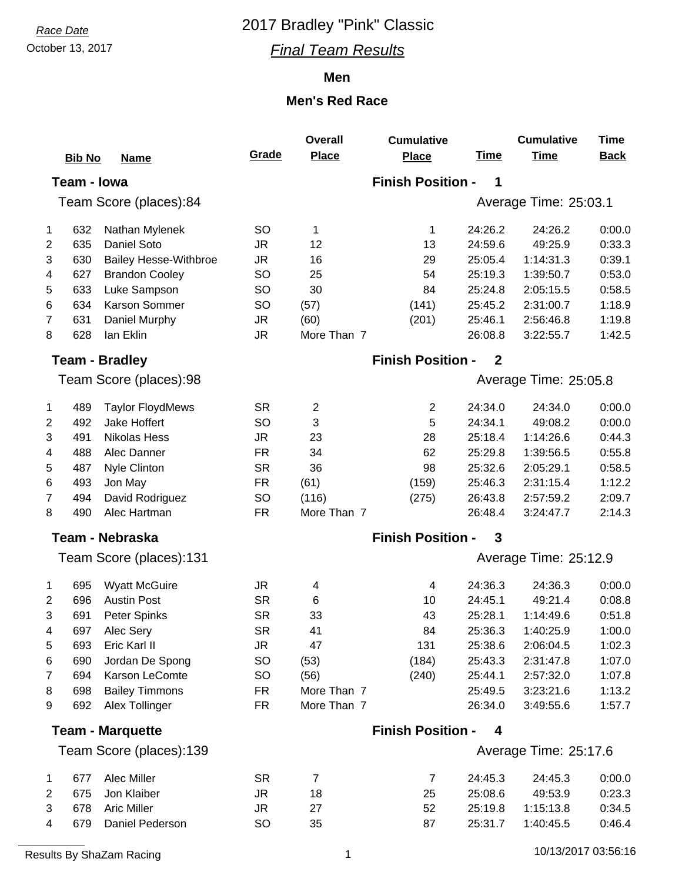### October 13, 2017 *Final Team Results*

#### **Men**

### **Men's Red Race**

|                | <b>Bib No</b> | <b>Name</b>                  | Grade     | <b>Overall</b><br><b>Place</b> | <b>Cumulative</b><br><b>Place</b> | <b>Time</b>      | <b>Cumulative</b><br><b>Time</b> | <b>Time</b><br><b>Back</b> |
|----------------|---------------|------------------------------|-----------|--------------------------------|-----------------------------------|------------------|----------------------------------|----------------------------|
|                | Team - Iowa   |                              |           |                                | <b>Finish Position -</b>          | 1                |                                  |                            |
|                |               | Team Score (places):84       |           |                                |                                   |                  | Average Time: 25:03.1            |                            |
| 1              | 632           | Nathan Mylenek               | <b>SO</b> | 1                              | 1                                 | 24:26.2          | 24:26.2                          | 0:00.0                     |
| 2              | 635           | Daniel Soto                  | <b>JR</b> | 12                             | 13                                | 24:59.6          | 49:25.9                          | 0:33.3                     |
| 3              | 630           | <b>Bailey Hesse-Withbroe</b> | <b>JR</b> | 16                             | 29                                | 25:05.4          | 1:14:31.3                        | 0:39.1                     |
| 4              | 627           | <b>Brandon Cooley</b>        | <b>SO</b> | 25                             | 54                                | 25:19.3          | 1:39:50.7                        | 0:53.0                     |
| 5              | 633           | Luke Sampson                 | <b>SO</b> | 30                             | 84                                | 25:24.8          | 2:05:15.5                        | 0:58.5                     |
| 6              | 634           | <b>Karson Sommer</b>         | <b>SO</b> | (57)                           | (141)                             | 25:45.2          | 2:31:00.7                        | 1:18.9                     |
| $\overline{7}$ | 631           | Daniel Murphy                | <b>JR</b> | (60)                           | (201)                             | 25:46.1          | 2:56:46.8                        | 1:19.8                     |
| 8              | 628           | Ian Eklin                    | <b>JR</b> | More Than 7                    |                                   | 26:08.8          | 3:22:55.7                        | 1:42.5                     |
|                |               | <b>Team - Bradley</b>        |           |                                | <b>Finish Position -</b>          | $\boldsymbol{2}$ |                                  |                            |
|                |               | Team Score (places):98       |           |                                |                                   |                  | Average Time: 25:05.8            |                            |
| 1              | 489           | <b>Taylor FloydMews</b>      | <b>SR</b> | $\overline{\mathbf{c}}$        | 2                                 | 24:34.0          | 24:34.0                          | 0:00.0                     |
| 2              | 492           | Jake Hoffert                 | <b>SO</b> | 3                              | 5                                 | 24:34.1          | 49:08.2                          | 0:00.0                     |
| 3              | 491           | <b>Nikolas Hess</b>          | <b>JR</b> | 23                             | 28                                | 25:18.4          | 1:14:26.6                        | 0:44.3                     |
| 4              | 488           | Alec Danner                  | <b>FR</b> | 34                             | 62                                | 25:29.8          | 1:39:56.5                        | 0:55.8                     |
| 5              | 487           | Nyle Clinton                 | <b>SR</b> | 36                             | 98                                | 25:32.6          | 2:05:29.1                        | 0:58.5                     |
| 6              | 493           | Jon May                      | <b>FR</b> | (61)                           | (159)                             | 25:46.3          | 2:31:15.4                        | 1:12.2                     |
| $\overline{7}$ | 494           | David Rodriguez              | <b>SO</b> | (116)                          | (275)                             | 26:43.8          | 2:57:59.2                        | 2:09.7                     |
| 8              | 490           | Alec Hartman                 | <b>FR</b> | More Than 7                    |                                   | 26:48.4          | 3:24:47.7                        | 2:14.3                     |
|                |               | <b>Team - Nebraska</b>       |           |                                | <b>Finish Position -</b>          | 3                |                                  |                            |
|                |               | Team Score (places):131      |           |                                |                                   |                  | Average Time: 25:12.9            |                            |
| 1              | 695           | <b>Wyatt McGuire</b>         | JR.       | 4                              | 4                                 | 24:36.3          | 24:36.3                          | 0:00.0                     |
| $\overline{2}$ | 696           | <b>Austin Post</b>           | <b>SR</b> | 6                              | 10                                | 24:45.1          | 49:21.4                          | 0:08.8                     |
| 3              | 691           | Peter Spinks                 | <b>SR</b> | 33                             | 43                                | 25:28.1          | 1:14:49.6                        | 0:51.8                     |
| 4              | 697           | Alec Sery                    | <b>SR</b> | 41                             | 84                                | 25:36.3          | 1:40:25.9                        | 1:00.0                     |
| 5              | 693           | Eric Karl II                 | JR        | 47                             | 131                               | 25:38.6          | 2:06:04.5                        | 1:02.3                     |
| 6              | 690           | Jordan De Spong              | <b>SO</b> | (53)                           | (184)                             | 25:43.3          | 2:31:47.8                        | 1:07.0                     |
| 7              | 694           | Karson LeComte               | <b>SO</b> | (56)                           | (240)                             | 25:44.1          | 2:57:32.0                        | 1:07.8                     |
| 8              | 698           | <b>Bailey Timmons</b>        | <b>FR</b> | More Than 7                    |                                   | 25:49.5          | 3:23:21.6                        | 1:13.2                     |
| 9              | 692           | Alex Tollinger               | <b>FR</b> | More Than 7                    |                                   | 26:34.0          | 3:49:55.6                        | 1:57.7                     |
|                |               | <b>Team - Marquette</b>      |           |                                | <b>Finish Position -</b>          | 4                |                                  |                            |
|                |               | Team Score (places):139      |           |                                |                                   |                  | Average Time: 25:17.6            |                            |
| 1              | 677           | Alec Miller                  | <b>SR</b> | 7                              | 7                                 | 24:45.3          | 24:45.3                          | 0:00.0                     |
| $\overline{2}$ | 675           | Jon Klaiber                  | JR        | 18                             | 25                                | 25:08.6          | 49:53.9                          | 0:23.3                     |

3 678 Aric Miller JR 27 52 25:19.8 1:15:13.8 0:34.5 4 679 Daniel Pederson SO 35 87 25:31.7 1:40:45.5 0:46.4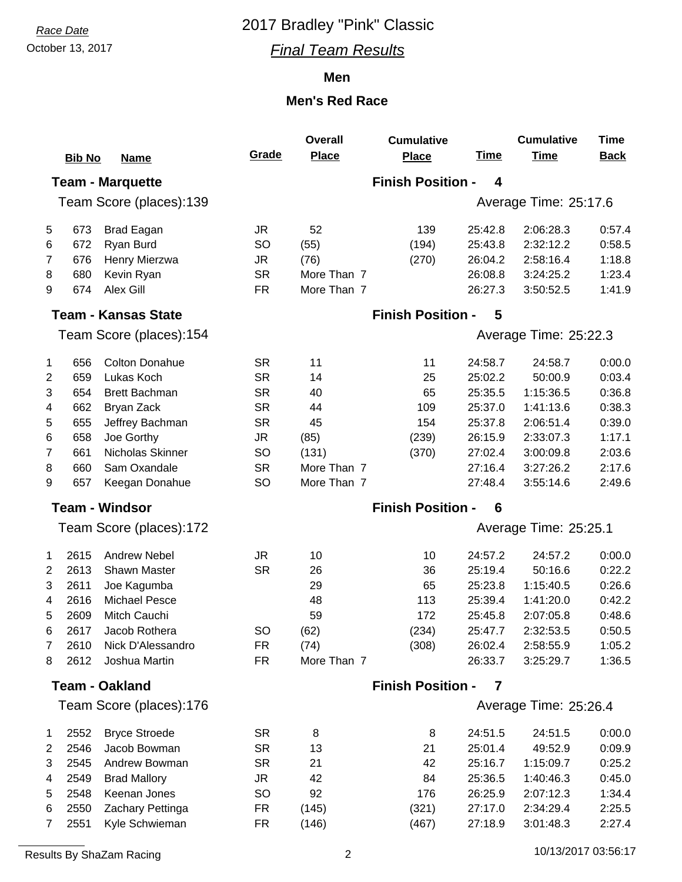### October 13, 2017 *Final Team Results*

### **Men**

|                | <b>Bib No</b> | <b>Name</b>                | Grade     | <b>Overall</b><br><b>Place</b> | <b>Cumulative</b><br><b>Place</b> | <b>Time</b> | <b>Cumulative</b><br><b>Time</b> | <b>Time</b><br><b>Back</b> |
|----------------|---------------|----------------------------|-----------|--------------------------------|-----------------------------------|-------------|----------------------------------|----------------------------|
|                |               | <b>Team - Marquette</b>    |           |                                | <b>Finish Position -</b>          | 4           |                                  |                            |
|                |               | Team Score (places):139    |           |                                |                                   |             | Average Time: 25:17.6            |                            |
| 5              | 673           | <b>Brad Eagan</b>          | <b>JR</b> | 52                             | 139                               | 25:42.8     | 2:06:28.3                        | 0:57.4                     |
| 6              | 672           | Ryan Burd                  | <b>SO</b> | (55)                           | (194)                             | 25:43.8     | 2:32:12.2                        | 0:58.5                     |
| 7              | 676           | Henry Mierzwa              | <b>JR</b> | (76)                           | (270)                             | 26:04.2     | 2:58:16.4                        | 1:18.8                     |
| 8              | 680           | Kevin Ryan                 | <b>SR</b> | More Than 7                    |                                   | 26:08.8     | 3:24:25.2                        | 1:23.4                     |
| 9              | 674           | Alex Gill                  | <b>FR</b> | More Than 7                    |                                   | 26:27.3     | 3:50:52.5                        | 1:41.9                     |
|                |               | <b>Team - Kansas State</b> |           |                                | <b>Finish Position -</b>          | 5           |                                  |                            |
|                |               | Team Score (places):154    |           |                                |                                   |             | Average Time: 25:22.3            |                            |
| $\mathbf{1}$   | 656           | <b>Colton Donahue</b>      | <b>SR</b> | 11                             | 11                                | 24:58.7     | 24:58.7                          | 0:00.0                     |
| $\overline{2}$ | 659           | Lukas Koch                 | <b>SR</b> | 14                             | 25                                | 25:02.2     | 50:00.9                          | 0:03.4                     |
| 3              | 654           | <b>Brett Bachman</b>       | <b>SR</b> | 40                             | 65                                | 25:35.5     | 1:15:36.5                        | 0:36.8                     |
| 4              | 662           | Bryan Zack                 | <b>SR</b> | 44                             | 109                               | 25:37.0     | 1:41:13.6                        | 0:38.3                     |
| 5              | 655           | Jeffrey Bachman            | <b>SR</b> | 45                             | 154                               | 25:37.8     | 2:06:51.4                        | 0:39.0                     |
| 6              | 658           | Joe Gorthy                 | <b>JR</b> | (85)                           | (239)                             | 26:15.9     | 2:33:07.3                        | 1:17.1                     |
| 7              | 661           | Nicholas Skinner           | <b>SO</b> | (131)                          | (370)                             | 27:02.4     | 3:00:09.8                        | 2:03.6                     |
| 8              | 660           | Sam Oxandale               | <b>SR</b> | More Than 7                    |                                   | 27:16.4     | 3:27:26.2                        | 2:17.6                     |
| 9              | 657           | Keegan Donahue             | <b>SO</b> | More Than 7                    |                                   | 27:48.4     | 3:55:14.6                        | 2:49.6                     |
|                |               | <b>Team - Windsor</b>      |           |                                | <b>Finish Position -</b>          | 6           |                                  |                            |
|                |               | Team Score (places):172    |           |                                |                                   |             | Average Time: 25:25.1            |                            |
| 1              | 2615          | <b>Andrew Nebel</b>        | <b>JR</b> | 10                             | 10                                | 24:57.2     | 24:57.2                          | 0:00.0                     |
| $\overline{2}$ | 2613          | Shawn Master               | <b>SR</b> | 26                             | 36                                | 25:19.4     | 50:16.6                          | 0:22.2                     |
| 3              | 2611          | Joe Kagumba                |           | 29                             | 65                                | 25:23.8     | 1:15:40.5                        | 0:26.6                     |
| 4              | 2616          | <b>Michael Pesce</b>       |           | 48                             | 113                               | 25:39.4     | 1:41:20.0                        | 0:42.2                     |
| 5              | 2609          | Mitch Cauchi               |           | 59                             | 172                               | 25:45.8     | 2:07:05.8                        | 0:48.6                     |
| 6              | 2617          | Jacob Rothera              | SO        | (62)                           | (234)                             | 25:47.7     | 2:32:53.5                        | 0:50.5                     |
| 7              | 2610          | Nick D'Alessandro          | <b>FR</b> | (74)                           | (308)                             | 26:02.4     | 2:58:55.9                        | 1:05.2                     |
| 8              | 2612          | Joshua Martin              | <b>FR</b> | More Than 7                    |                                   | 26:33.7     | 3:25:29.7                        | 1:36.5                     |
|                |               | <b>Team - Oakland</b>      |           |                                | <b>Finish Position -</b>          | 7           |                                  |                            |
|                |               | Team Score (places):176    |           |                                |                                   |             | Average Time: 25:26.4            |                            |
| $\mathbf 1$    | 2552          | <b>Bryce Stroede</b>       | <b>SR</b> | 8                              | 8                                 | 24:51.5     | 24:51.5                          | 0:00.0                     |
| $\overline{2}$ | 2546          | Jacob Bowman               | <b>SR</b> | 13                             | 21                                | 25:01.4     | 49:52.9                          | 0:09.9                     |
| 3              | 2545          | Andrew Bowman              | <b>SR</b> | 21                             | 42                                | 25:16.7     | 1:15:09.7                        | 0:25.2                     |
| 4              | 2549          | <b>Brad Mallory</b>        | JR        | 42                             | 84                                | 25:36.5     | 1:40:46.3                        | 0:45.0                     |
| 5              | 2548          | Keenan Jones               | <b>SO</b> | 92                             | 176                               | 26:25.9     | 2:07:12.3                        | 1:34.4                     |
| 6              | 2550          | Zachary Pettinga           | <b>FR</b> | (145)                          | (321)                             | 27:17.0     | 2:34:29.4                        | 2:25.5                     |
| 7              | 2551          | Kyle Schwieman             | <b>FR</b> | (146)                          | (467)                             | 27:18.9     | 3:01:48.3                        | 2:27.4                     |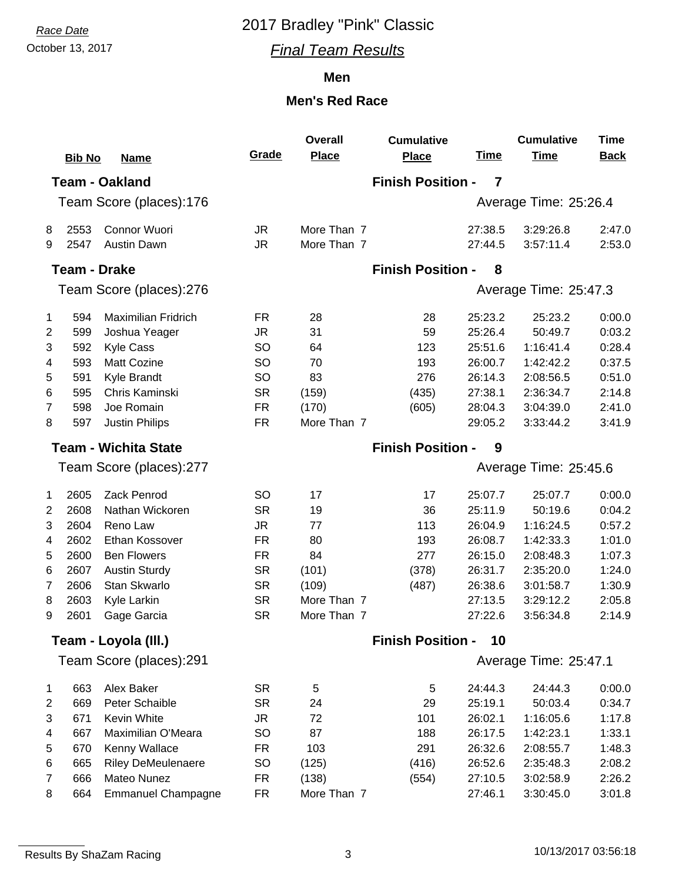### October 13, 2017 *Final Team Results*

### **Men**

### **Men's Red Race**

|                | <b>Bib No</b>       | <b>Name</b>                 | Grade     | <b>Overall</b><br><b>Place</b> | <b>Cumulative</b><br><b>Place</b> | <u>Time</u> | <b>Cumulative</b><br><b>Time</b> | <b>Time</b><br><b>Back</b> |
|----------------|---------------------|-----------------------------|-----------|--------------------------------|-----------------------------------|-------------|----------------------------------|----------------------------|
|                |                     | <b>Team - Oakland</b>       |           |                                | <b>Finish Position -</b>          | 7           |                                  |                            |
|                |                     | Team Score (places):176     |           |                                |                                   |             | Average Time: 25:26.4            |                            |
| 8              | 2553                | Connor Wuori                | <b>JR</b> | More Than 7                    |                                   | 27:38.5     | 3:29:26.8                        | 2:47.0                     |
| 9              | 2547                | <b>Austin Dawn</b>          | <b>JR</b> | More Than 7                    |                                   | 27:44.5     | 3:57:11.4                        | 2:53.0                     |
|                | <b>Team - Drake</b> |                             |           |                                | <b>Finish Position -</b>          | 8           |                                  |                            |
|                |                     | Team Score (places):276     |           |                                |                                   |             | Average Time: 25:47.3            |                            |
| 1              | 594                 | <b>Maximilian Fridrich</b>  | <b>FR</b> | 28                             | 28                                | 25:23.2     | 25:23.2                          | 0:00.0                     |
| 2              | 599                 | Joshua Yeager               | <b>JR</b> | 31                             | 59                                | 25:26.4     | 50:49.7                          | 0:03.2                     |
| 3              | 592                 | <b>Kyle Cass</b>            | <b>SO</b> | 64                             | 123                               | 25:51.6     | 1:16:41.4                        | 0:28.4                     |
| 4              | 593                 | <b>Matt Cozine</b>          | <b>SO</b> | 70                             | 193                               | 26:00.7     | 1:42:42.2                        | 0:37.5                     |
| 5              | 591                 | Kyle Brandt                 | SO        | 83                             | 276                               | 26:14.3     | 2:08:56.5                        | 0:51.0                     |
| 6              | 595                 | Chris Kaminski              | <b>SR</b> | (159)                          | (435)                             | 27:38.1     | 2:36:34.7                        | 2:14.8                     |
| 7              | 598                 | Joe Romain                  | <b>FR</b> | (170)                          | (605)                             | 28:04.3     | 3:04:39.0                        | 2:41.0                     |
| 8              | 597                 | <b>Justin Philips</b>       | <b>FR</b> | More Than 7                    |                                   | 29:05.2     | 3:33:44.2                        | 3:41.9                     |
|                |                     | <b>Team - Wichita State</b> |           |                                | <b>Finish Position -</b>          | 9           |                                  |                            |
|                |                     | Team Score (places):277     |           |                                |                                   |             | Average Time: 25:45.6            |                            |
| 1              | 2605                | Zack Penrod                 | <b>SO</b> | 17                             | 17                                | 25:07.7     | 25:07.7                          | 0:00.0                     |
| 2              | 2608                | Nathan Wickoren             | <b>SR</b> | 19                             | 36                                | 25:11.9     | 50:19.6                          | 0:04.2                     |
| $\sqrt{3}$     | 2604                | Reno Law                    | <b>JR</b> | 77                             | 113                               | 26:04.9     | 1:16:24.5                        | 0:57.2                     |
| 4              | 2602                | Ethan Kossover              | <b>FR</b> | 80                             | 193                               | 26:08.7     | 1:42:33.3                        | 1:01.0                     |
| 5              | 2600                | <b>Ben Flowers</b>          | <b>FR</b> | 84                             | 277                               | 26:15.0     | 2:08:48.3                        | 1:07.3                     |
| 6              | 2607                | <b>Austin Sturdy</b>        | <b>SR</b> | (101)                          | (378)                             | 26:31.7     | 2:35:20.0                        | 1:24.0                     |
| 7              | 2606                | Stan Skwarlo                | <b>SR</b> | (109)                          | (487)                             | 26:38.6     | 3:01:58.7                        | 1:30.9                     |
| 8              | 2603                | Kyle Larkin                 | <b>SR</b> | More Than 7                    |                                   | 27:13.5     | 3:29:12.2                        | 2:05.8                     |
| 9              | 2601                | Gage Garcia                 | <b>SR</b> | More Than 7                    |                                   | 27:22.6     | 3:56:34.8                        | 2:14.9                     |
|                |                     | Team - Loyola (III.)        |           |                                | <b>Finish Position -</b>          | 10          |                                  |                            |
|                |                     | Team Score (places):291     |           |                                |                                   |             | Average Time: 25:47.1            |                            |
| 1              | 663                 | Alex Baker                  | <b>SR</b> | 5                              | 5                                 | 24:44.3     | 24:44.3                          | 0:00.0                     |
| $\overline{c}$ | 669                 | Peter Schaible              | <b>SR</b> | 24                             | 29                                | 25:19.1     | 50:03.4                          | 0:34.7                     |
| 3              | 671                 | Kevin White                 | JR.       | 72                             | 101                               | 26:02.1     | 1:16:05.6                        | 1:17.8                     |
| 4              | 667                 | Maximilian O'Meara          | <b>SO</b> | 87                             | 188                               | 26:17.5     | 1:42:23.1                        | 1:33.1                     |
| 5              | 670                 | Kenny Wallace               | <b>FR</b> | 103                            | 291                               | 26:32.6     | 2:08:55.7                        | 1:48.3                     |
| 6              | 665                 | <b>Riley DeMeulenaere</b>   | <b>SO</b> | (125)                          | (416)                             | 26:52.6     | 2:35:48.3                        | 2:08.2                     |
| 7              | 666                 | Mateo Nunez                 | <b>FR</b> | (138)                          | (554)                             | 27:10.5     | 3:02:58.9                        | 2:26.2                     |
| 8              | 664                 | <b>Emmanuel Champagne</b>   | <b>FR</b> | More Than 7                    |                                   | 27:46.1     | 3:30:45.0                        | 3:01.8                     |

Results By ShaZam Racing 2001 2003 3 2004 3 10/13/2017 03:56:18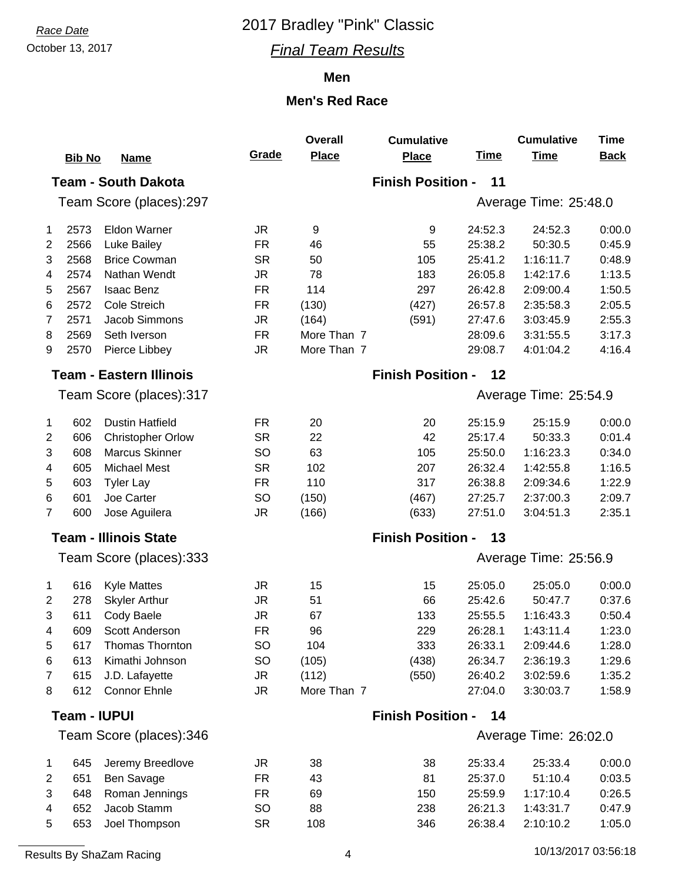### October 13, 2017 *Final Team Results*

### **Men**

|                | <b>Bib No</b>           | <b>Name</b>                    | Grade     | <b>Overall</b><br><b>Place</b> | <b>Cumulative</b><br><b>Place</b> | <b>Time</b> | <b>Cumulative</b><br><b>Time</b> | <b>Time</b><br><b>Back</b> |
|----------------|-------------------------|--------------------------------|-----------|--------------------------------|-----------------------------------|-------------|----------------------------------|----------------------------|
|                |                         | <b>Team - South Dakota</b>     |           |                                | <b>Finish Position -</b>          | 11          |                                  |                            |
|                |                         | Team Score (places):297        |           |                                |                                   |             | Average Time: 25:48.0            |                            |
| $\mathbf 1$    | 2573                    | <b>Eldon Warner</b>            | JR.       | 9                              | 9                                 | 24:52.3     | 24:52.3                          | 0:00.0                     |
| $\overline{2}$ | 2566                    | Luke Bailey                    | <b>FR</b> | 46                             | 55                                | 25:38.2     | 50:30.5                          | 0:45.9                     |
| 3              | 2568                    | <b>Brice Cowman</b>            | <b>SR</b> | 50                             | 105                               | 25:41.2     | 1:16:11.7                        | 0:48.9                     |
| 4              | 2574                    | Nathan Wendt                   | <b>JR</b> | 78                             | 183                               | 26:05.8     | 1:42:17.6                        | 1:13.5                     |
| 5              | 2567                    | <b>Isaac Benz</b>              | <b>FR</b> | 114                            | 297                               | 26:42.8     | 2:09:00.4                        | 1:50.5                     |
| 6              | 2572                    | Cole Streich                   | <b>FR</b> | (130)                          | (427)                             | 26:57.8     | 2:35:58.3                        | 2:05.5                     |
| 7              | 2571                    | Jacob Simmons                  | <b>JR</b> | (164)                          | (591)                             | 27:47.6     | 3:03:45.9                        | 2:55.3                     |
| 8              | 2569                    | Seth Iverson                   | <b>FR</b> | More Than 7                    |                                   | 28:09.6     | 3:31:55.5                        | 3:17.3                     |
| 9              | 2570                    | Pierce Libbey                  | JR.       | More Than 7                    |                                   | 29:08.7     | 4:01:04.2                        | 4:16.4                     |
|                |                         | <b>Team - Eastern Illinois</b> |           |                                | <b>Finish Position -</b>          | 12          |                                  |                            |
|                |                         | Team Score (places):317        |           |                                |                                   |             | Average Time: 25:54.9            |                            |
| 1              | 602                     | <b>Dustin Hatfield</b>         | FR        | 20                             | 20                                | 25:15.9     | 25:15.9                          | 0:00.0                     |
| $\overline{2}$ | 606                     | <b>Christopher Orlow</b>       | <b>SR</b> | 22                             | 42                                | 25:17.4     | 50:33.3                          | 0:01.4                     |
| 3              | 608                     | <b>Marcus Skinner</b>          | SO        | 63                             | 105                               | 25:50.0     | 1:16:23.3                        | 0:34.0                     |
| 4              | 605                     | <b>Michael Mest</b>            | <b>SR</b> | 102                            | 207                               | 26:32.4     | 1:42:55.8                        | 1:16.5                     |
| 5              | 603                     | <b>Tyler Lay</b>               | <b>FR</b> | 110                            | 317                               | 26:38.8     | 2:09:34.6                        | 1:22.9                     |
| 6              | 601                     | Joe Carter                     | <b>SO</b> | (150)                          | (467)                             | 27:25.7     | 2:37:00.3                        | 2:09.7                     |
| 7              | 600                     | Jose Aguilera                  | JR        | (166)                          | (633)                             | 27:51.0     | 3:04:51.3                        | 2:35.1                     |
|                |                         | <b>Team - Illinois State</b>   |           |                                | <b>Finish Position -</b>          | 13          |                                  |                            |
|                |                         | Team Score (places):333        |           |                                |                                   |             | Average Time: 25:56.9            |                            |
| $\mathbf 1$    | 616                     | <b>Kyle Mattes</b>             | <b>JR</b> | 15                             | 15                                | 25:05.0     | 25:05.0                          | 0:00.0                     |
| 2              | 278                     | <b>Skyler Arthur</b>           | JR        | 51                             | 66                                | 25:42.6     | 50:47.7                          | 0:37.6                     |
| 3              | 611                     | Cody Baele                     | <b>JR</b> | 67                             | 133                               | 25:55.5     | 1:16:43.3                        | 0:50.4                     |
| 4              | 609                     | Scott Anderson                 | <b>FR</b> | 96                             | 229                               | 26:28.1     | 1:43:11.4                        | 1:23.0                     |
| 5              | 617                     | Thomas Thornton                | SO        | 104                            | 333                               | 26:33.1     | 2:09:44.6                        | 1:28.0                     |
| 6              | 613                     | Kimathi Johnson                | SO        | (105)                          | (438)                             | 26:34.7     | 2:36:19.3                        | 1:29.6                     |
| 7              | 615                     | J.D. Lafayette                 | <b>JR</b> | (112)                          | (550)                             | 26:40.2     | 3:02:59.6                        | 1:35.2                     |
| 8              | 612                     | <b>Connor Ehnle</b>            | <b>JR</b> | More Than 7                    |                                   | 27:04.0     | 3:30:03.7                        | 1:58.9                     |
|                | <b>Team - IUPUI</b>     |                                |           |                                | <b>Finish Position -</b>          | 14          |                                  |                            |
|                | Team Score (places):346 |                                |           |                                |                                   |             | Average Time: 26:02.0            |                            |

|                |     | 645 Jeremy Breedlove | JR | 38  | 38  | 25:33.4 | 25:33.4   | 0:00.0 |
|----------------|-----|----------------------|----|-----|-----|---------|-----------|--------|
|                |     | 651 Ben Savage       | FR | 43  | 81  | 25:37.0 | 51:10.4   | 0:03.5 |
| 3              |     | 648 Roman Jennings   | FR | 69  | 150 | 25:59.9 | 1:17:10.4 | 0:26.5 |
| $\overline{4}$ | 652 | Jacob Stamm          | SO | 88  | 238 | 26:21.3 | 1:43:31.7 | 0.47.9 |
| -5             | 653 | Joel Thompson        | SR | 108 | 346 | 26:38.4 | 2:10:10.2 | 1:05.0 |
|                |     |                      |    |     |     |         |           |        |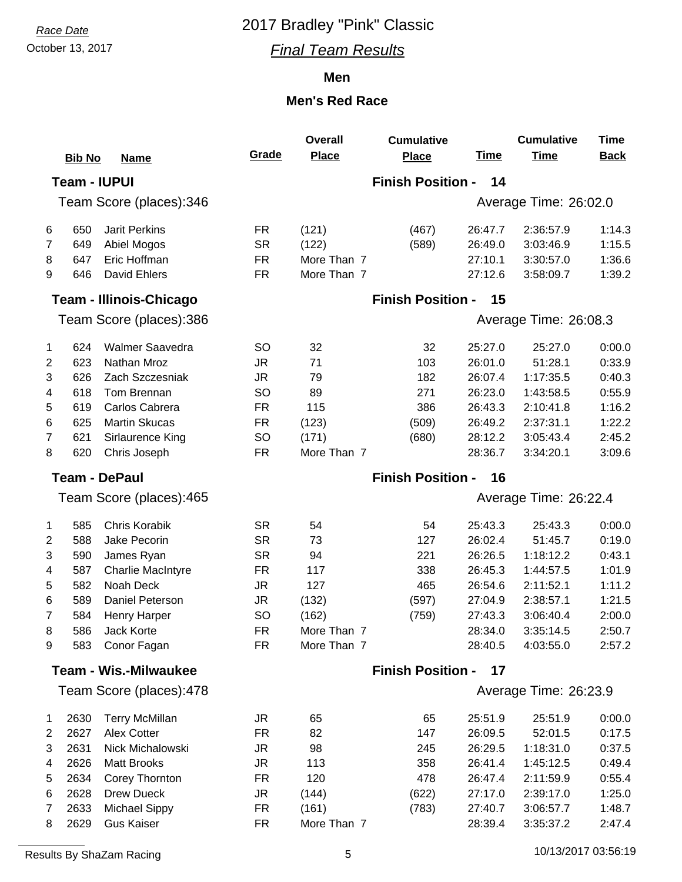### October 13, 2017 *Final Team Results*

### **Men**

|                | <b>Bib No</b>       | <b>Name</b>                    | Grade     | <b>Overall</b><br><b>Place</b> | <b>Cumulative</b><br><b>Place</b> | <u>Time</u> | <b>Cumulative</b><br><b>Time</b> | <b>Time</b><br><b>Back</b> |
|----------------|---------------------|--------------------------------|-----------|--------------------------------|-----------------------------------|-------------|----------------------------------|----------------------------|
|                | <b>Team - IUPUI</b> |                                |           |                                | <b>Finish Position -</b>          | 14          |                                  |                            |
|                |                     | Team Score (places):346        |           |                                |                                   |             | Average Time: 26:02.0            |                            |
|                |                     |                                |           |                                |                                   |             |                                  |                            |
| 6              | 650                 | <b>Jarit Perkins</b>           | <b>FR</b> | (121)                          | (467)                             | 26:47.7     | 2:36:57.9                        | 1:14.3                     |
| 7              | 649                 | Abiel Mogos                    | <b>SR</b> | (122)                          | (589)                             | 26:49.0     | 3:03:46.9                        | 1:15.5                     |
| 8              | 647                 | Eric Hoffman                   | <b>FR</b> | More Than 7                    |                                   | 27:10.1     | 3:30:57.0                        | 1:36.6                     |
| 9              | 646                 | David Ehlers                   | <b>FR</b> | More Than 7                    |                                   | 27:12.6     | 3:58:09.7                        | 1:39.2                     |
|                |                     | <b>Team - Illinois-Chicago</b> |           |                                | <b>Finish Position -</b>          | 15          |                                  |                            |
|                |                     | Team Score (places):386        |           |                                |                                   |             | Average Time: 26:08.3            |                            |
| 1              | 624                 | <b>Walmer Saavedra</b>         | <b>SO</b> | 32                             | 32                                | 25:27.0     | 25:27.0                          | 0:00.0                     |
| $\overline{2}$ | 623                 | Nathan Mroz                    | <b>JR</b> | 71                             | 103                               | 26:01.0     | 51:28.1                          | 0:33.9                     |
| 3              | 626                 | Zach Szczesniak                | <b>JR</b> | 79                             | 182                               | 26:07.4     | 1:17:35.5                        | 0:40.3                     |
| 4              | 618                 | Tom Brennan                    | <b>SO</b> | 89                             | 271                               | 26:23.0     | 1:43:58.5                        | 0:55.9                     |
| 5              | 619                 | Carlos Cabrera                 | <b>FR</b> | 115                            | 386                               | 26:43.3     | 2:10:41.8                        | 1:16.2                     |
| 6              | 625                 | <b>Martin Skucas</b>           | <b>FR</b> | (123)                          | (509)                             | 26:49.2     | 2:37:31.1                        | 1:22.2                     |
| 7              | 621                 | Sirlaurence King               | <b>SO</b> | (171)                          | (680)                             | 28:12.2     | 3:05:43.4                        | 2:45.2                     |
| 8              | 620                 | Chris Joseph                   | <b>FR</b> | More Than 7                    |                                   | 28:36.7     | 3:34:20.1                        | 3:09.6                     |
|                |                     | <b>Team - DePaul</b>           |           |                                | <b>Finish Position -</b>          | 16          |                                  |                            |
|                |                     | Team Score (places):465        |           |                                |                                   |             | Average Time: 26:22.4            |                            |
| $\mathbf{1}$   | 585                 | Chris Korabik                  | <b>SR</b> | 54                             | 54                                | 25:43.3     | 25:43.3                          | 0:00.0                     |
| 2              | 588                 | Jake Pecorin                   | <b>SR</b> | 73                             | 127                               | 26:02.4     | 51:45.7                          | 0:19.0                     |
| 3              | 590                 | James Ryan                     | <b>SR</b> | 94                             | 221                               | 26:26.5     | 1:18:12.2                        | 0:43.1                     |
| 4              | 587                 | Charlie MacIntyre              | <b>FR</b> | 117                            | 338                               | 26:45.3     | 1:44:57.5                        | 1:01.9                     |
| 5              | 582                 | Noah Deck                      | <b>JR</b> | 127                            | 465                               | 26:54.6     | 2:11:52.1                        | 1:11.2                     |
| 6              | 589                 | Daniel Peterson                | <b>JR</b> | (132)                          | (597)                             | 27:04.9     | 2:38:57.1                        | 1:21.5                     |
| $\overline{7}$ | 584                 | Henry Harper                   | SO        | (162)                          | (759)                             | 27:43.3     | 3:06:40.4                        | 2:00.0                     |
| 8              | 586                 | Jack Korte                     | <b>FR</b> | More Than 7                    |                                   | 28:34.0     | 3:35:14.5                        | 2:50.7                     |
| 9              | 583                 | Conor Fagan                    | <b>FR</b> | More Than 7                    |                                   | 28:40.5     | 4:03:55.0                        | 2:57.2                     |
|                |                     | <b>Team - Wis.-Milwaukee</b>   |           |                                | <b>Finish Position -</b>          | 17          |                                  |                            |
|                |                     | Team Score (places):478        |           |                                |                                   |             | Average Time: 26:23.9            |                            |
| $\mathbf{1}$   | 2630                | <b>Terry McMillan</b>          | <b>JR</b> | 65                             | 65                                | 25:51.9     | 25:51.9                          | 0:00.0                     |
| 2              | 2627                | Alex Cotter                    | <b>FR</b> | 82                             | 147                               | 26:09.5     | 52:01.5                          | 0:17.5                     |
| 3              | 2631                | Nick Michalowski               | JR.       | 98                             | 245                               | 26:29.5     | 1:18:31.0                        | 0:37.5                     |
| 4              | 2626                | <b>Matt Brooks</b>             | JR.       | 113                            | 358                               | 26:41.4     | 1:45:12.5                        | 0:49.4                     |
| 5              | 2634                | Corey Thornton                 | <b>FR</b> | 120                            | 478                               | 26:47.4     | 2:11:59.9                        | 0:55.4                     |
| 6              | 2628                | <b>Drew Dueck</b>              | JR        | (144)                          | (622)                             | 27:17.0     | 2:39:17.0                        | 1:25.0                     |
| 7              | 2633                | Michael Sippy                  | <b>FR</b> | (161)                          | (783)                             | 27:40.7     | 3:06:57.7                        | 1:48.7                     |
| 8              | 2629                | <b>Gus Kaiser</b>              | <b>FR</b> | More Than 7                    |                                   | 28:39.4     | 3:35:37.2                        | 2:47.4                     |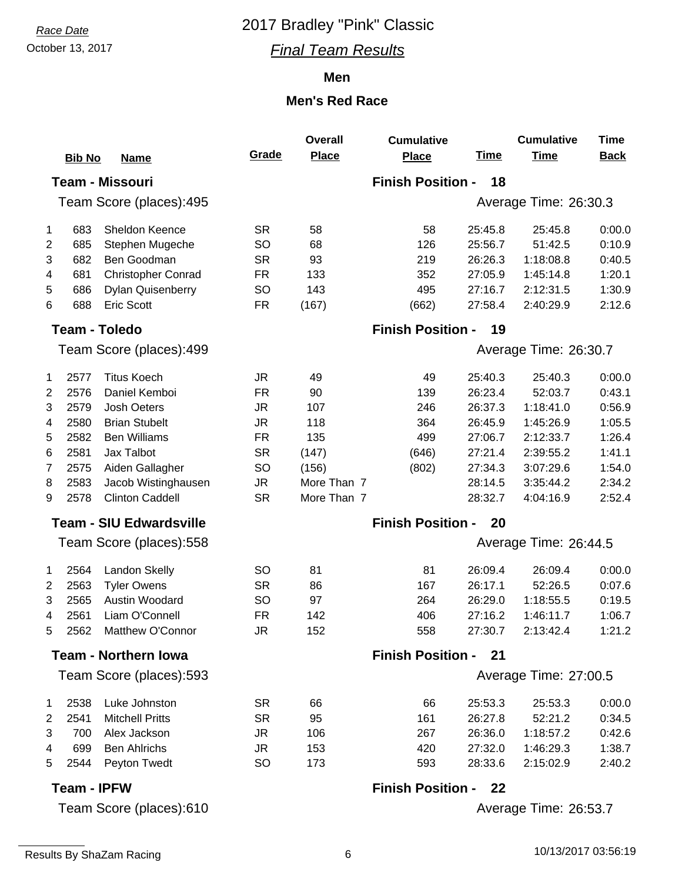### October 13, 2017 *Final Team Results*

#### **Men**

|                | <b>Bib No</b>      | <b>Name</b>                    | Grade     | <b>Overall</b><br><b>Place</b> | <b>Cumulative</b><br><b>Place</b> | <b>Time</b> | <b>Cumulative</b><br><b>Time</b> | <b>Time</b><br><b>Back</b> |
|----------------|--------------------|--------------------------------|-----------|--------------------------------|-----------------------------------|-------------|----------------------------------|----------------------------|
|                |                    | <b>Team - Missouri</b>         |           |                                | <b>Finish Position -</b>          | 18          |                                  |                            |
|                |                    | Team Score (places):495        |           |                                |                                   |             | Average Time: 26:30.3            |                            |
| 1              | 683                | Sheldon Keence                 | <b>SR</b> | 58                             | 58                                | 25:45.8     | 25:45.8                          | 0:00.0                     |
| 2              | 685                | Stephen Mugeche                | <b>SO</b> | 68                             | 126                               | 25:56.7     | 51:42.5                          | 0:10.9                     |
| 3              | 682                | Ben Goodman                    | <b>SR</b> | 93                             | 219                               | 26:26.3     | 1:18:08.8                        | 0:40.5                     |
| 4              | 681                | <b>Christopher Conrad</b>      | <b>FR</b> | 133                            | 352                               | 27:05.9     | 1:45:14.8                        | 1:20.1                     |
| 5              | 686                | <b>Dylan Quisenberry</b>       | SO        | 143                            | 495                               | 27:16.7     | 2:12:31.5                        | 1:30.9                     |
| 6              | 688                | <b>Eric Scott</b>              | <b>FR</b> | (167)                          | (662)                             | 27:58.4     | 2:40:29.9                        | 2:12.6                     |
|                |                    | <b>Team - Toledo</b>           |           |                                | <b>Finish Position -</b>          | 19          |                                  |                            |
|                |                    | Team Score (places):499        |           |                                |                                   |             | Average Time: 26:30.7            |                            |
| 1              | 2577               | <b>Titus Koech</b>             | <b>JR</b> | 49                             | 49                                | 25:40.3     | 25:40.3                          | 0:00.0                     |
| 2              | 2576               | Daniel Kemboi                  | <b>FR</b> | 90                             | 139                               | 26:23.4     | 52:03.7                          | 0:43.1                     |
| 3              | 2579               | <b>Josh Oeters</b>             | <b>JR</b> | 107                            | 246                               | 26:37.3     | 1:18:41.0                        | 0:56.9                     |
| 4              | 2580               | <b>Brian Stubelt</b>           | <b>JR</b> | 118                            | 364                               | 26:45.9     | 1:45:26.9                        | 1:05.5                     |
| 5              | 2582               | <b>Ben Williams</b>            | <b>FR</b> | 135                            | 499                               | 27:06.7     | 2:12:33.7                        | 1:26.4                     |
| 6              | 2581               | Jax Talbot                     | <b>SR</b> | (147)                          | (646)                             | 27:21.4     | 2:39:55.2                        | 1:41.1                     |
| 7              | 2575               | Aiden Gallagher                | <b>SO</b> | (156)                          | (802)                             | 27:34.3     | 3:07:29.6                        | 1:54.0                     |
| 8              | 2583               | Jacob Wistinghausen            | <b>JR</b> | More Than 7                    |                                   | 28:14.5     | 3:35:44.2                        | 2:34.2                     |
| 9              | 2578               | <b>Clinton Caddell</b>         | <b>SR</b> | More Than 7                    |                                   | 28:32.7     | 4:04:16.9                        | 2:52.4                     |
|                |                    | <b>Team - SIU Edwardsville</b> |           |                                | <b>Finish Position -</b>          | 20          |                                  |                            |
|                |                    | Team Score (places):558        |           |                                |                                   |             | Average Time: 26:44.5            |                            |
| 1              | 2564               | <b>Landon Skelly</b>           | <b>SO</b> | 81                             | 81                                | 26:09.4     | 26:09.4                          | 0:00.0                     |
| $\overline{2}$ | 2563               | <b>Tyler Owens</b>             | <b>SR</b> | 86                             | 167                               | 26:17.1     | 52:26.5                          | 0:07.6                     |
| 3              | 2565               | Austin Woodard                 | <b>SO</b> | 97                             | 264                               | 26:29.0     | 1:18:55.5                        | 0:19.5                     |
| 4              | 2561               | Liam O'Connell                 | <b>FR</b> | 142                            | 406                               | 27:16.2     | 1:46:11.7                        | 1:06.7                     |
| 5              |                    | 2562 Matthew O'Connor          | <b>JR</b> | 152                            | 558                               | 27:30.7     | 2:13:42.4                        | 1:21.2                     |
|                |                    | <b>Team - Northern lowa</b>    |           |                                | <b>Finish Position - 21</b>       |             |                                  |                            |
|                |                    | Team Score (places):593        |           |                                |                                   |             | Average Time: 27:00.5            |                            |
| 1              | 2538               | Luke Johnston                  | <b>SR</b> | 66                             | 66                                | 25:53.3     | 25:53.3                          | 0:00.0                     |
| 2              | 2541               | <b>Mitchell Pritts</b>         | <b>SR</b> | 95                             | 161                               | 26:27.8     | 52:21.2                          | 0:34.5                     |
| 3              | 700                | Alex Jackson                   | <b>JR</b> | 106                            | 267                               | 26:36.0     | 1:18:57.2                        | 0:42.6                     |
| 4              | 699                | <b>Ben Ahlrichs</b>            | JR.       | 153                            | 420                               | 27:32.0     | 1:46:29.3                        | 1:38.7                     |
| 5              | 2544               | Peyton Twedt                   | <b>SO</b> | 173                            | 593                               | 28:33.6     | 2:15:02.9                        | 2:40.2                     |
|                | <b>Team - IPFW</b> |                                |           |                                | <b>Finish Position - 22</b>       |             |                                  |                            |
|                |                    | Team Score (places):610        |           |                                |                                   |             | Average Time: 26:53.7            |                            |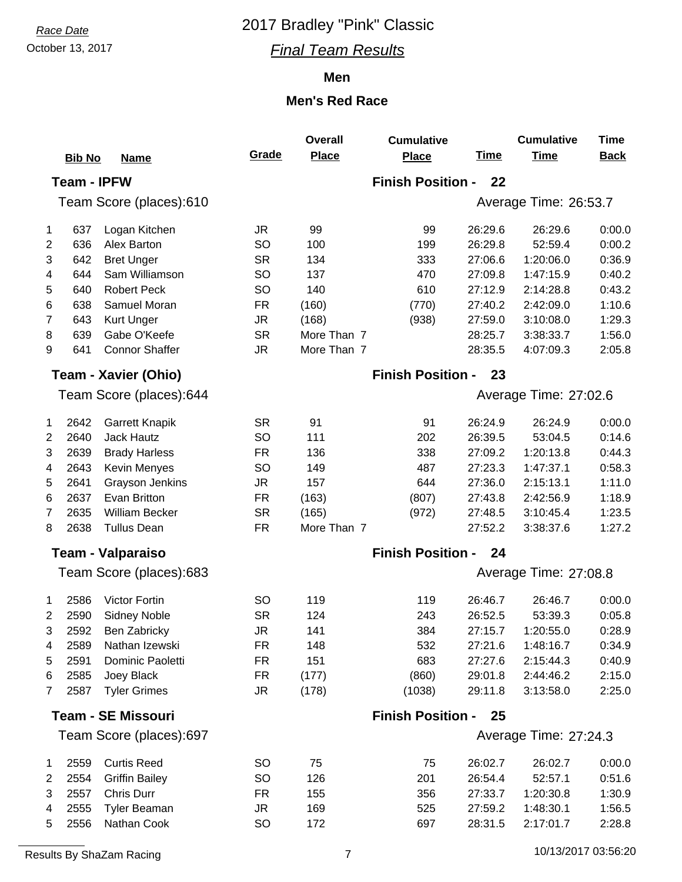### October 13, 2017 *Final Team Results*

### **Men**

|                | <b>Bib No</b>      | <b>Name</b>               | Grade     | <b>Overall</b><br><b>Place</b> | <b>Cumulative</b><br><b>Place</b> | <b>Time</b> | <b>Cumulative</b><br><b>Time</b> | <b>Time</b><br><b>Back</b> |
|----------------|--------------------|---------------------------|-----------|--------------------------------|-----------------------------------|-------------|----------------------------------|----------------------------|
|                | <b>Team - IPFW</b> |                           |           |                                | <b>Finish Position -</b>          | 22          |                                  |                            |
|                |                    | Team Score (places):610   |           |                                |                                   |             | Average Time: 26:53.7            |                            |
| 1              | 637                | Logan Kitchen             | JR.       | 99                             | 99                                | 26:29.6     | 26:29.6                          | 0:00.0                     |
| $\overline{2}$ | 636                | Alex Barton               | <b>SO</b> | 100                            | 199                               | 26:29.8     | 52:59.4                          | 0:00.2                     |
| 3              | 642                | <b>Bret Unger</b>         | <b>SR</b> | 134                            | 333                               | 27:06.6     | 1:20:06.0                        | 0:36.9                     |
| 4              | 644                | Sam Williamson            | <b>SO</b> | 137                            | 470                               | 27:09.8     | 1:47:15.9                        | 0:40.2                     |
| 5              | 640                | <b>Robert Peck</b>        | <b>SO</b> | 140                            | 610                               | 27:12.9     | 2:14:28.8                        | 0:43.2                     |
| 6              | 638                | Samuel Moran              | <b>FR</b> | (160)                          | (770)                             | 27:40.2     | 2:42:09.0                        | 1:10.6                     |
| 7              | 643                | Kurt Unger                | <b>JR</b> | (168)                          | (938)                             | 27:59.0     | 3:10:08.0                        | 1:29.3                     |
| 8              | 639                | Gabe O'Keefe              | <b>SR</b> | More Than 7                    |                                   | 28:25.7     | 3:38:33.7                        | 1:56.0                     |
| 9              | 641                | <b>Connor Shaffer</b>     | <b>JR</b> | More Than 7                    |                                   | 28:35.5     | 4:07:09.3                        | 2:05.8                     |
|                |                    | Team - Xavier (Ohio)      |           |                                | <b>Finish Position -</b>          | 23          |                                  |                            |
|                |                    | Team Score (places):644   |           |                                |                                   |             | Average Time: 27:02.6            |                            |
| 1              | 2642               | Garrett Knapik            | <b>SR</b> | 91                             | 91                                | 26:24.9     | 26:24.9                          | 0:00.0                     |
| $\overline{2}$ | 2640               | <b>Jack Hautz</b>         | SO        | 111                            | 202                               | 26:39.5     | 53:04.5                          | 0:14.6                     |
| 3              | 2639               | <b>Brady Harless</b>      | <b>FR</b> | 136                            | 338                               | 27:09.2     | 1:20:13.8                        | 0:44.3                     |
| 4              | 2643               | Kevin Menyes              | SO        | 149                            | 487                               | 27:23.3     | 1:47:37.1                        | 0:58.3                     |
| 5              | 2641               | Grayson Jenkins           | JR        | 157                            | 644                               | 27:36.0     | 2:15:13.1                        | 1:11.0                     |
| 6              | 2637               | Evan Britton              | <b>FR</b> | (163)                          | (807)                             | 27:43.8     | 2:42:56.9                        | 1:18.9                     |
| 7              | 2635               | William Becker            | <b>SR</b> | (165)                          | (972)                             | 27:48.5     | 3:10:45.4                        | 1:23.5                     |
| 8              | 2638               | <b>Tullus Dean</b>        | <b>FR</b> | More Than 7                    |                                   | 27:52.2     | 3:38:37.6                        | 1:27.2                     |
|                |                    | <b>Team - Valparaiso</b>  |           |                                | <b>Finish Position -</b><br>24    |             |                                  |                            |
|                |                    | Team Score (places):683   |           |                                |                                   |             | Average Time: 27:08.8            |                            |
| 1              | 2586               | Victor Fortin             | SO        | 119                            | 119                               | 26:46.7     | 26:46.7                          | 0:00.0                     |
| $\overline{c}$ | 2590               | <b>Sidney Noble</b>       | <b>SR</b> | 124                            | 243                               | 26:52.5     | 53:39.3                          | 0:05.8                     |
| 3              | 2592               | <b>Ben Zabricky</b>       | JR        | 141                            | 384                               | 27:15.7     | 1:20:55.0                        | 0:28.9                     |
| 4              | 2589               | Nathan Izewski            | <b>FR</b> | 148                            | 532                               | 27:21.6     | 1:48:16.7                        | 0:34.9                     |
| 5              | 2591               | Dominic Paoletti          | <b>FR</b> | 151                            | 683                               | 27:27.6     | 2:15:44.3                        | 0:40.9                     |
| 6              | 2585               | Joey Black                | <b>FR</b> | (177)                          | (860)                             | 29:01.8     | 2:44:46.2                        | 2:15.0                     |
| 7              | 2587               | <b>Tyler Grimes</b>       | JR        | (178)                          | (1038)                            | 29:11.8     | 3:13:58.0                        | 2:25.0                     |
|                |                    | <b>Team - SE Missouri</b> |           |                                | <b>Finish Position -</b>          | 25          |                                  |                            |
|                |                    | Team Score (places):697   |           |                                |                                   |             | Average Time: 27:24.3            |                            |
| 1              | 2559               | <b>Curtis Reed</b>        | SO        | 75                             | 75                                | 26:02.7     | 26:02.7                          | 0:00.0                     |
| $\overline{2}$ | 2554               | <b>Griffin Bailey</b>     | SO        | 126                            | 201                               | 26:54.4     | 52:57.1                          | 0:51.6                     |
| 3              | 2557               | <b>Chris Durr</b>         | <b>FR</b> | 155                            | 356                               | 27:33.7     | 1:20:30.8                        | 1:30.9                     |
| 4              | 2555               | <b>Tyler Beaman</b>       | JR        | 169                            | 525                               | 27:59.2     | 1:48:30.1                        | 1:56.5                     |
| 5              | 2556               | Nathan Cook               | SO        | 172                            | 697                               | 28:31.5     | 2:17:01.7                        | 2:28.8                     |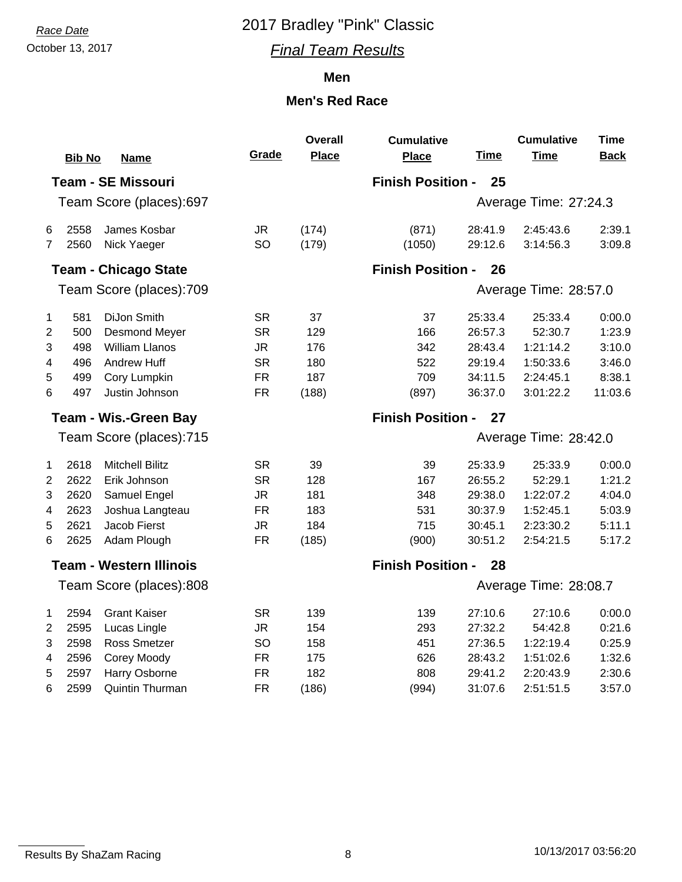### October 13, 2017 *Final Team Results*

### **Men**

|                | <b>Bib No</b> | <b>Name</b>                    | Grade           | <b>Overall</b><br><b>Place</b> | <b>Cumulative</b><br><b>Place</b> | <b>Time</b>        | <b>Cumulative</b><br><b>Time</b> | <b>Time</b><br><b>Back</b> |
|----------------|---------------|--------------------------------|-----------------|--------------------------------|-----------------------------------|--------------------|----------------------------------|----------------------------|
|                |               | <b>Team - SE Missouri</b>      |                 |                                | <b>Finish Position -</b>          | 25                 |                                  |                            |
|                |               | Team Score (places):697        |                 |                                |                                   |                    | Average Time: 27:24.3            |                            |
| 6<br>7         | 2558<br>2560  | James Kosbar<br>Nick Yaeger    | <b>JR</b><br>SO | (174)<br>(179)                 | (871)<br>(1050)                   | 28:41.9<br>29:12.6 | 2:45:43.6<br>3:14:56.3           | 2:39.1<br>3:09.8           |
|                |               | <b>Team - Chicago State</b>    |                 |                                | <b>Finish Position -</b>          | 26                 |                                  |                            |
|                |               | Team Score (places):709        |                 |                                |                                   |                    | Average Time: 28:57.0            |                            |
| 1              | 581           | DiJon Smith                    | <b>SR</b>       | 37                             | 37                                | 25:33.4            | 25:33.4                          | 0:00.0                     |
| $\overline{2}$ | 500           | Desmond Meyer                  | <b>SR</b>       | 129                            | 166                               | 26:57.3            | 52:30.7                          | 1:23.9                     |
| 3              | 498           | <b>William Llanos</b>          | <b>JR</b>       | 176                            | 342                               | 28:43.4            | 1:21:14.2                        | 3:10.0                     |
| 4              | 496           | <b>Andrew Huff</b>             | <b>SR</b>       | 180                            | 522                               | 29:19.4            | 1:50:33.6                        | 3:46.0                     |
| 5              | 499           | Cory Lumpkin                   | <b>FR</b>       | 187                            | 709                               | 34:11.5            | 2:24:45.1                        | 8:38.1                     |
| 6              | 497           | Justin Johnson                 | <b>FR</b>       | (188)                          | (897)                             | 36:37.0            | 3:01:22.2                        | 11:03.6                    |
|                |               | <b>Team - Wis.-Green Bay</b>   |                 |                                | <b>Finish Position -</b>          | 27                 |                                  |                            |
|                |               | Team Score (places):715        |                 |                                |                                   |                    | Average Time: 28:42.0            |                            |
| 1              | 2618          | <b>Mitchell Bilitz</b>         | <b>SR</b>       | 39                             | 39                                | 25:33.9            | 25:33.9                          | 0:00.0                     |
| $\overline{c}$ | 2622          | Erik Johnson                   | <b>SR</b>       | 128                            | 167                               | 26:55.2            | 52:29.1                          | 1:21.2                     |
| 3              | 2620          | Samuel Engel                   | <b>JR</b>       | 181                            | 348                               | 29:38.0            | 1:22:07.2                        | 4:04.0                     |
| 4              | 2623          | Joshua Langteau                | <b>FR</b>       | 183                            | 531                               | 30:37.9            | 1:52:45.1                        | 5:03.9                     |
| 5              | 2621          | Jacob Fierst                   | <b>JR</b>       | 184                            | 715                               | 30:45.1            | 2:23:30.2                        | 5:11.1                     |
| 6              | 2625          | Adam Plough                    | <b>FR</b>       | (185)                          | (900)                             | 30:51.2            | 2:54:21.5                        | 5:17.2                     |
|                |               | <b>Team - Western Illinois</b> |                 |                                | <b>Finish Position -</b>          | 28                 |                                  |                            |
|                |               | Team Score (places):808        |                 |                                |                                   |                    | Average Time: 28:08.7            |                            |
| 1              | 2594          | <b>Grant Kaiser</b>            | <b>SR</b>       | 139                            | 139                               | 27:10.6            | 27:10.6                          | 0:00.0                     |
| $\overline{2}$ | 2595          | Lucas Lingle                   | <b>JR</b>       | 154                            | 293                               | 27:32.2            | 54:42.8                          | 0:21.6                     |
| 3              | 2598          | Ross Smetzer                   | SO              | 158                            | 451                               | 27:36.5            | 1:22:19.4                        | 0:25.9                     |
| 4              | 2596          | Corey Moody                    | <b>FR</b>       | 175                            | 626                               | 28:43.2            | 1:51:02.6                        | 1:32.6                     |
| 5              | 2597          | Harry Osborne                  | <b>FR</b>       | 182                            | 808                               | 29:41.2            | 2:20:43.9                        | 2:30.6                     |
| 6              | 2599          | Quintin Thurman                | <b>FR</b>       | (186)                          | (994)                             | 31:07.6            | 2:51:51.5                        | 3:57.0                     |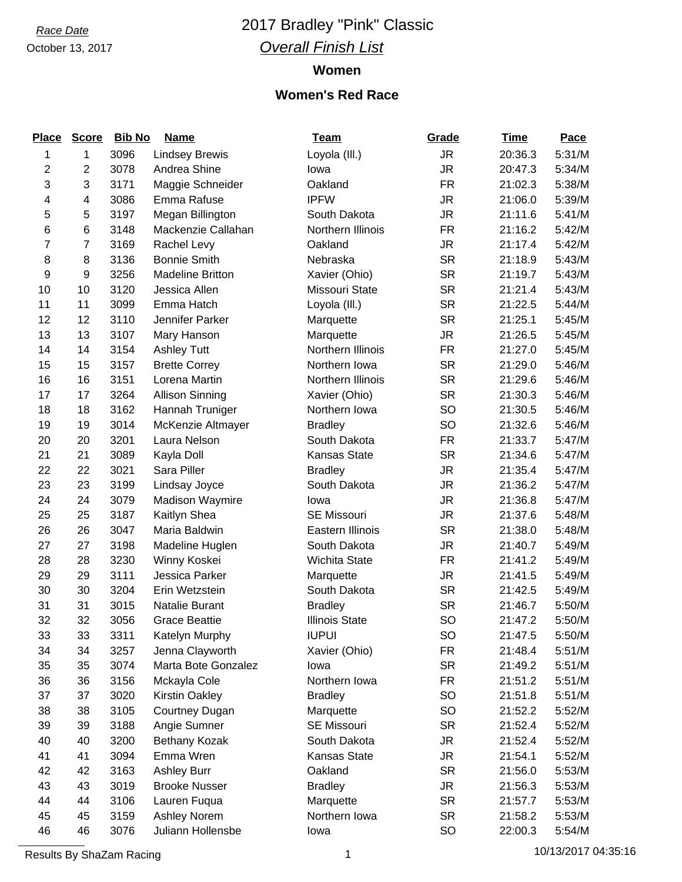# *Race Date* 2017 Bradley "Pink" Classic *Overall Finish List*

### **Women**

### **Women's Red Race**

| <b>Place</b>   | <b>Score</b>     | <b>Bib No</b> | <b>Name</b>             | <b>Team</b>           | Grade     | <u>Time</u> | Pace   |
|----------------|------------------|---------------|-------------------------|-----------------------|-----------|-------------|--------|
| 1              | 1                | 3096          | <b>Lindsey Brewis</b>   | Loyola (III.)         | <b>JR</b> | 20:36.3     | 5:31/M |
| $\overline{c}$ | 2                | 3078          | Andrea Shine            | lowa                  | <b>JR</b> | 20:47.3     | 5:34/M |
| 3              | 3                | 3171          | Maggie Schneider        | Oakland               | <b>FR</b> | 21:02.3     | 5:38/M |
| 4              | 4                | 3086          | Emma Rafuse             | <b>IPFW</b>           | <b>JR</b> | 21:06.0     | 5:39/M |
| 5              | 5                | 3197          | Megan Billington        | South Dakota          | <b>JR</b> | 21:11.6     | 5:41/M |
| 6              | 6                | 3148          | Mackenzie Callahan      | Northern Illinois     | <b>FR</b> | 21:16.2     | 5:42/M |
| 7              | $\overline{7}$   | 3169          | Rachel Levy             | Oakland               | JR.       | 21:17.4     | 5:42/M |
| 8              | 8                | 3136          | <b>Bonnie Smith</b>     | Nebraska              | <b>SR</b> | 21:18.9     | 5:43/M |
| 9              | $\boldsymbol{9}$ | 3256          | <b>Madeline Britton</b> | Xavier (Ohio)         | <b>SR</b> | 21:19.7     | 5:43/M |
| $10$           | 10               | 3120          | Jessica Allen           | Missouri State        | <b>SR</b> | 21:21.4     | 5:43/M |
| 11             | 11               | 3099          | Emma Hatch              | Loyola (III.)         | <b>SR</b> | 21:22.5     | 5:44/M |
| 12             | 12               | 3110          | Jennifer Parker         | Marquette             | <b>SR</b> | 21:25.1     | 5:45/M |
| 13             | 13               | 3107          | Mary Hanson             | Marquette             | <b>JR</b> | 21:26.5     | 5:45/M |
| 14             | 14               | 3154          | <b>Ashley Tutt</b>      | Northern Illinois     | <b>FR</b> | 21:27.0     | 5:45/M |
| 15             | 15               | 3157          | <b>Brette Correy</b>    | Northern Iowa         | <b>SR</b> | 21:29.0     | 5:46/M |
| 16             | 16               | 3151          | Lorena Martin           | Northern Illinois     | <b>SR</b> | 21:29.6     | 5:46/M |
| 17             | 17               | 3264          | <b>Allison Sinning</b>  | Xavier (Ohio)         | <b>SR</b> | 21:30.3     | 5:46/M |
| 18             | 18               | 3162          | Hannah Truniger         | Northern Iowa         | <b>SO</b> | 21:30.5     | 5:46/M |
| 19             | 19               | 3014          | McKenzie Altmayer       | <b>Bradley</b>        | <b>SO</b> | 21:32.6     | 5:46/M |
| 20             | 20               | 3201          | Laura Nelson            | South Dakota          | <b>FR</b> | 21:33.7     | 5:47/M |
| 21             | 21               | 3089          | Kayla Doll              | <b>Kansas State</b>   | <b>SR</b> | 21:34.6     | 5:47/M |
| 22             | 22               | 3021          | Sara Piller             | <b>Bradley</b>        | <b>JR</b> | 21:35.4     | 5:47/M |
| 23             | 23               | 3199          | Lindsay Joyce           | South Dakota          | <b>JR</b> | 21:36.2     | 5:47/M |
| 24             | 24               | 3079          | Madison Waymire         | Iowa                  | <b>JR</b> | 21:36.8     | 5:47/M |
| 25             | 25               | 3187          | Kaitlyn Shea            | <b>SE Missouri</b>    | <b>JR</b> | 21:37.6     | 5:48/M |
| 26             | 26               | 3047          | Maria Baldwin           | Eastern Illinois      | <b>SR</b> | 21:38.0     | 5:48/M |
| 27             | 27               | 3198          | Madeline Huglen         | South Dakota          | <b>JR</b> | 21:40.7     | 5:49/M |
| 28             | 28               | 3230          | Winny Koskei            | Wichita State         | <b>FR</b> | 21:41.2     | 5:49/M |
| 29             | 29               | 3111          | Jessica Parker          | Marquette             | <b>JR</b> | 21:41.5     | 5:49/M |
| 30             | 30               | 3204          | Erin Wetzstein          | South Dakota          | <b>SR</b> | 21:42.5     | 5:49/M |
| 31             | 31               | 3015          | Natalie Burant          | <b>Bradley</b>        | <b>SR</b> | 21:46.7     | 5:50/M |
| 32             | 32               | 3056          | <b>Grace Beattie</b>    | <b>Illinois State</b> | SO        | 21:47.2     | 5:50/M |
| 33             | 33               | 3311          | Katelyn Murphy          | <b>IUPUI</b>          | SO        | 21:47.5     | 5:50/M |
| 34             | 34               | 3257          | Jenna Clayworth         | Xavier (Ohio)         | <b>FR</b> | 21:48.4     | 5:51/M |
| 35             | 35               | 3074          | Marta Bote Gonzalez     | lowa                  | <b>SR</b> | 21:49.2     | 5:51/M |
| 36             | 36               | 3156          | Mckayla Cole            | Northern Iowa         | <b>FR</b> | 21:51.2     | 5:51/M |
| 37             | 37               | 3020          | <b>Kirstin Oakley</b>   | <b>Bradley</b>        | SO        | 21:51.8     | 5:51/M |
| 38             | 38               | 3105          | Courtney Dugan          | Marquette             | <b>SO</b> | 21:52.2     | 5:52/M |
| 39             | 39               | 3188          | Angie Sumner            | SE Missouri           | <b>SR</b> | 21:52.4     | 5:52/M |
| 40             | 40               | 3200          | Bethany Kozak           | South Dakota          | <b>JR</b> | 21:52.4     | 5:52/M |
| 41             | 41               | 3094          | Emma Wren               | Kansas State          | <b>JR</b> | 21:54.1     | 5:52/M |
| 42             | 42               | 3163          | <b>Ashley Burr</b>      | Oakland               | <b>SR</b> | 21:56.0     | 5:53/M |
| 43             | 43               | 3019          | <b>Brooke Nusser</b>    | <b>Bradley</b>        | <b>JR</b> | 21:56.3     | 5:53/M |
| 44             | 44               | 3106          | Lauren Fuqua            | Marquette             | <b>SR</b> | 21:57.7     | 5:53/M |
| 45             | 45               | 3159          | Ashley Norem            | Northern Iowa         | <b>SR</b> | 21:58.2     | 5:53/M |
| 46             | 46               | 3076          | Juliann Hollensbe       | lowa                  | <b>SO</b> | 22:00.3     | 5:54/M |

Results By ShaZam Racing 1 10/13/2017 04:35:16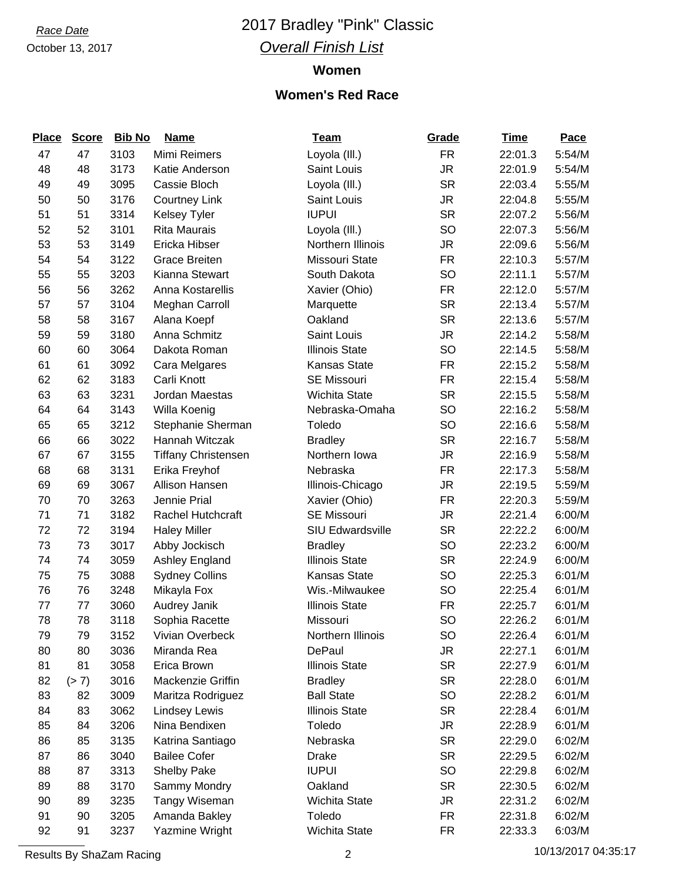# *Race Date* 2017 Bradley "Pink" Classic *Overall Finish List*

**Women**

### **Women's Red Race**

| <b>Place</b> | <b>Score</b> | <b>Bib No</b> | <b>Name</b>                | <b>Team</b>           | Grade     | <b>Time</b> | Pace     |
|--------------|--------------|---------------|----------------------------|-----------------------|-----------|-------------|----------|
| 47           | 47           | 3103          | Mimi Reimers               | Loyola (III.)         | <b>FR</b> | 22:01.3     | 5:54/M   |
| 48           | 48           | 3173          | Katie Anderson             | Saint Louis           | JR        | 22:01.9     | 5:54/M   |
| 49           | 49           | 3095          | Cassie Bloch               | Loyola (III.)         | <b>SR</b> | 22:03.4     | 5:55/M   |
| 50           | 50           | 3176          | <b>Courtney Link</b>       | Saint Louis           | JR        | 22:04.8     | 5:55/M   |
| 51           | 51           | 3314          | <b>Kelsey Tyler</b>        | <b>IUPUI</b>          | <b>SR</b> | 22:07.2     | 5:56/M   |
| 52           | 52           | 3101          | <b>Rita Maurais</b>        | Loyola (III.)         | SO        | 22:07.3     | 5:56/M   |
| 53           | 53           | 3149          | Ericka Hibser              | Northern Illinois     | <b>JR</b> | 22:09.6     | 5:56/M   |
| 54           | 54           | 3122          | <b>Grace Breiten</b>       | Missouri State        | <b>FR</b> | 22:10.3     | 5:57/M   |
| 55           | 55           | 3203          | Kianna Stewart             | South Dakota          | SO        | 22:11.1     | $5:57/M$ |
| 56           | 56           | 3262          | Anna Kostarellis           | Xavier (Ohio)         | <b>FR</b> | 22:12.0     | 5:57/M   |
| 57           | 57           | 3104          | Meghan Carroll             | Marquette             | <b>SR</b> | 22:13.4     | 5:57/M   |
| 58           | 58           | 3167          | Alana Koepf                | Oakland               | <b>SR</b> | 22:13.6     | 5:57/M   |
| 59           | 59           | 3180          | Anna Schmitz               | Saint Louis           | <b>JR</b> | 22:14.2     | 5:58/M   |
| 60           | 60           | 3064          | Dakota Roman               | <b>Illinois State</b> | SO        | 22:14.5     | 5:58/M   |
| 61           | 61           | 3092          | Cara Melgares              | Kansas State          | <b>FR</b> | 22:15.2     | 5:58/M   |
| 62           | 62           | 3183          | Carli Knott                | <b>SE Missouri</b>    | <b>FR</b> | 22:15.4     | 5:58/M   |
| 63           | 63           | 3231          | Jordan Maestas             | <b>Wichita State</b>  | <b>SR</b> | 22:15.5     | 5:58/M   |
| 64           | 64           | 3143          | Willa Koenig               | Nebraska-Omaha        | SO        | 22:16.2     | 5:58/M   |
| 65           | 65           | 3212          | Stephanie Sherman          | Toledo                | SO        | 22:16.6     | 5:58/M   |
| 66           | 66           | 3022          | Hannah Witczak             | <b>Bradley</b>        | <b>SR</b> | 22:16.7     | 5:58/M   |
| 67           | 67           | 3155          | <b>Tiffany Christensen</b> | Northern Iowa         | <b>JR</b> | 22:16.9     | 5:58/M   |
| 68           | 68           | 3131          | Erika Freyhof              | Nebraska              | <b>FR</b> | 22:17.3     | 5:58/M   |
| 69           | 69           | 3067          | Allison Hansen             | Illinois-Chicago      | JR        | 22:19.5     | 5:59/M   |
| 70           | 70           | 3263          | Jennie Prial               | Xavier (Ohio)         | <b>FR</b> | 22:20.3     | 5:59/M   |
| 71           | $71$         | 3182          | <b>Rachel Hutchcraft</b>   | <b>SE Missouri</b>    | JR        | 22:21.4     | 6:00/M   |
| 72           | 72           | 3194          | <b>Haley Miller</b>        | SIU Edwardsville      | <b>SR</b> | 22:22.2     | 6:00/M   |
| 73           | 73           | 3017          | Abby Jockisch              | <b>Bradley</b>        | SO        | 22:23.2     | 6:00/M   |
| 74           | 74           | 3059          | Ashley England             | <b>Illinois State</b> | <b>SR</b> | 22:24.9     | 6:00/M   |
| 75           | 75           | 3088          | <b>Sydney Collins</b>      | <b>Kansas State</b>   | SO        | 22:25.3     | 6:01/M   |
| 76           | 76           | 3248          | Mikayla Fox                | Wis.-Milwaukee        | SO        | 22:25.4     | 6:01/M   |
| 77           | 77           | 3060          | Audrey Janik               | <b>Illinois State</b> | <b>FR</b> | 22:25.7     | 6:01/M   |
| 78           | 78           | 3118          | Sophia Racette             | Missouri              | SO        | 22:26.2     | 6:01/M   |
| 79           | 79           | 3152          | Vivian Overbeck            | Northern Illinois     | SO        | 22:26.4     | 6:01/M   |
| 80           | 80           | 3036          | Miranda Rea                | DePaul                | JR        | 22:27.1     | 6:01/M   |
| 81           | 81           | 3058          | Erica Brown                | <b>Illinois State</b> | <b>SR</b> | 22:27.9     | 6:01/M   |
| 82           | (> 7)        | 3016          | Mackenzie Griffin          | <b>Bradley</b>        | <b>SR</b> | 22:28.0     | 6:01/M   |
| 83           | 82           | 3009          | Maritza Rodriguez          | <b>Ball State</b>     | SO        | 22:28.2     | 6:01/M   |
| 84           | 83           | 3062          | <b>Lindsey Lewis</b>       | <b>Illinois State</b> | <b>SR</b> | 22:28.4     | 6:01/M   |
| 85           | 84           | 3206          | Nina Bendixen              | Toledo                | JR        | 22:28.9     | 6:01/M   |
| 86           | 85           | 3135          | Katrina Santiago           | Nebraska              | <b>SR</b> | 22:29.0     | 6:02/M   |
| 87           | 86           | 3040          | <b>Bailee Cofer</b>        | <b>Drake</b>          | <b>SR</b> | 22:29.5     | 6:02/M   |
| 88           | 87           | 3313          | <b>Shelby Pake</b>         | <b>IUPUI</b>          | <b>SO</b> | 22:29.8     | 6:02/M   |
| 89           | 88           | 3170          | Sammy Mondry               | Oakland               | <b>SR</b> | 22:30.5     | 6:02/M   |
| 90           | 89           | 3235          | <b>Tangy Wiseman</b>       | Wichita State         | JR        | 22:31.2     | 6:02/M   |
| 91           | 90           | 3205          | Amanda Bakley              | Toledo                | <b>FR</b> | 22:31.8     | 6:02/M   |
| 92           | 91           | 3237          | Yazmine Wright             | Wichita State         | <b>FR</b> | 22:33.3     | 6:03/M   |

Results By ShaZam Racing 2 10/13/2017 04:35:17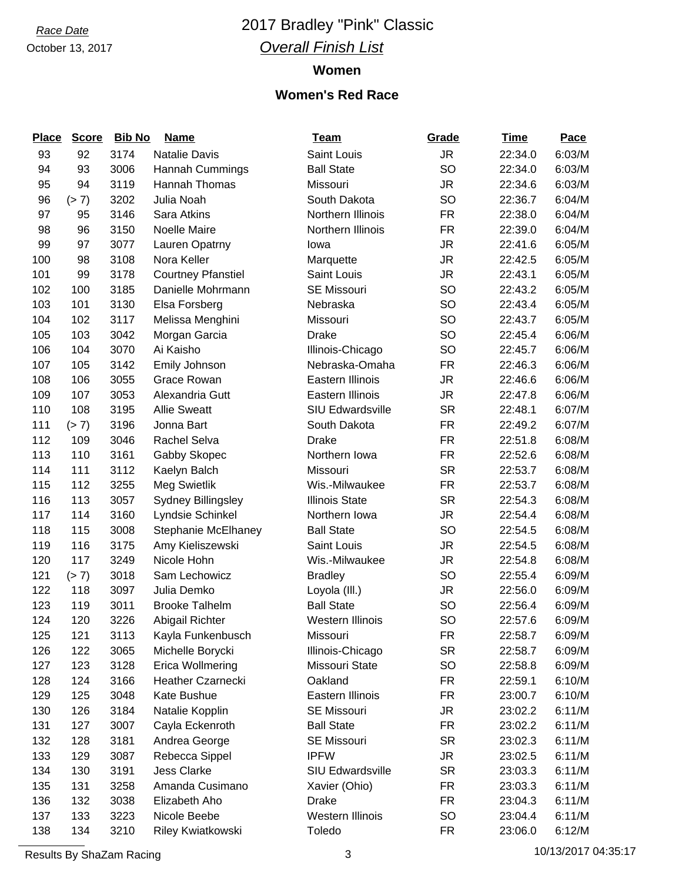# *Race Date* 2017 Bradley "Pink" Classic *Overall Finish List*

### **Women**

### **Women's Red Race**

| <b>Place</b> | <b>Score</b> | <b>Bib No</b> | <b>Name</b>               | <b>Team</b>             | Grade     | <b>Time</b> | Pace   |
|--------------|--------------|---------------|---------------------------|-------------------------|-----------|-------------|--------|
| 93           | 92           | 3174          | <b>Natalie Davis</b>      | Saint Louis             | JR.       | 22:34.0     | 6:03/M |
| 94           | 93           | 3006          | <b>Hannah Cummings</b>    | <b>Ball State</b>       | <b>SO</b> | 22:34.0     | 6:03/M |
| 95           | 94           | 3119          | <b>Hannah Thomas</b>      | Missouri                | JR        | 22:34.6     | 6:03/M |
| 96           | (> 7)        | 3202          | Julia Noah                | South Dakota            | <b>SO</b> | 22:36.7     | 6:04/M |
| 97           | 95           | 3146          | Sara Atkins               | Northern Illinois       | <b>FR</b> | 22:38.0     | 6:04/M |
| 98           | 96           | 3150          | Noelle Maire              | Northern Illinois       | <b>FR</b> | 22:39.0     | 6:04/M |
| 99           | 97           | 3077          | Lauren Opatrny            | lowa                    | JR.       | 22:41.6     | 6:05/M |
| 100          | 98           | 3108          | Nora Keller               | Marquette               | JR        | 22:42.5     | 6:05/M |
| 101          | 99           | 3178          | <b>Courtney Pfanstiel</b> | Saint Louis             | JR        | 22:43.1     | 6:05/M |
| 102          | 100          | 3185          | Danielle Mohrmann         | SE Missouri             | SO        | 22:43.2     | 6:05/M |
| 103          | 101          | 3130          | Elsa Forsberg             | Nebraska                | SO        | 22:43.4     | 6:05/M |
| 104          | 102          | 3117          | Melissa Menghini          | Missouri                | <b>SO</b> | 22:43.7     | 6:05/M |
| 105          | 103          | 3042          | Morgan Garcia             | <b>Drake</b>            | <b>SO</b> | 22:45.4     | 6:06/M |
| 106          | 104          | 3070          | Ai Kaisho                 | Illinois-Chicago        | <b>SO</b> | 22:45.7     | 6:06/M |
| 107          | 105          | 3142          | Emily Johnson             | Nebraska-Omaha          | <b>FR</b> | 22:46.3     | 6:06/M |
| 108          | 106          | 3055          | Grace Rowan               | Eastern Illinois        | JR.       | 22:46.6     | 6:06/M |
| 109          | 107          | 3053          | Alexandria Gutt           | <b>Eastern Illinois</b> | <b>JR</b> | 22:47.8     | 6:06/M |
| 110          | 108          | 3195          | <b>Allie Sweatt</b>       | <b>SIU Edwardsville</b> | <b>SR</b> | 22:48.1     | 6:07/M |
| 111          | (> 7)        | 3196          | Jonna Bart                | South Dakota            | <b>FR</b> | 22:49.2     | 6:07/M |
| 112          | 109          | 3046          | Rachel Selva              | <b>Drake</b>            | <b>FR</b> | 22:51.8     | 6:08/M |
| 113          | 110          | 3161          | Gabby Skopec              | Northern Iowa           | <b>FR</b> | 22:52.6     | 6:08/M |
| 114          | 111          | 3112          | Kaelyn Balch              | Missouri                | <b>SR</b> | 22:53.7     | 6:08/M |
| 115          | 112          | 3255          | Meg Swietlik              | Wis.-Milwaukee          | <b>FR</b> | 22:53.7     | 6:08/M |
| 116          | 113          | 3057          | <b>Sydney Billingsley</b> | <b>Illinois State</b>   | <b>SR</b> | 22:54.3     | 6:08/M |
| 117          | 114          | 3160          | Lyndsie Schinkel          | Northern Iowa           | JR        | 22:54.4     | 6:08/M |
| 118          | 115          | 3008          | Stephanie McElhaney       | <b>Ball State</b>       | <b>SO</b> | 22:54.5     | 6:08/M |
| 119          | 116          | 3175          | Amy Kieliszewski          | Saint Louis             | JR        | 22:54.5     | 6:08/M |
| 120          | 117          | 3249          | Nicole Hohn               | Wis.-Milwaukee          | JR        | 22:54.8     | 6:08/M |
| 121          | (> 7)        | 3018          | Sam Lechowicz             | <b>Bradley</b>          | SO        | 22:55.4     | 6:09/M |
| 122          | 118          | 3097          | Julia Demko               | Loyola (III.)           | JR        | 22:56.0     | 6:09/M |
| 123          | 119          | 3011          | <b>Brooke Talhelm</b>     | <b>Ball State</b>       | SO        | 22:56.4     | 6:09/M |
| 124          | 120          | 3226          | Abigail Richter           | Western Illinois        | SO        | 22:57.6     | 6:09/M |
| 125          | 121          | 3113          | Kayla Funkenbusch         | Missouri                | <b>FR</b> | 22:58.7     | 6:09/M |
| 126          | 122          | 3065          | Michelle Borycki          | Illinois-Chicago        | <b>SR</b> | 22:58.7     | 6:09/M |
| 127          | 123          | 3128          | <b>Erica Wollmering</b>   | Missouri State          | SO        | 22:58.8     | 6:09/M |
| 128          | 124          | 3166          | Heather Czarnecki         | Oakland                 | FR        | 22:59.1     | 6:10/M |
| 129          | 125          | 3048          | Kate Bushue               | Eastern Illinois        | <b>FR</b> | 23:00.7     | 6:10/M |
| 130          | 126          | 3184          | Natalie Kopplin           | SE Missouri             | JR        | 23:02.2     | 6:11/M |
| 131          | 127          | 3007          | Cayla Eckenroth           | <b>Ball State</b>       | <b>FR</b> | 23:02.2     | 6:11/M |
| 132          | 128          | 3181          | Andrea George             | SE Missouri             | <b>SR</b> | 23:02.3     | 6:11/M |
| 133          | 129          | 3087          | Rebecca Sippel            | <b>IPFW</b>             | JR        | 23:02.5     | 6:11/M |
| 134          | 130          | 3191          | <b>Jess Clarke</b>        | <b>SIU Edwardsville</b> | <b>SR</b> | 23:03.3     | 6:11/M |
| 135          | 131          | 3258          | Amanda Cusimano           | Xavier (Ohio)           | <b>FR</b> | 23:03.3     | 6:11/M |
| 136          | 132          | 3038          | Elizabeth Aho             | <b>Drake</b>            | <b>FR</b> | 23:04.3     | 6:11/M |
| 137          | 133          | 3223          | Nicole Beebe              | Western Illinois        | SO        | 23:04.4     | 6:11/M |
| 138          | 134          | 3210          | Riley Kwiatkowski         | Toledo                  | <b>FR</b> | 23:06.0     | 6:12/M |

Results By ShaZam Racing 2001 2012 3 2012 3 10/13/2017 04:35:17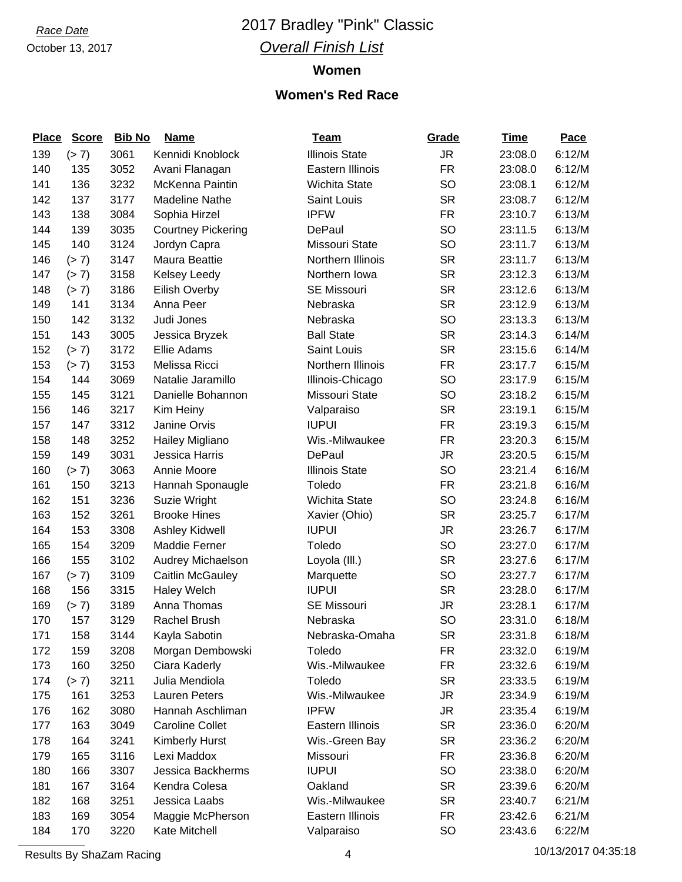# *Race Date* 2017 Bradley "Pink" Classic *Overall Finish List*

### **Women**

### **Women's Red Race**

| <b>Place</b> | <b>Score</b> | <b>Bib No</b> | <b>Name</b>               | <b>Team</b>           | Grade     | <b>Time</b> | Pace   |
|--------------|--------------|---------------|---------------------------|-----------------------|-----------|-------------|--------|
| 139          | (> 7)        | 3061          | Kennidi Knoblock          | <b>Illinois State</b> | <b>JR</b> | 23:08.0     | 6:12/M |
| 140          | 135          | 3052          | Avani Flanagan            | Eastern Illinois      | <b>FR</b> | 23:08.0     | 6:12/M |
| 141          | 136          | 3232          | McKenna Paintin           | Wichita State         | <b>SO</b> | 23:08.1     | 6:12/M |
| 142          | 137          | 3177          | <b>Madeline Nathe</b>     | Saint Louis           | <b>SR</b> | 23:08.7     | 6:12/M |
| 143          | 138          | 3084          | Sophia Hirzel             | <b>IPFW</b>           | <b>FR</b> | 23:10.7     | 6:13/M |
| 144          | 139          | 3035          | <b>Courtney Pickering</b> | DePaul                | <b>SO</b> | 23:11.5     | 6:13/M |
| 145          | 140          | 3124          | Jordyn Capra              | Missouri State        | <b>SO</b> | 23:11.7     | 6:13/M |
| 146          | (> 7)        | 3147          | Maura Beattie             | Northern Illinois     | <b>SR</b> | 23:11.7     | 6:13/M |
| 147          | (> 7)        | 3158          | Kelsey Leedy              | Northern Iowa         | <b>SR</b> | 23:12.3     | 6:13/M |
| 148          | (> 7)        | 3186          | <b>Eilish Overby</b>      | <b>SE Missouri</b>    | <b>SR</b> | 23:12.6     | 6:13/M |
| 149          | 141          | 3134          | Anna Peer                 | Nebraska              | <b>SR</b> | 23:12.9     | 6:13/M |
| 150          | 142          | 3132          | Judi Jones                | Nebraska              | <b>SO</b> | 23:13.3     | 6:13/M |
| 151          | 143          | 3005          | Jessica Bryzek            | <b>Ball State</b>     | <b>SR</b> | 23:14.3     | 6:14/M |
| 152          | (> 7)        | 3172          | Ellie Adams               | Saint Louis           | <b>SR</b> | 23:15.6     | 6:14/M |
| 153          | (> 7)        | 3153          | Melissa Ricci             | Northern Illinois     | <b>FR</b> | 23:17.7     | 6:15/M |
| 154          | 144          | 3069          | Natalie Jaramillo         | Illinois-Chicago      | SO        | 23:17.9     | 6:15/M |
| 155          | 145          | 3121          | Danielle Bohannon         | Missouri State        | <b>SO</b> | 23:18.2     | 6:15/M |
| 156          | 146          | 3217          | Kim Heiny                 | Valparaiso            | <b>SR</b> | 23:19.1     | 6:15/M |
| 157          | 147          | 3312          | Janine Orvis              | <b>IUPUI</b>          | <b>FR</b> | 23:19.3     | 6:15/M |
| 158          | 148          | 3252          | Hailey Migliano           | Wis.-Milwaukee        | <b>FR</b> | 23:20.3     | 6:15/M |
| 159          | 149          | 3031          | Jessica Harris            | <b>DePaul</b>         | <b>JR</b> | 23:20.5     | 6:15/M |
| 160          | (> 7)        | 3063          | Annie Moore               | <b>Illinois State</b> | <b>SO</b> | 23:21.4     | 6:16/M |
| 161          | 150          | 3213          | Hannah Sponaugle          | Toledo                | <b>FR</b> | 23:21.8     | 6:16/M |
| 162          | 151          | 3236          | Suzie Wright              | <b>Wichita State</b>  | <b>SO</b> | 23:24.8     | 6:16/M |
| 163          | 152          | 3261          | <b>Brooke Hines</b>       | Xavier (Ohio)         | <b>SR</b> | 23:25.7     | 6:17/M |
| 164          | 153          | 3308          | Ashley Kidwell            | <b>IUPUI</b>          | <b>JR</b> | 23:26.7     | 6:17/M |
| 165          | 154          | 3209          | <b>Maddie Ferner</b>      | Toledo                | SO        | 23:27.0     | 6:17/M |
| 166          | 155          | 3102          | Audrey Michaelson         | Loyola (III.)         | <b>SR</b> | 23:27.6     | 6:17/M |
| 167          | (> 7)        | 3109          | <b>Caitlin McGauley</b>   | Marquette             | <b>SO</b> | 23:27.7     | 6:17/M |
| 168          | 156          | 3315          | <b>Haley Welch</b>        | <b>IUPUI</b>          | <b>SR</b> | 23:28.0     | 6:17/M |
| 169          | (> 7)        | 3189          | Anna Thomas               | <b>SE Missouri</b>    | <b>JR</b> | 23:28.1     | 6:17/M |
| 170          | 157          | 3129          | Rachel Brush              | Nebraska              | <b>SO</b> | 23:31.0     | 6:18/M |
| 171          | 158          | 3144          | Kayla Sabotin             | Nebraska-Omaha        | <b>SR</b> | 23:31.8     | 6:18/M |
| 172          | 159          | 3208          | Morgan Dembowski          | Toledo                | <b>FR</b> | 23:32.0     | 6:19/M |
| 173          | 160          | 3250          | Ciara Kaderly             | Wis.-Milwaukee        | <b>FR</b> | 23:32.6     | 6:19/M |
| 174          | (> 7)        | 3211          | Julia Mendiola            | Toledo                | <b>SR</b> | 23:33.5     | 6:19/M |
| 175          | 161          | 3253          | <b>Lauren Peters</b>      | Wis.-Milwaukee        | <b>JR</b> | 23:34.9     | 6:19/M |
| 176          | 162          | 3080          | Hannah Aschliman          | <b>IPFW</b>           | <b>JR</b> | 23:35.4     | 6:19/M |
| 177          | 163          | 3049          | <b>Caroline Collet</b>    | Eastern Illinois      | <b>SR</b> | 23:36.0     | 6:20/M |
| 178          | 164          | 3241          | <b>Kimberly Hurst</b>     | Wis.-Green Bay        | <b>SR</b> | 23:36.2     | 6:20/M |
| 179          | 165          | 3116          | Lexi Maddox               | Missouri              | <b>FR</b> | 23:36.8     | 6:20/M |
| 180          | 166          | 3307          | Jessica Backherms         | <b>IUPUI</b>          | <b>SO</b> | 23:38.0     | 6:20/M |
| 181          | 167          | 3164          | Kendra Colesa             | Oakland               | <b>SR</b> | 23:39.6     | 6:20/M |
| 182          | 168          | 3251          | Jessica Laabs             | Wis.-Milwaukee        | <b>SR</b> | 23:40.7     | 6:21/M |
| 183          | 169          | 3054          | Maggie McPherson          | Eastern Illinois      | <b>FR</b> | 23:42.6     | 6:21/M |
| 184          | 170          | 3220          | Kate Mitchell             | Valparaiso            | <b>SO</b> | 23:43.6     | 6:22/M |

Results By ShaZam Racing 2012 10/13/2017 04:35:18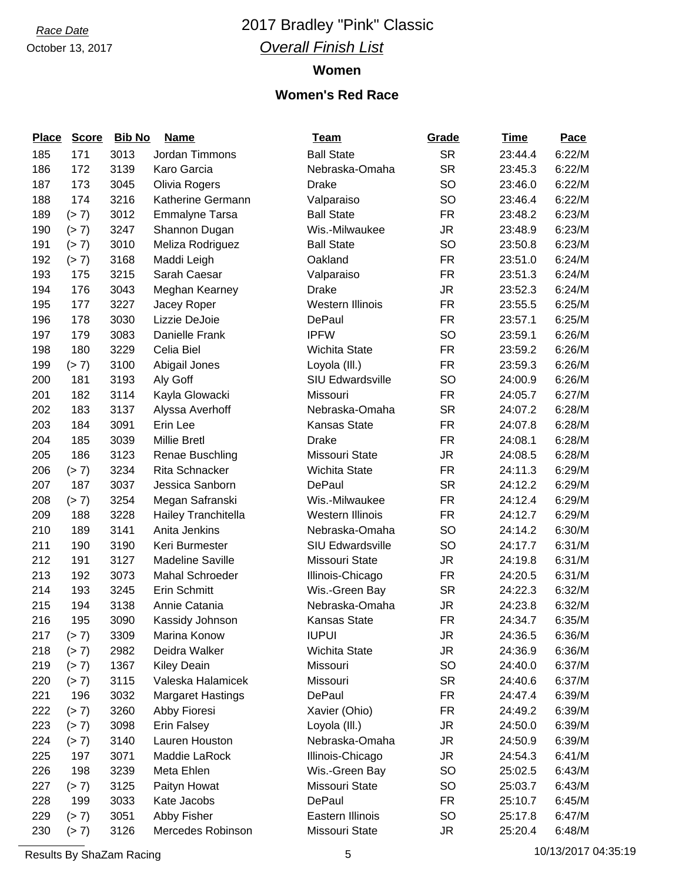# *Race Date* 2017 Bradley "Pink" Classic *Overall Finish List*

### **Women**

### **Women's Red Race**

| <b>Place</b> | <b>Score</b> | <b>Bib No</b> | <b>Name</b>              | <u>Team</u>             | Grade     | <b>Time</b> | Pace   |
|--------------|--------------|---------------|--------------------------|-------------------------|-----------|-------------|--------|
| 185          | 171          | 3013          | Jordan Timmons           | <b>Ball State</b>       | <b>SR</b> | 23:44.4     | 6:22/M |
| 186          | 172          | 3139          | Karo Garcia              | Nebraska-Omaha          | <b>SR</b> | 23:45.3     | 6:22/M |
| 187          | 173          | 3045          | Olivia Rogers            | <b>Drake</b>            | SO        | 23:46.0     | 6:22/M |
| 188          | 174          | 3216          | Katherine Germann        | Valparaiso              | SO        | 23:46.4     | 6:22/M |
| 189          | (> 7)        | 3012          | <b>Emmalyne Tarsa</b>    | <b>Ball State</b>       | <b>FR</b> | 23:48.2     | 6:23/M |
| 190          | (> 7)        | 3247          | Shannon Dugan            | Wis.-Milwaukee          | JR        | 23:48.9     | 6:23/M |
| 191          | (> 7)        | 3010          | Meliza Rodriguez         | <b>Ball State</b>       | SO        | 23:50.8     | 6:23/M |
| 192          | (> 7)        | 3168          | Maddi Leigh              | Oakland                 | <b>FR</b> | 23:51.0     | 6:24/M |
| 193          | 175          | 3215          | Sarah Caesar             | Valparaiso              | <b>FR</b> | 23:51.3     | 6:24/M |
| 194          | 176          | 3043          | Meghan Kearney           | <b>Drake</b>            | JR        | 23:52.3     | 6:24/M |
| 195          | 177          | 3227          | Jacey Roper              | Western Illinois        | <b>FR</b> | 23:55.5     | 6:25/M |
| 196          | 178          | 3030          | Lizzie DeJoie            | DePaul                  | <b>FR</b> | 23:57.1     | 6:25/M |
| 197          | 179          | 3083          | Danielle Frank           | <b>IPFW</b>             | SO        | 23:59.1     | 6:26/M |
| 198          | 180          | 3229          | Celia Biel               | <b>Wichita State</b>    | <b>FR</b> | 23:59.2     | 6:26/M |
| 199          | (> 7)        | 3100          | Abigail Jones            | Loyola (III.)           | <b>FR</b> | 23:59.3     | 6:26/M |
| 200          | 181          | 3193          | Aly Goff                 | SIU Edwardsville        | SO        | 24:00.9     | 6:26/M |
| 201          | 182          | 3114          | Kayla Glowacki           | Missouri                | <b>FR</b> | 24:05.7     | 6:27/M |
| 202          | 183          | 3137          | Alyssa Averhoff          | Nebraska-Omaha          | <b>SR</b> | 24:07.2     | 6:28/M |
| 203          | 184          | 3091          | Erin Lee                 | Kansas State            | <b>FR</b> | 24:07.8     | 6:28/M |
| 204          | 185          | 3039          | <b>Millie Bretl</b>      | <b>Drake</b>            | <b>FR</b> | 24:08.1     | 6:28/M |
| 205          | 186          | 3123          | Renae Buschling          | Missouri State          | JR        | 24:08.5     | 6:28/M |
| 206          | (> 7)        | 3234          | <b>Rita Schnacker</b>    | Wichita State           | <b>FR</b> | 24:11.3     | 6:29/M |
| 207          | 187          | 3037          | Jessica Sanborn          | DePaul                  | <b>SR</b> | 24:12.2     | 6:29/M |
| 208          | (> 7)        | 3254          | Megan Safranski          | Wis.-Milwaukee          | <b>FR</b> | 24:12.4     | 6:29/M |
| 209          | 188          | 3228          | Hailey Tranchitella      | Western Illinois        | <b>FR</b> | 24:12.7     | 6:29/M |
| 210          | 189          | 3141          | Anita Jenkins            | Nebraska-Omaha          | <b>SO</b> | 24:14.2     | 6:30/M |
| 211          | 190          | 3190          | Keri Burmester           | <b>SIU Edwardsville</b> | <b>SO</b> | 24:17.7     | 6:31/M |
| 212          | 191          | 3127          | <b>Madeline Saville</b>  | Missouri State          | JR        | 24:19.8     | 6:31/M |
| 213          | 192          | 3073          | Mahal Schroeder          | Illinois-Chicago        | <b>FR</b> | 24:20.5     | 6:31/M |
| 214          | 193          | 3245          | <b>Erin Schmitt</b>      | Wis.-Green Bay          | <b>SR</b> | 24:22.3     | 6:32/M |
| 215          | 194          | 3138          | Annie Catania            | Nebraska-Omaha          | JR        | 24:23.8     | 6:32/M |
| 216          | 195          | 3090          | Kassidy Johnson          | <b>Kansas State</b>     | <b>FR</b> | 24:34.7     | 6:35/M |
| 217          | (> 7)        | 3309          | Marina Konow             | <b>IUPUI</b>            | JR        | 24:36.5     | 6:36/M |
| 218          | (> 7)        | 2982          | Deidra Walker            | Wichita State           | JR        | 24:36.9     | 6:36/M |
| 219          | (> 7)        | 1367          | <b>Kiley Deain</b>       | Missouri                | SO        | 24:40.0     | 6:37/M |
| 220          | (> 7)        | 3115          | Valeska Halamicek        | Missouri                | <b>SR</b> | 24:40.6     | 6:37/M |
| 221          | 196          | 3032          | <b>Margaret Hastings</b> | DePaul                  | <b>FR</b> | 24:47.4     | 6:39/M |
| 222          | (> 7)        | 3260          | Abby Fioresi             | Xavier (Ohio)           | FR        | 24:49.2     | 6:39/M |
| 223          | (> 7)        | 3098          | <b>Erin Falsey</b>       | Loyola (III.)           | JR        | 24:50.0     | 6:39/M |
| 224          | (> 7)        | 3140          | Lauren Houston           | Nebraska-Omaha          | JR        | 24:50.9     | 6:39/M |
| 225          | 197          | 3071          | Maddie LaRock            | Illinois-Chicago        | JR        | 24:54.3     | 6:41/M |
| 226          | 198          | 3239          | Meta Ehlen               | Wis.-Green Bay          | <b>SO</b> | 25:02.5     | 6:43/M |
| 227          | (> 7)        | 3125          | Paityn Howat             | Missouri State          | SO        | 25:03.7     | 6:43/M |
| 228          | 199          | 3033          | Kate Jacobs              | DePaul                  | <b>FR</b> | 25:10.7     | 6:45/M |
| 229          | (> 7)        | 3051          | Abby Fisher              | Eastern Illinois        | SO        | 25:17.8     | 6:47/M |
| 230          | (> 7)        | 3126          | Mercedes Robinson        | Missouri State          | JR        | 25:20.4     | 6:48/M |

Results By ShaZam Racing 2001 10/13/2017 04:35:19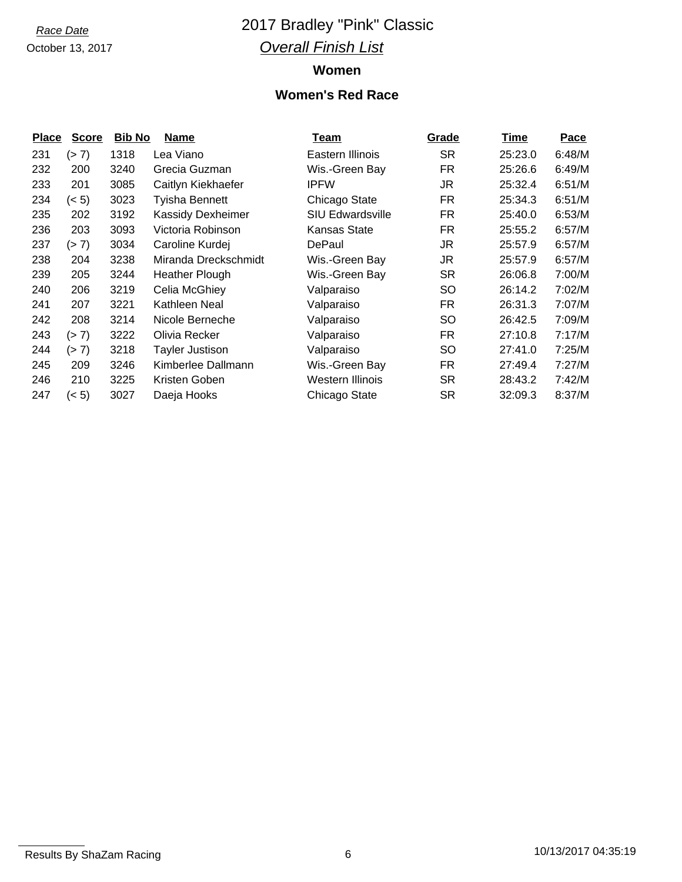# *Race Date* 2017 Bradley "Pink" Classic *Overall Finish List*

### **Women**

| <b>Place</b> | <b>Score</b> | <b>Bib No</b> | <u>Name</u>              | <u>Team</u>             | <b>Grade</b> | <b>Time</b> | <b>Pace</b> |
|--------------|--------------|---------------|--------------------------|-------------------------|--------------|-------------|-------------|
| 231          | (> 7)        | 1318          | Lea Viano                | Eastern Illinois        | <b>SR</b>    | 25:23.0     | 6:48/M      |
| 232          | 200          | 3240          | Grecia Guzman            | Wis.-Green Bay          | <b>FR</b>    | 25:26.6     | 6:49/M      |
| 233          | 201          | 3085          | Caitlyn Kiekhaefer       | <b>IPFW</b>             | <b>JR</b>    | 25:32.4     | 6:51/M      |
| 234          | (< 5)        | 3023          | Tyisha Bennett           | Chicago State           | <b>FR</b>    | 25:34.3     | 6:51/M      |
| 235          | 202          | 3192          | <b>Kassidy Dexheimer</b> | <b>SIU Edwardsville</b> | FR.          | 25:40.0     | 6:53/M      |
| 236          | 203          | 3093          | Victoria Robinson        | Kansas State            | FR.          | 25:55.2     | 6:57/M      |
| 237          | (> 7)        | 3034          | Caroline Kurdej          | DePaul                  | <b>JR</b>    | 25:57.9     | 6:57/M      |
| 238          | 204          | 3238          | Miranda Dreckschmidt     | Wis.-Green Bay          | <b>JR</b>    | 25:57.9     | 6:57/M      |
| 239          | 205          | 3244          | Heather Plough           | Wis.-Green Bay          | <b>SR</b>    | 26:06.8     | 7:00/M      |
| 240          | 206          | 3219          | Celia McGhiey            | Valparaiso              | <b>SO</b>    | 26:14.2     | 7:02/M      |
| 241          | 207          | 3221          | Kathleen Neal            | Valparaiso              | <b>FR</b>    | 26:31.3     | 7:07/M      |
| 242          | 208          | 3214          | Nicole Berneche          | Valparaiso              | <b>SO</b>    | 26:42.5     | 7:09/M      |
| 243          | (> 7)        | 3222          | Olivia Recker            | Valparaiso              | FR.          | 27:10.8     | 7:17/M      |
| 244          | (> 7)        | 3218          | <b>Tayler Justison</b>   | Valparaiso              | <b>SO</b>    | 27:41.0     | 7:25/M      |
| 245          | 209          | 3246          | Kimberlee Dallmann       | Wis.-Green Bay          | FR.          | 27:49.4     | 7:27/M      |
| 246          | 210          | 3225          | Kristen Goben            | Western Illinois        | <b>SR</b>    | 28:43.2     | 7:42/M      |
| 247          | (< 5)        | 3027          | Daeja Hooks              | Chicago State           | <b>SR</b>    | 32:09.3     | 8:37/M      |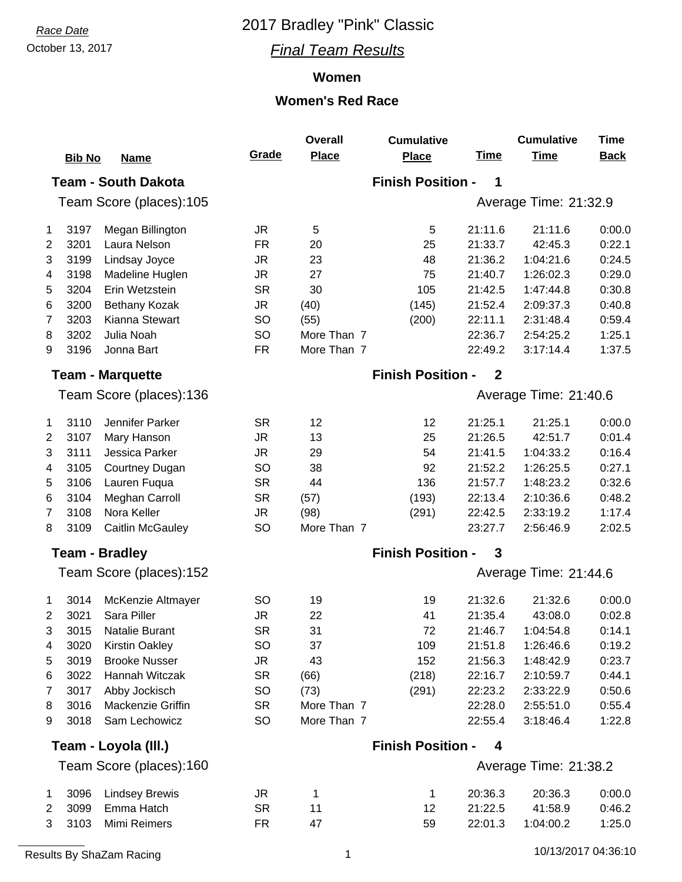### October 13, 2017 *Final Team Results*

### **Women**

|                | <b>Bib No</b> | <b>Name</b>                | Grade     | <b>Overall</b><br><b>Place</b> | <b>Cumulative</b><br><b>Place</b> | <b>Time</b>      | <b>Cumulative</b><br><b>Time</b> | <b>Time</b><br><b>Back</b> |
|----------------|---------------|----------------------------|-----------|--------------------------------|-----------------------------------|------------------|----------------------------------|----------------------------|
|                |               | <b>Team - South Dakota</b> |           |                                | <b>Finish Position -</b>          | 1                |                                  |                            |
|                |               | Team Score (places):105    |           |                                |                                   |                  | Average Time: 21:32.9            |                            |
| $\mathbf 1$    | 3197          | Megan Billington           | <b>JR</b> | 5                              | $\sqrt{5}$                        | 21:11.6          | 21:11.6                          | 0:00.0                     |
| $\overline{2}$ | 3201          | Laura Nelson               | <b>FR</b> | 20                             | 25                                | 21:33.7          | 42:45.3                          | 0:22.1                     |
| 3              | 3199          | Lindsay Joyce              | <b>JR</b> | 23                             | 48                                | 21:36.2          | 1:04:21.6                        | 0:24.5                     |
| 4              | 3198          | Madeline Huglen            | <b>JR</b> | 27                             | 75                                | 21:40.7          | 1:26:02.3                        | 0:29.0                     |
| 5              | 3204          | Erin Wetzstein             | <b>SR</b> | 30                             | 105                               | 21:42.5          | 1:47:44.8                        | 0:30.8                     |
| 6              | 3200          | Bethany Kozak              | <b>JR</b> | (40)                           | (145)                             | 21:52.4          | 2:09:37.3                        | 0:40.8                     |
| 7              | 3203          | Kianna Stewart             | <b>SO</b> | (55)                           | (200)                             | 22:11.1          | 2:31:48.4                        | 0:59.4                     |
| 8              | 3202          | Julia Noah                 | <b>SO</b> | More Than 7                    |                                   | 22:36.7          | 2:54:25.2                        | 1:25.1                     |
| 9              | 3196          | Jonna Bart                 | <b>FR</b> | More Than 7                    |                                   | 22:49.2          | 3:17:14.4                        | 1:37.5                     |
|                |               | <b>Team - Marquette</b>    |           |                                | <b>Finish Position -</b>          | $\boldsymbol{2}$ |                                  |                            |
|                |               | Team Score (places):136    |           |                                |                                   |                  | Average Time: 21:40.6            |                            |
| 1              | 3110          | Jennifer Parker            | <b>SR</b> | 12                             | 12                                | 21:25.1          | 21:25.1                          | 0:00.0                     |
| $\overline{2}$ | 3107          | Mary Hanson                | <b>JR</b> | 13                             | 25                                | 21:26.5          | 42:51.7                          | 0:01.4                     |
| 3              | 3111          | Jessica Parker             | <b>JR</b> | 29                             | 54                                | 21:41.5          | 1:04:33.2                        | 0:16.4                     |
| 4              | 3105          | Courtney Dugan             | SO        | 38                             | 92                                | 21:52.2          | 1:26:25.5                        | 0:27.1                     |
| 5              | 3106          | Lauren Fuqua               | <b>SR</b> | 44                             | 136                               | 21:57.7          | 1:48:23.2                        | 0:32.6                     |
| 6              | 3104          | <b>Meghan Carroll</b>      | <b>SR</b> | (57)                           | (193)                             | 22:13.4          | 2:10:36.6                        | 0:48.2                     |
| 7              | 3108          | Nora Keller                | JR.       | (98)                           | (291)                             | 22:42.5          | 2:33:19.2                        | 1:17.4                     |
| 8              | 3109          | <b>Caitlin McGauley</b>    | <b>SO</b> | More Than 7                    |                                   | 23:27.7          | 2:56:46.9                        | 2:02.5                     |
|                |               | <b>Team - Bradley</b>      |           |                                | <b>Finish Position -</b>          | 3                |                                  |                            |
|                |               | Team Score (places):152    |           |                                |                                   |                  | Average Time: 21:44.6            |                            |
| 1              | 3014          | McKenzie Altmayer          | SO        | 19                             | 19                                | 21:32.6          | 21:32.6                          | 0:00.0                     |
| $\overline{2}$ | 3021          | Sara Piller                | <b>JR</b> | 22                             | 41                                | 21:35.4          | 43:08.0                          | 0:02.8                     |
| 3              | 3015          | Natalie Burant             | <b>SR</b> | 31                             | 72                                | 21:46.7          | 1:04:54.8                        | 0:14.1                     |
| 4              | 3020          | <b>Kirstin Oakley</b>      | <b>SO</b> | 37                             | 109                               | 21:51.8          | 1:26:46.6                        | 0:19.2                     |
| 5              | 3019          | <b>Brooke Nusser</b>       | <b>JR</b> | 43                             | 152                               | 21:56.3          | 1:48:42.9                        | 0:23.7                     |
| 6              | 3022          | Hannah Witczak             | <b>SR</b> | (66)                           | (218)                             | 22:16.7          | 2:10:59.7                        | 0:44.1                     |
| 7              | 3017          | Abby Jockisch              | <b>SO</b> | (73)                           | (291)                             | 22:23.2          | 2:33:22.9                        | 0:50.6                     |
| 8              | 3016          | Mackenzie Griffin          | <b>SR</b> | More Than 7                    |                                   | 22:28.0          | 2:55:51.0                        | 0:55.4                     |
| 9              | 3018          | Sam Lechowicz              | SO        | More Than 7                    |                                   | 22:55.4          | 3:18:46.4                        | 1:22.8                     |
|                |               | Team - Loyola (III.)       |           |                                | <b>Finish Position -</b>          | 4                |                                  |                            |
|                |               | Team Score (places):160    |           |                                |                                   |                  | Average Time: 21:38.2            |                            |
| 1              | 3096          | <b>Lindsey Brewis</b>      | JR.       | 1                              | 1                                 | 20:36.3          | 20:36.3                          | 0:00.0                     |
| 2              | 3099          | Emma Hatch                 | <b>SR</b> | 11                             | 12                                | 21:22.5          | 41:58.9                          | 0:46.2                     |
| 3              | 3103          | Mimi Reimers               | FR.       | 47                             | 59                                | 22:01.3          | 1:04:00.2                        | 1:25.0                     |
|                |               |                            |           |                                |                                   |                  |                                  |                            |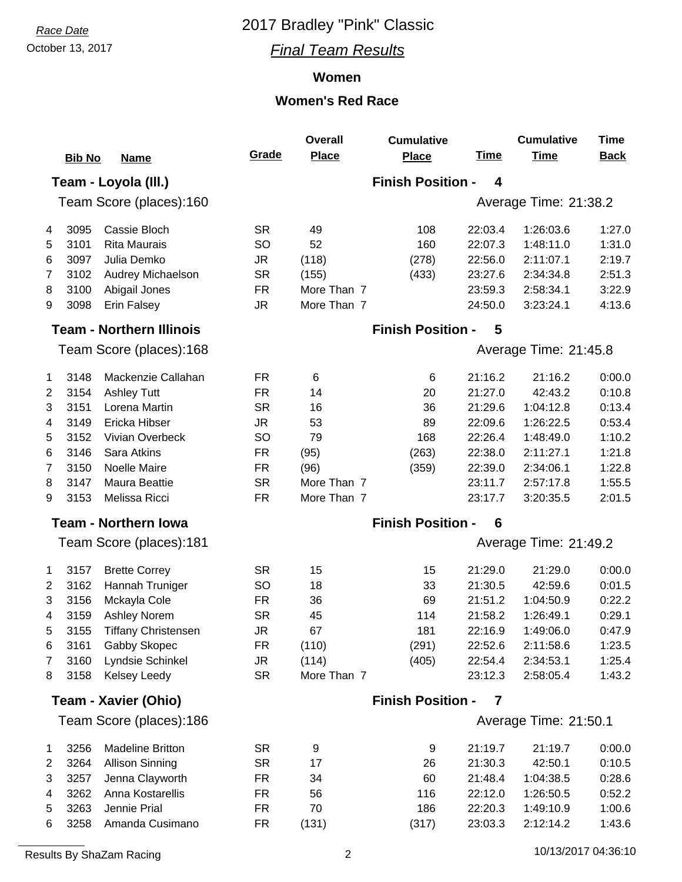### October 13, 2017 *Final Team Results*

### **Women**

|                | <b>Bib No</b> | <b>Name</b>                     | Grade     | <b>Overall</b><br><b>Place</b> | <b>Cumulative</b><br><b>Place</b> | <b>Time</b> | <b>Cumulative</b><br><b>Time</b> | <b>Time</b><br><b>Back</b> |
|----------------|---------------|---------------------------------|-----------|--------------------------------|-----------------------------------|-------------|----------------------------------|----------------------------|
|                |               | Team - Loyola (III.)            |           |                                | <b>Finish Position -</b>          | 4           |                                  |                            |
|                |               | Team Score (places):160         |           |                                |                                   |             | Average Time: 21:38.2            |                            |
| 4              | 3095          | Cassie Bloch                    | <b>SR</b> | 49                             | 108                               | 22:03.4     | 1:26:03.6                        | 1:27.0                     |
| 5              | 3101          | <b>Rita Maurais</b>             | SO        | 52                             | 160                               | 22:07.3     | 1:48:11.0                        | 1:31.0                     |
| 6              | 3097          | Julia Demko                     | <b>JR</b> | (118)                          | (278)                             | 22:56.0     | 2:11:07.1                        | 2:19.7                     |
| 7              | 3102          | Audrey Michaelson               | <b>SR</b> | (155)                          | (433)                             | 23:27.6     | 2:34:34.8                        | 2:51.3                     |
| 8              | 3100          | Abigail Jones                   | <b>FR</b> | More Than 7                    |                                   | 23:59.3     | 2:58:34.1                        | 3:22.9                     |
| 9              | 3098          | Erin Falsey                     | <b>JR</b> | More Than 7                    |                                   | 24:50.0     | 3:23:24.1                        | 4:13.6                     |
|                |               | <b>Team - Northern Illinois</b> |           |                                | <b>Finish Position -</b>          | 5           |                                  |                            |
|                |               | Team Score (places):168         |           |                                |                                   |             | Average Time: 21:45.8            |                            |
| 1              | 3148          | Mackenzie Callahan              | FR.       | 6                              | 6                                 | 21:16.2     | 21:16.2                          | 0:00.0                     |
| $\overline{2}$ | 3154          | <b>Ashley Tutt</b>              | <b>FR</b> | 14                             | 20                                | 21:27.0     | 42:43.2                          | 0:10.8                     |
| 3              | 3151          | Lorena Martin                   | <b>SR</b> | 16                             | 36                                | 21:29.6     | 1:04:12.8                        | 0:13.4                     |
| 4              | 3149          | Ericka Hibser                   | <b>JR</b> | 53                             | 89                                | 22:09.6     | 1:26:22.5                        | 0:53.4                     |
| 5              | 3152          | Vivian Overbeck                 | <b>SO</b> | 79                             | 168                               | 22:26.4     | 1:48:49.0                        | 1:10.2                     |
| 6              | 3146          | Sara Atkins                     | <b>FR</b> | (95)                           | (263)                             | 22:38.0     | 2:11:27.1                        | 1:21.8                     |
| 7              | 3150          | Noelle Maire                    | <b>FR</b> | (96)                           | (359)                             | 22:39.0     | 2:34:06.1                        | 1:22.8                     |
| 8              | 3147          | Maura Beattie                   | <b>SR</b> | More Than 7                    |                                   | 23:11.7     | 2:57:17.8                        | 1:55.5                     |
| 9              | 3153          | Melissa Ricci                   | <b>FR</b> | More Than 7                    |                                   | 23:17.7     | 3:20:35.5                        | 2:01.5                     |
|                |               | <b>Team - Northern lowa</b>     |           |                                | <b>Finish Position -</b>          | 6           |                                  |                            |
|                |               | Team Score (places):181         |           |                                |                                   |             | Average Time: 21:49.2            |                            |
| 1              | 3157          | <b>Brette Correy</b>            | <b>SR</b> | 15                             | 15                                | 21:29.0     | 21:29.0                          | 0:00.0                     |
| $\overline{2}$ | 3162          | Hannah Truniger                 | <b>SO</b> | 18                             | 33                                | 21:30.5     | 42:59.6                          | 0:01.5                     |
| 3              | 3156          | Mckayla Cole                    | <b>FR</b> | 36                             | 69                                | 21:51.2     | 1:04:50.9                        | 0:22.2                     |
| 4              | 3159          | Ashley Norem                    | <b>SR</b> | 45                             | 114                               | 21:58.2     | 1:26:49.1                        | 0:29.1                     |
| 5              | 3155          | <b>Tiffany Christensen</b>      | JR        | 67                             | 181                               | 22:16.9     | 1:49:06.0                        | 0.47.9                     |
| 6              | 3161          | Gabby Skopec                    | <b>FR</b> | (110)                          | (291)                             | 22:52.6     | 2:11:58.6                        | 1:23.5                     |
| 7              | 3160          | Lyndsie Schinkel                | <b>JR</b> | (114)                          | (405)                             | 22:54.4     | 2:34:53.1                        | 1:25.4                     |
| 8              | 3158          | Kelsey Leedy                    | <b>SR</b> | More Than 7                    |                                   | 23:12.3     | 2:58:05.4                        | 1:43.2                     |
|                |               | <b>Team - Xavier (Ohio)</b>     |           |                                | <b>Finish Position -</b>          | 7           |                                  |                            |
|                |               | Team Score (places):186         |           |                                |                                   |             | Average Time: 21:50.1            |                            |
| 1              | 3256          | <b>Madeline Britton</b>         | <b>SR</b> | 9                              | 9                                 | 21:19.7     | 21:19.7                          | 0:00.0                     |
| $\overline{2}$ | 3264          | <b>Allison Sinning</b>          | <b>SR</b> | 17                             | 26                                | 21:30.3     | 42:50.1                          | 0:10.5                     |
| 3              | 3257          | Jenna Clayworth                 | <b>FR</b> | 34                             | 60                                | 21:48.4     | 1:04:38.5                        | 0:28.6                     |
| 4              | 3262          | Anna Kostarellis                | <b>FR</b> | 56                             | 116                               | 22:12.0     | 1:26:50.5                        | 0:52.2                     |
| 5              | 3263          | Jennie Prial                    | <b>FR</b> | 70                             | 186                               | 22:20.3     | 1:49:10.9                        | 1:00.6                     |
| 6              | 3258          | Amanda Cusimano                 | <b>FR</b> | (131)                          | (317)                             | 23:03.3     | 2:12:14.2                        | 1:43.6                     |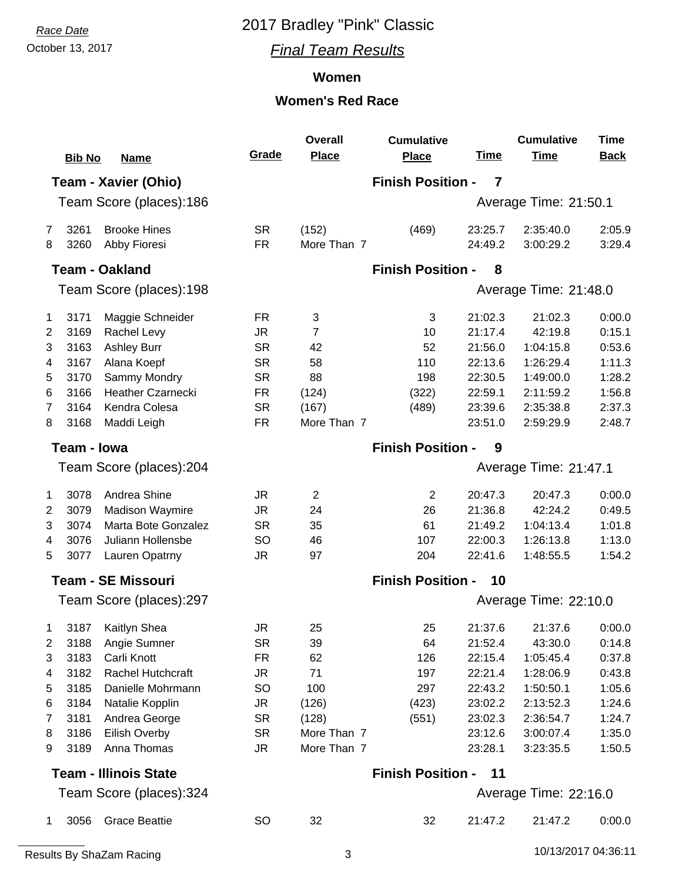### October 13, 2017 *Final Team Results*

### **Women**

|                     | <b>Bib No</b>        | <b>Name</b>                                   | Grade                        | <b>Overall</b><br><b>Place</b>      | <b>Cumulative</b><br><b>Place</b> | <u>Time</u>                   | <b>Cumulative</b><br><b>Time</b>    | <b>Time</b><br><b>Back</b> |
|---------------------|----------------------|-----------------------------------------------|------------------------------|-------------------------------------|-----------------------------------|-------------------------------|-------------------------------------|----------------------------|
|                     |                      | Team - Xavier (Ohio)                          |                              |                                     | <b>Finish Position -</b>          | $\overline{7}$                |                                     |                            |
|                     |                      | Team Score (places):186                       |                              |                                     |                                   |                               | Average Time: 21:50.1               |                            |
| 7<br>8              | 3261<br>3260         | <b>Brooke Hines</b><br>Abby Fioresi           | <b>SR</b><br><b>FR</b>       | (152)<br>More Than 7                | (469)                             | 23:25.7<br>24:49.2            | 2:35:40.0<br>3:00:29.2              | 2:05.9<br>3:29.4           |
|                     |                      | <b>Team - Oakland</b>                         |                              |                                     | <b>Finish Position -</b>          | 8                             |                                     |                            |
|                     |                      | Team Score (places):198                       |                              |                                     |                                   |                               | Average Time: 21:48.0               |                            |
| 1<br>$\overline{2}$ | 3171<br>3169         | Maggie Schneider<br>Rachel Levy               | <b>FR</b><br><b>JR</b>       | 3<br>$\overline{7}$                 | 3<br>10                           | 21:02.3<br>21:17.4            | 21:02.3<br>42:19.8                  | 0:00.0<br>0:15.1           |
| 3<br>4              | 3163<br>3167         | <b>Ashley Burr</b><br>Alana Koepf             | <b>SR</b><br><b>SR</b>       | 42<br>58                            | 52<br>110                         | 21:56.0<br>22:13.6            | 1:04:15.8<br>1:26:29.4              | 0:53.6<br>1:11.3           |
| 5<br>6              | 3170<br>3166         | Sammy Mondry<br><b>Heather Czarnecki</b>      | <b>SR</b><br><b>FR</b>       | 88<br>(124)                         | 198<br>(322)                      | 22:30.5<br>22:59.1            | 1:49:00.0<br>2:11:59.2              | 1:28.2<br>1:56.8           |
| 7<br>8              | 3164<br>3168         | Kendra Colesa<br>Maddi Leigh                  | <b>SR</b><br><b>FR</b>       | (167)<br>More Than 7                | (489)                             | 23:39.6<br>23:51.0            | 2:35:38.8<br>2:59:29.9              | 2:37.3<br>2:48.7           |
|                     | Team - Iowa          |                                               |                              |                                     | <b>Finish Position -</b>          | 9                             |                                     |                            |
|                     |                      | Team Score (places):204                       |                              |                                     |                                   |                               | Average Time: 21:47.1               |                            |
| 1<br>$\overline{2}$ | 3078<br>3079         | Andrea Shine<br><b>Madison Waymire</b>        | JR<br><b>JR</b>              | $\overline{2}$<br>24                | $\overline{2}$<br>26              | 20:47.3<br>21:36.8            | 20:47.3<br>42:24.2                  | 0:00.0<br>0:49.5           |
| 3<br>4              | 3074<br>3076         | Marta Bote Gonzalez<br>Juliann Hollensbe      | <b>SR</b><br><b>SO</b>       | 35<br>46                            | 61<br>107                         | 21:49.2<br>22:00.3            | 1:04:13.4<br>1:26:13.8              | 1:01.8<br>1:13.0           |
| 5                   | 3077                 | Lauren Opatrny                                | <b>JR</b>                    | 97                                  | 204                               | 22:41.6                       | 1:48:55.5                           | 1:54.2                     |
|                     |                      | <b>Team - SE Missouri</b>                     |                              |                                     | <b>Finish Position -</b>          | 10                            |                                     |                            |
|                     |                      | Team Score (places):297                       |                              |                                     |                                   |                               | Average Time: 22:10.0               |                            |
| 1<br>2              | 3187<br>3188         | Kaitlyn Shea<br>Angie Sumner                  | ${\sf JR}$<br><b>SR</b>      | 25<br>39                            | 25<br>64                          | 21:37.6<br>21:52.4            | 21:37.6<br>43:30.0                  | 0:00.0<br>0:14.8           |
| 3<br>4              | 3183<br>3182         | Carli Knott<br>Rachel Hutchcraft              | <b>FR</b><br>JR              | 62<br>71                            | 126<br>197                        | 22:15.4<br>22:21.4            | 1:05:45.4<br>1:28:06.9              | 0:37.8<br>0:43.8           |
| 5<br>6              | 3185<br>3184         | Danielle Mohrmann<br>Natalie Kopplin          | SO<br>JR                     | 100<br>(126)                        | 297<br>(423)                      | 22:43.2<br>23:02.2            | 1:50:50.1<br>2:13:52.3              | 1:05.6<br>1:24.6           |
| 7<br>8<br>9         | 3181<br>3186<br>3189 | Andrea George<br>Eilish Overby<br>Anna Thomas | <b>SR</b><br><b>SR</b><br>JR | (128)<br>More Than 7<br>More Than 7 | (551)                             | 23:02.3<br>23:12.6<br>23:28.1 | 2:36:54.7<br>3:00:07.4<br>3:23:35.5 | 1:24.7<br>1:35.0<br>1:50.5 |
|                     |                      | <b>Team - Illinois State</b>                  |                              |                                     | <b>Finish Position -</b>          | 11                            |                                     |                            |
|                     |                      | Team Score (places):324                       |                              |                                     |                                   |                               | Average Time: 22:16.0               |                            |
| 1                   | 3056                 | <b>Grace Beattie</b>                          | <b>SO</b>                    | 32                                  | 32                                | 21:47.2                       | 21:47.2                             | 0:00.0                     |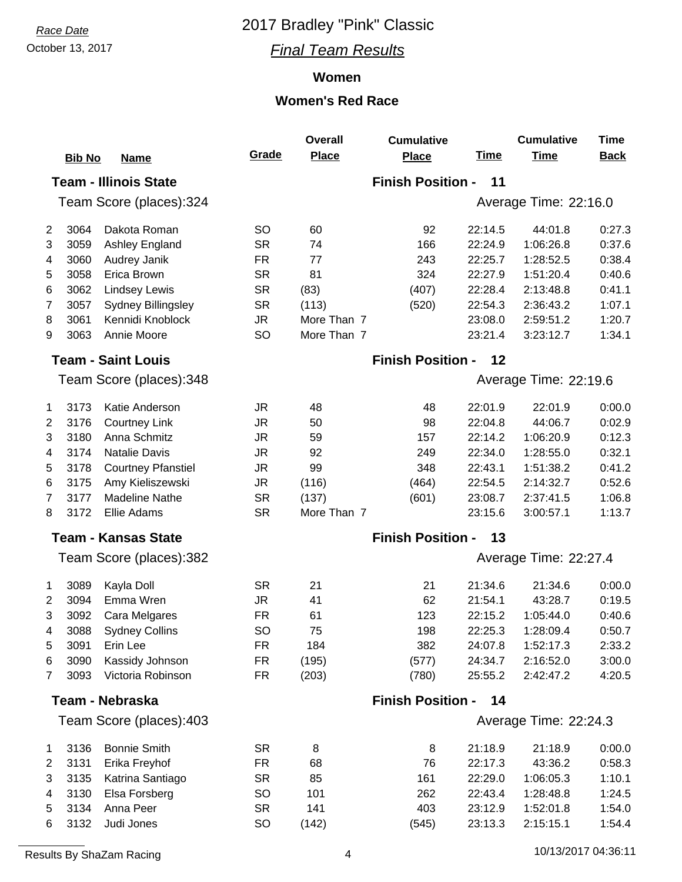### October 13, 2017 *Final Team Results*

### **Women**

|                | <b>Bib No</b> | <b>Name</b>                  | Grade     | <b>Overall</b><br><b>Place</b> | <b>Cumulative</b><br><b>Place</b> | <u>Time</u> | <b>Cumulative</b><br><b>Time</b> | <b>Time</b><br><b>Back</b> |
|----------------|---------------|------------------------------|-----------|--------------------------------|-----------------------------------|-------------|----------------------------------|----------------------------|
|                |               | <b>Team - Illinois State</b> |           |                                | <b>Finish Position -</b>          | 11          |                                  |                            |
|                |               | Team Score (places):324      |           |                                |                                   |             | Average Time: 22:16.0            |                            |
| 2              | 3064          | Dakota Roman                 | <b>SO</b> | 60                             | 92                                | 22:14.5     | 44:01.8                          | 0:27.3                     |
| 3              | 3059          | Ashley England               | <b>SR</b> | 74                             | 166                               | 22:24.9     | 1:06:26.8                        | 0:37.6                     |
| 4              | 3060          | Audrey Janik                 | <b>FR</b> | 77                             | 243                               | 22:25.7     | 1:28:52.5                        | 0:38.4                     |
| 5              | 3058          | Erica Brown                  | <b>SR</b> | 81                             | 324                               | 22:27.9     | 1:51:20.4                        | 0:40.6                     |
| 6              | 3062          | <b>Lindsey Lewis</b>         | <b>SR</b> | (83)                           | (407)                             | 22:28.4     | 2:13:48.8                        | 0:41.1                     |
| 7              | 3057          | <b>Sydney Billingsley</b>    | <b>SR</b> | (113)                          | (520)                             | 22:54.3     | 2:36:43.2                        | 1:07.1                     |
| 8              | 3061          | Kennidi Knoblock             | <b>JR</b> | More Than 7                    |                                   | 23:08.0     | 2:59:51.2                        | 1:20.7                     |
| 9              | 3063          | Annie Moore                  | <b>SO</b> | More Than 7                    |                                   | 23:21.4     | 3:23:12.7                        | 1:34.1                     |
|                |               | <b>Team - Saint Louis</b>    |           |                                | <b>Finish Position -</b>          | 12          |                                  |                            |
|                |               | Team Score (places):348      |           |                                |                                   |             | Average Time: 22:19.6            |                            |
| 1              | 3173          | Katie Anderson               | JR.       | 48                             | 48                                | 22:01.9     | 22:01.9                          | 0:00.0                     |
| $\overline{2}$ | 3176          | <b>Courtney Link</b>         | <b>JR</b> | 50                             | 98                                | 22:04.8     | 44:06.7                          | 0:02.9                     |
| 3              | 3180          | Anna Schmitz                 | <b>JR</b> | 59                             | 157                               | 22:14.2     | 1:06:20.9                        | 0:12.3                     |
| 4              | 3174          | <b>Natalie Davis</b>         | <b>JR</b> | 92                             | 249                               | 22:34.0     | 1:28:55.0                        | 0:32.1                     |
| 5              | 3178          | <b>Courtney Pfanstiel</b>    | <b>JR</b> | 99                             | 348                               | 22:43.1     | 1:51:38.2                        | 0:41.2                     |
| 6              | 3175          | Amy Kieliszewski             | <b>JR</b> | (116)                          | (464)                             | 22:54.5     | 2:14:32.7                        | 0:52.6                     |
| $\overline{7}$ | 3177          | <b>Madeline Nathe</b>        | <b>SR</b> | (137)                          | (601)                             | 23:08.7     | 2:37:41.5                        | 1:06.8                     |
| 8              | 3172          | Ellie Adams                  | <b>SR</b> | More Than 7                    |                                   | 23:15.6     | 3:00:57.1                        | 1:13.7                     |
|                |               | <b>Team - Kansas State</b>   |           |                                | <b>Finish Position -</b>          | 13          |                                  |                            |
|                |               | Team Score (places):382      |           |                                |                                   |             | Average Time: 22:27.4            |                            |
| 1              | 3089          | Kayla Doll                   | <b>SR</b> | 21                             | 21                                | 21:34.6     | 21:34.6                          | 0:00.0                     |
| 2              | 3094          | Emma Wren                    | <b>JR</b> | 41                             | 62                                | 21:54.1     | 43:28.7                          | 0:19.5                     |
| 3              | 3092          | Cara Melgares                | <b>FR</b> | 61                             | 123                               | 22:15.2     | 1:05:44.0                        | 0:40.6                     |
| 4              | 3088          | <b>Sydney Collins</b>        | SO        | 75                             | 198                               | 22:25.3     | 1:28:09.4                        | 0:50.7                     |
| 5              | 3091          | Erin Lee                     | <b>FR</b> | 184                            | 382                               | 24:07.8     | 1:52:17.3                        | 2:33.2                     |
| 6              | 3090          | Kassidy Johnson              | <b>FR</b> | (195)                          | (577)                             | 24:34.7     | 2:16:52.0                        | 3:00.0                     |
| 7              | 3093          | Victoria Robinson            | <b>FR</b> | (203)                          | (780)                             | 25:55.2     | 2:42:47.2                        | 4:20.5                     |
|                |               | <b>Team - Nebraska</b>       |           |                                | <b>Finish Position -</b>          | 14          |                                  |                            |
|                |               | Team Score (places):403      |           |                                |                                   |             | Average Time: 22:24.3            |                            |
| 1              | 3136          | <b>Bonnie Smith</b>          | <b>SR</b> | 8                              | 8                                 | 21:18.9     | 21:18.9                          | 0:00.0                     |
| 2              | 3131          | Erika Freyhof                | <b>FR</b> | 68                             | 76                                | 22:17.3     | 43:36.2                          | 0:58.3                     |
| 3              | 3135          | Katrina Santiago             | <b>SR</b> | 85                             | 161                               | 22:29.0     | 1:06:05.3                        | 1:10.1                     |
| 4              | 3130          | Elsa Forsberg                | <b>SO</b> | 101                            | 262                               | 22:43.4     | 1:28:48.8                        | 1:24.5                     |
| 5              | 3134          | Anna Peer                    | <b>SR</b> | 141                            | 403                               | 23:12.9     | 1:52:01.8                        | 1:54.0                     |
| 6              | 3132          | Judi Jones                   | SO        | (142)                          | (545)                             | 23:13.3     | 2:15:15.1                        | 1:54.4                     |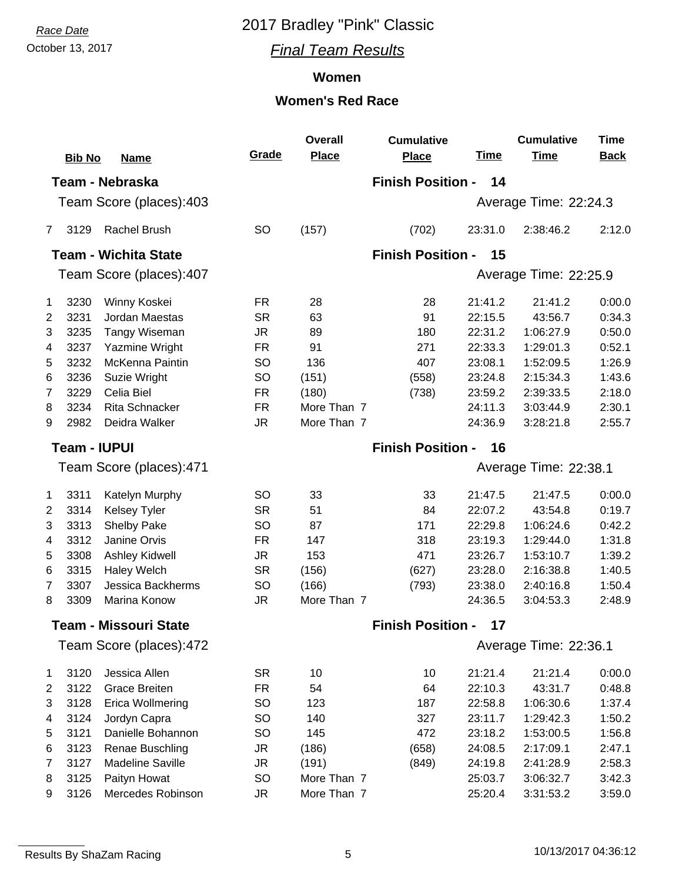### October 13, 2017 *Final Team Results*

### **Women**

|                     | <b>Bib No</b> | <b>Name</b>                 | Grade                          | <b>Overall</b><br><b>Place</b> | <b>Cumulative</b><br><b>Place</b> | <b>Time</b> | <b>Cumulative</b><br><b>Time</b> | <b>Time</b><br><b>Back</b> |  |  |
|---------------------|---------------|-----------------------------|--------------------------------|--------------------------------|-----------------------------------|-------------|----------------------------------|----------------------------|--|--|
|                     |               | Team - Nebraska             | <b>Finish Position -</b><br>14 |                                |                                   |             |                                  |                            |  |  |
|                     |               | Team Score (places):403     |                                |                                |                                   |             | Average Time: 22:24.3            |                            |  |  |
| $\overline{7}$      | 3129          | <b>Rachel Brush</b>         | <b>SO</b>                      | (157)                          | (702)                             | 23:31.0     | 2:38:46.2                        | 2:12.0                     |  |  |
|                     |               | <b>Team - Wichita State</b> |                                |                                | <b>Finish Position -</b>          | 15          |                                  |                            |  |  |
|                     |               | Team Score (places):407     |                                |                                |                                   |             | Average Time: 22:25.9            |                            |  |  |
| 1                   | 3230          | Winny Koskei                | <b>FR</b>                      | 28                             | 28                                | 21:41.2     | 21:41.2                          | 0:00.0                     |  |  |
| $\overline{2}$      | 3231          | Jordan Maestas              | <b>SR</b>                      | 63                             | 91                                | 22:15.5     | 43:56.7                          | 0:34.3                     |  |  |
| 3                   | 3235          | <b>Tangy Wiseman</b>        | <b>JR</b>                      | 89                             | 180                               | 22:31.2     | 1:06:27.9                        | 0:50.0                     |  |  |
| 4                   | 3237          | Yazmine Wright              | <b>FR</b>                      | 91                             | 271                               | 22:33.3     | 1:29:01.3                        | 0:52.1                     |  |  |
| 5                   | 3232          | McKenna Paintin             | SO                             | 136                            | 407                               | 23:08.1     | 1:52:09.5                        | 1:26.9                     |  |  |
| 6                   | 3236          | Suzie Wright                | <b>SO</b>                      | (151)                          | (558)                             | 23:24.8     | 2:15:34.3                        | 1:43.6                     |  |  |
| 7                   | 3229          | Celia Biel                  | <b>FR</b>                      | (180)                          | (738)                             | 23:59.2     | 2:39:33.5                        | 2:18.0                     |  |  |
| 8                   | 3234          | Rita Schnacker              | <b>FR</b>                      | More Than 7                    |                                   | 24:11.3     | 3:03:44.9                        | 2:30.1                     |  |  |
| 9                   | 2982          | Deidra Walker               | <b>JR</b>                      | More Than 7                    |                                   | 24:36.9     | 3:28:21.8                        | 2:55.7                     |  |  |
| <b>Team - IUPUI</b> |               |                             | <b>Finish Position -</b><br>16 |                                |                                   |             |                                  |                            |  |  |
|                     |               | Team Score (places):471     |                                |                                |                                   |             | Average Time: 22:38.1            |                            |  |  |
| $\mathbf 1$         | 3311          | Katelyn Murphy              | <b>SO</b>                      | 33                             | 33                                | 21:47.5     | 21:47.5                          | 0:00.0                     |  |  |
| $\overline{2}$      | 3314          | Kelsey Tyler                | <b>SR</b>                      | 51                             | 84                                | 22:07.2     | 43:54.8                          | 0:19.7                     |  |  |
| 3                   | 3313          | Shelby Pake                 | <b>SO</b>                      | 87                             | 171                               | 22:29.8     | 1:06:24.6                        | 0:42.2                     |  |  |
| 4                   | 3312          | Janine Orvis                | <b>FR</b>                      | 147                            | 318                               | 23:19.3     | 1:29:44.0                        | 1:31.8                     |  |  |
| 5                   | 3308          | Ashley Kidwell              | <b>JR</b>                      | 153                            | 471                               | 23:26.7     | 1:53:10.7                        | 1:39.2                     |  |  |
| 6                   | 3315          | <b>Haley Welch</b>          | <b>SR</b>                      | (156)                          | (627)                             | 23:28.0     | 2:16:38.8                        | 1:40.5                     |  |  |
| 7                   | 3307          | Jessica Backherms           | <b>SO</b>                      | (166)                          | (793)                             | 23:38.0     | 2:40:16.8                        | 1:50.4                     |  |  |
| 8                   | 3309          | Marina Konow                | JR                             | More Than 7                    |                                   | 24:36.5     | 3:04:53.3                        | 2:48.9                     |  |  |
|                     |               | Team - Missouri State       |                                |                                | <b>Finish Position -</b>          | 17          |                                  |                            |  |  |
|                     |               | Team Score (places):472     |                                |                                |                                   |             | Average Time: 22:36.1            |                            |  |  |
| $\mathbf 1$         | 3120          | Jessica Allen               | <b>SR</b>                      | 10                             | 10                                | 21:21.4     | 21:21.4                          | 0:00.0                     |  |  |
| $\mathbf{2}$        | 3122          | <b>Grace Breiten</b>        | <b>FR</b>                      | 54                             | 64                                | 22:10.3     | 43:31.7                          | 0:48.8                     |  |  |
| 3                   | 3128          | <b>Erica Wollmering</b>     | SO                             | 123                            | 187                               | 22:58.8     | 1:06:30.6                        | 1:37.4                     |  |  |
| 4                   | 3124          | Jordyn Capra                | <b>SO</b>                      | 140                            | 327                               | 23:11.7     | 1:29:42.3                        | 1:50.2                     |  |  |
| 5                   | 3121          | Danielle Bohannon           | <b>SO</b>                      | 145                            | 472                               | 23:18.2     | 1:53:00.5                        | 1:56.8                     |  |  |
| 6                   | 3123          | Renae Buschling             | <b>JR</b>                      | (186)                          | (658)                             | 24:08.5     | 2:17:09.1                        | 2:47.1                     |  |  |
| 7                   | 3127          | <b>Madeline Saville</b>     | <b>JR</b>                      | (191)                          | (849)                             | 24:19.8     | 2:41:28.9                        | 2:58.3                     |  |  |
| 8                   | 3125          | Paityn Howat                | <b>SO</b>                      | More Than 7                    |                                   | 25:03.7     | 3:06:32.7                        | 3:42.3                     |  |  |
| 9                   | 3126          | Mercedes Robinson           | JR                             | More Than 7                    |                                   | 25:20.4     | 3:31:53.2                        | 3:59.0                     |  |  |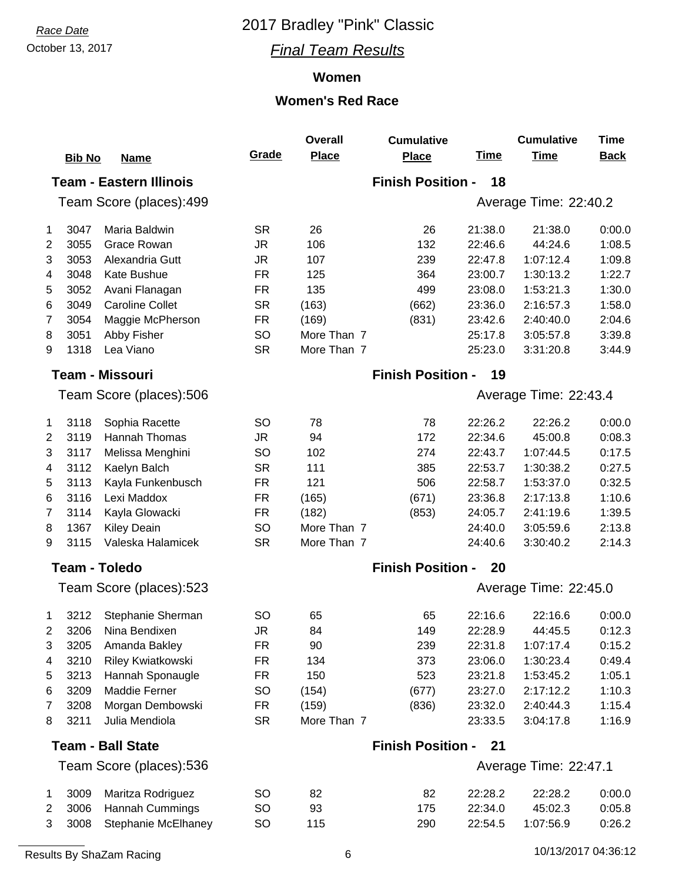### October 13, 2017 *Final Team Results*

### **Women**

|                         | <b>Bib No</b> | <b>Name</b>                    | Grade      | <b>Overall</b><br><b>Place</b> | <b>Cumulative</b><br><b>Place</b> | <b>Time</b> | <b>Cumulative</b><br><b>Time</b> | <b>Time</b><br><b>Back</b> |
|-------------------------|---------------|--------------------------------|------------|--------------------------------|-----------------------------------|-------------|----------------------------------|----------------------------|
|                         |               | <b>Team - Eastern Illinois</b> |            |                                | <b>Finish Position -</b>          | 18          |                                  |                            |
|                         |               | Team Score (places):499        |            |                                |                                   |             | Average Time: 22:40.2            |                            |
| 1                       | 3047          | Maria Baldwin                  | <b>SR</b>  | 26                             | 26                                | 21:38.0     | 21:38.0                          | 0:00.0                     |
| $\overline{2}$          | 3055          | Grace Rowan                    | <b>JR</b>  | 106                            | 132                               | 22:46.6     | 44:24.6                          | 1:08.5                     |
| 3                       | 3053          | Alexandria Gutt                | <b>JR</b>  | 107                            | 239                               | 22:47.8     | 1:07:12.4                        | 1:09.8                     |
| 4                       | 3048          | Kate Bushue                    | <b>FR</b>  | 125                            | 364                               | 23:00.7     | 1:30:13.2                        | 1:22.7                     |
| 5                       | 3052          | Avani Flanagan                 | <b>FR</b>  | 135                            | 499                               | 23:08.0     | 1:53:21.3                        | 1:30.0                     |
| 6                       | 3049          | <b>Caroline Collet</b>         | <b>SR</b>  | (163)                          | (662)                             | 23:36.0     | 2:16:57.3                        | 1:58.0                     |
| 7                       | 3054          | Maggie McPherson               | <b>FR</b>  | (169)                          | (831)                             | 23:42.6     | 2:40:40.0                        | 2:04.6                     |
| 8                       | 3051          | Abby Fisher                    | <b>SO</b>  | More Than 7                    |                                   | 25:17.8     | 3:05:57.8                        | 3:39.8                     |
| 9                       | 1318          | Lea Viano                      | <b>SR</b>  | More Than 7                    |                                   | 25:23.0     | 3:31:20.8                        | 3:44.9                     |
|                         |               | <b>Team - Missouri</b>         |            |                                | <b>Finish Position -</b>          | 19          |                                  |                            |
|                         |               | Team Score (places):506        |            |                                |                                   |             | Average Time: 22:43.4            |                            |
| 1                       | 3118          | Sophia Racette                 | <b>SO</b>  | 78                             | 78                                | 22:26.2     | 22:26.2                          | 0:00.0                     |
| 2                       | 3119          | Hannah Thomas                  | <b>JR</b>  | 94                             | 172                               | 22:34.6     | 45:00.8                          | 0:08.3                     |
| 3                       | 3117          | Melissa Menghini               | <b>SO</b>  | 102                            | 274                               | 22:43.7     | 1:07:44.5                        | 0:17.5                     |
| 4                       | 3112          | Kaelyn Balch                   | <b>SR</b>  | 111                            | 385                               | 22:53.7     | 1:30:38.2                        | 0:27.5                     |
| 5                       | 3113          | Kayla Funkenbusch              | <b>FR</b>  | 121                            | 506                               | 22:58.7     | 1:53:37.0                        | 0:32.5                     |
| 6                       | 3116          | Lexi Maddox                    | <b>FR</b>  | (165)                          | (671)                             | 23:36.8     | 2:17:13.8                        | 1:10.6                     |
| 7                       | 3114          | Kayla Glowacki                 | <b>FR</b>  | (182)                          | (853)                             | 24:05.7     | 2:41:19.6                        | 1:39.5                     |
| 8                       | 1367          | <b>Kiley Deain</b>             | <b>SO</b>  | More Than 7                    |                                   | 24:40.0     | 3:05:59.6                        | 2:13.8                     |
| 9                       | 3115          | Valeska Halamicek              | <b>SR</b>  | More Than 7                    |                                   | 24:40.6     | 3:30:40.2                        | 2:14.3                     |
| Team - Toledo           |               |                                |            | <b>Finish Position -</b>       | 20                                |             |                                  |                            |
|                         |               | Team Score (places):523        |            |                                |                                   |             | Average Time: 22:45.0            |                            |
| 1                       | 3212          | Stephanie Sherman              | <b>SO</b>  | 65                             | 65                                | 22:16.6     | 22:16.6                          | 0:00.0                     |
| 2                       |               | 3206 Nina Bendixen             | ${\sf JR}$ | 84                             | 149                               | 22:28.9     | 44:45.5                          | 0:12.3                     |
| 3                       | 3205          | Amanda Bakley                  | <b>FR</b>  | 90                             | 239                               | 22:31.8     | 1:07:17.4                        | 0:15.2                     |
| 4                       | 3210          | Riley Kwiatkowski              | <b>FR</b>  | 134                            | 373                               | 23:06.0     | 1:30:23.4                        | 0:49.4                     |
| 5                       | 3213          | Hannah Sponaugle               | <b>FR</b>  | 150                            | 523                               | 23:21.8     | 1:53:45.2                        | 1:05.1                     |
| 6                       | 3209          | <b>Maddie Ferner</b>           | <b>SO</b>  | (154)                          | (677)                             | 23:27.0     | 2:17:12.2                        | 1:10.3                     |
| 7                       | 3208          | Morgan Dembowski               | <b>FR</b>  | (159)                          | (836)                             | 23:32.0     | 2:40:44.3                        | 1:15.4                     |
| 8                       | 3211          | Julia Mendiola                 | <b>SR</b>  | More Than 7                    |                                   | 23:33.5     | 3:04:17.8                        | 1:16.9                     |
|                         |               | <b>Team - Ball State</b>       |            |                                | <b>Finish Position -</b>          | 21          |                                  |                            |
| Team Score (places):536 |               |                                |            |                                |                                   |             | Average Time: 22:47.1            |                            |
| 1                       | 3009          | Maritza Rodriguez              | <b>SO</b>  | 82                             | 82                                | 22:28.2     | 22:28.2                          | 0:00.0                     |
| 2                       | 3006          | Hannah Cummings                | <b>SO</b>  | 93                             | 175                               | 22:34.0     | 45:02.3                          | 0:05.8                     |
| 3                       | 3008          | Stephanie McElhaney            | <b>SO</b>  | 115                            | 290                               | 22:54.5     | 1:07:56.9                        | 0:26.2                     |
|                         |               |                                |            |                                |                                   |             |                                  |                            |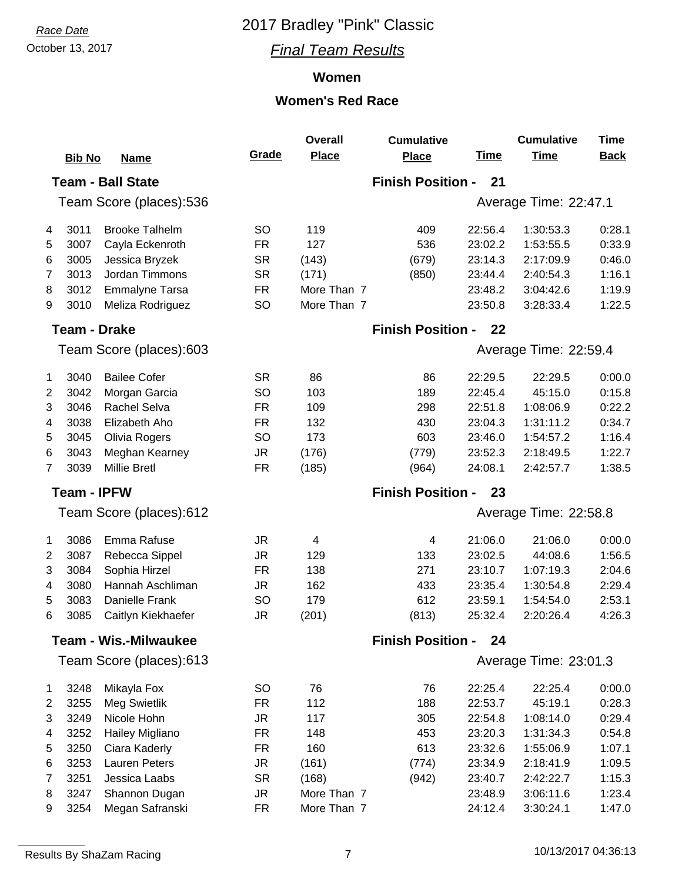### October 13, 2017 *Final Team Results*

### **Women**

|                              | <b>Bib No</b>            | <b>Name</b>             | Grade     | <b>Overall</b><br><b>Place</b> | <b>Cumulative</b><br><b>Place</b> | <b>Time</b>           | <b>Cumulative</b><br><b>Time</b> | <b>Time</b><br><b>Back</b> |
|------------------------------|--------------------------|-------------------------|-----------|--------------------------------|-----------------------------------|-----------------------|----------------------------------|----------------------------|
|                              | <b>Team - Ball State</b> |                         |           |                                | <b>Finish Position -</b>          | 21                    |                                  |                            |
| Team Score (places):536      |                          |                         |           |                                |                                   |                       | Average Time: 22:47.1            |                            |
| 4                            | 3011                     | <b>Brooke Talhelm</b>   | <b>SO</b> | 119                            | 409                               | 22:56.4               | 1:30:53.3                        | 0:28.1                     |
| 5                            | 3007                     | Cayla Eckenroth         | <b>FR</b> | 127                            | 536                               | 23:02.2               | 1:53:55.5                        | 0:33.9                     |
| 6                            | 3005                     | Jessica Bryzek          | <b>SR</b> | (143)                          | (679)                             | 23:14.3               | 2:17:09.9                        | 0:46.0                     |
| 7                            | 3013                     | Jordan Timmons          | <b>SR</b> | (171)                          | (850)                             | 23:44.4               | 2:40:54.3                        | 1:16.1                     |
| 8                            | 3012                     | <b>Emmalyne Tarsa</b>   | <b>FR</b> | More Than 7                    |                                   | 23:48.2               | 3:04:42.6                        | 1:19.9                     |
| 9                            | 3010                     | Meliza Rodriguez        | <b>SO</b> | More Than 7                    |                                   | 23:50.8               | 3:28:33.4                        | 1:22.5                     |
|                              | <b>Team - Drake</b>      |                         |           |                                | <b>Finish Position -</b>          | 22                    |                                  |                            |
|                              |                          | Team Score (places):603 |           |                                |                                   |                       | Average Time: 22:59.4            |                            |
| 1                            | 3040                     | <b>Bailee Cofer</b>     | <b>SR</b> | 86                             | 86                                | 22:29.5               | 22:29.5                          | 0:00.0                     |
| 2                            | 3042                     | Morgan Garcia           | <b>SO</b> | 103                            | 189                               | 22:45.4               | 45:15.0                          | 0:15.8                     |
| 3                            | 3046                     | <b>Rachel Selva</b>     | <b>FR</b> | 109                            | 298                               | 22:51.8               | 1:08:06.9                        | 0:22.2                     |
| 4                            | 3038                     | Elizabeth Aho           | <b>FR</b> | 132                            | 430                               | 23:04.3               | 1:31:11.2                        | 0:34.7                     |
| 5                            | 3045                     | Olivia Rogers           | <b>SO</b> | 173                            | 603                               | 23:46.0               | 1:54:57.2                        | 1:16.4                     |
| 6                            | 3043                     | Meghan Kearney          | <b>JR</b> | (176)                          | (779)                             | 23:52.3               | 2:18:49.5                        | 1:22.7                     |
| $\overline{7}$               | 3039                     | <b>Millie Bretl</b>     | <b>FR</b> | (185)                          | (964)                             | 24:08.1               | 2:42:57.7                        | 1:38.5                     |
| <b>Team - IPFW</b>           |                          |                         |           | <b>Finish Position -</b>       | 23                                |                       |                                  |                            |
|                              |                          | Team Score (places):612 |           |                                |                                   |                       | Average Time: 22:58.8            |                            |
| 1                            | 3086                     | Emma Rafuse             | <b>JR</b> | 4                              | 4                                 | 21:06.0               | 21:06.0                          | 0:00.0                     |
| 2                            | 3087                     | Rebecca Sippel          | <b>JR</b> | 129                            | 133                               | 23:02.5               | 44:08.6                          | 1:56.5                     |
| 3                            | 3084                     | Sophia Hirzel           | <b>FR</b> | 138                            | 271                               | 23:10.7               | 1:07:19.3                        | 2:04.6                     |
| 4                            | 3080                     | Hannah Aschliman        | <b>JR</b> | 162                            | 433                               | 23:35.4               | 1:30:54.8                        | 2:29.4                     |
| 5                            | 3083                     | <b>Danielle Frank</b>   | <b>SO</b> | 179                            | 612                               | 23:59.1               | 1:54:54.0                        | 2:53.1                     |
| 6                            | 3085                     | Caitlyn Kiekhaefer      | <b>JR</b> | (201)                          | (813)                             | 25:32.4               | 2:20:26.4                        | 4:26.3                     |
| <b>Team - Wis.-Milwaukee</b> |                          |                         |           | <b>Finish Position -</b>       | 24                                |                       |                                  |                            |
| Team Score (places):613      |                          |                         |           |                                |                                   | Average Time: 23:01.3 |                                  |                            |
| 1                            | 3248                     | Mikayla Fox             | <b>SO</b> | 76                             | 76                                | 22:25.4               | 22:25.4                          | 0:00.0                     |
| 2                            | 3255                     | <b>Meg Swietlik</b>     | <b>FR</b> | 112                            | 188                               | 22:53.7               | 45:19.1                          | 0:28.3                     |
| 3                            | 3249                     | Nicole Hohn             | <b>JR</b> | 117                            | 305                               | 22:54.8               | 1:08:14.0                        | 0:29.4                     |
| 4                            | 3252                     | Hailey Migliano         | <b>FR</b> | 148                            | 453                               | 23:20.3               | 1:31:34.3                        | 0:54.8                     |
| 5                            | 3250                     | Ciara Kaderly           | <b>FR</b> | 160                            | 613                               | 23:32.6               | 1:55:06.9                        | 1:07.1                     |
| 6                            | 3253                     | <b>Lauren Peters</b>    | <b>JR</b> | (161)                          | (774)                             | 23:34.9               | 2:18:41.9                        | 1:09.5                     |
| 7                            | 3251                     | Jessica Laabs           | <b>SR</b> | (168)                          | (942)                             | 23:40.7               | 2:42:22.7                        | 1:15.3                     |
| 8                            | 3247                     | Shannon Dugan           | <b>JR</b> | More Than 7                    |                                   | 23:48.9               | 3:06:11.6                        | 1:23.4                     |
| 9                            | 3254                     | Megan Safranski         | <b>FR</b> | More Than 7                    |                                   | 24:12.4               | 3:30:24.1                        | 1:47.0                     |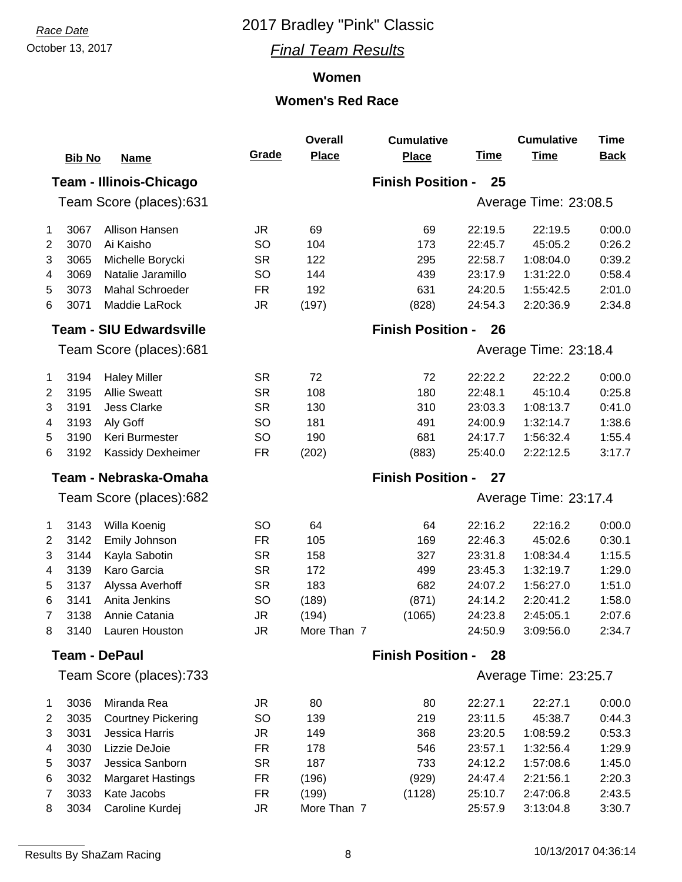### October 13, 2017 *Final Team Results*

### **Women**

|                         | <b>Bib No</b> | <b>Name</b>                    | Grade                          | <b>Overall</b><br><b>Place</b> | <b>Cumulative</b><br><b>Place</b> | <b>Time</b> | <b>Cumulative</b><br><b>Time</b> | <b>Time</b><br><b>Back</b> |  |
|-------------------------|---------------|--------------------------------|--------------------------------|--------------------------------|-----------------------------------|-------------|----------------------------------|----------------------------|--|
| Team - Illinois-Chicago |               |                                |                                | <b>Finish Position -</b><br>25 |                                   |             |                                  |                            |  |
| Team Score (places):631 |               |                                |                                |                                |                                   |             | Average Time: 23:08.5            |                            |  |
| $\mathbf{1}$            | 3067          | Allison Hansen                 | <b>JR</b>                      | 69                             | 69                                | 22:19.5     | 22:19.5                          | 0:00.0                     |  |
| $\overline{2}$          | 3070          | Ai Kaisho                      | <b>SO</b>                      | 104                            | 173                               | 22:45.7     | 45:05.2                          | 0:26.2                     |  |
| 3                       | 3065          | Michelle Borycki               | <b>SR</b>                      | 122                            | 295                               | 22:58.7     | 1:08:04.0                        | 0:39.2                     |  |
| 4                       | 3069          | Natalie Jaramillo              | SO                             | 144                            | 439                               | 23:17.9     | 1:31:22.0                        | 0:58.4                     |  |
| 5                       | 3073          | Mahal Schroeder                | <b>FR</b>                      | 192                            | 631                               | 24:20.5     | 1:55:42.5                        | 2:01.0                     |  |
| 6                       | 3071          | Maddie LaRock                  | <b>JR</b>                      | (197)                          | (828)                             | 24:54.3     | 2:20:36.9                        | 2:34.8                     |  |
|                         |               | <b>Team - SIU Edwardsville</b> |                                |                                | <b>Finish Position -</b>          | 26          |                                  |                            |  |
|                         |               | Team Score (places):681        |                                |                                |                                   |             | Average Time: 23:18.4            |                            |  |
| $\mathbf 1$             | 3194          | <b>Haley Miller</b>            | <b>SR</b>                      | 72                             | 72                                | 22:22.2     | 22:22.2                          | 0:00.0                     |  |
| $\overline{2}$          | 3195          | <b>Allie Sweatt</b>            | <b>SR</b>                      | 108                            | 180                               | 22:48.1     | 45:10.4                          | 0:25.8                     |  |
| 3                       | 3191          | <b>Jess Clarke</b>             | <b>SR</b>                      | 130                            | 310                               | 23:03.3     | 1:08:13.7                        | 0:41.0                     |  |
| 4                       | 3193          | Aly Goff                       | SO                             | 181                            | 491                               | 24:00.9     | 1:32:14.7                        | 1:38.6                     |  |
| 5                       | 3190          | Keri Burmester                 | SO                             | 190                            | 681                               | 24:17.7     | 1:56:32.4                        | 1:55.4                     |  |
| 6                       | 3192          | Kassidy Dexheimer              | <b>FR</b>                      | (202)                          | (883)                             | 25:40.0     | 2:22:12.5                        | 3:17.7                     |  |
|                         |               | Team - Nebraska-Omaha          |                                |                                | <b>Finish Position -</b>          | 27          |                                  |                            |  |
|                         |               | Team Score (places):682        |                                |                                |                                   |             | Average Time: 23:17.4            |                            |  |
| 1                       | 3143          | Willa Koenig                   | SO                             | 64                             | 64                                | 22:16.2     | 22:16.2                          | 0:00.0                     |  |
| $\overline{2}$          | 3142          | Emily Johnson                  | <b>FR</b>                      | 105                            | 169                               | 22:46.3     | 45:02.6                          | 0:30.1                     |  |
| 3                       | 3144          | Kayla Sabotin                  | <b>SR</b>                      | 158                            | 327                               | 23:31.8     | 1:08:34.4                        | 1:15.5                     |  |
| 4                       | 3139          | Karo Garcia                    | <b>SR</b>                      | 172                            | 499                               | 23:45.3     | 1:32:19.7                        | 1:29.0                     |  |
| 5                       | 3137          | Alyssa Averhoff                | <b>SR</b>                      | 183                            | 682                               | 24:07.2     | 1:56:27.0                        | 1:51.0                     |  |
| 6                       | 3141          | Anita Jenkins                  | <b>SO</b>                      | (189)                          | (871)                             | 24:14.2     | 2:20:41.2                        | 1:58.0                     |  |
| 7                       | 3138          | Annie Catania                  | <b>JR</b>                      | (194)                          | (1065)                            | 24:23.8     | 2:45:05.1                        | 2:07.6                     |  |
| 8                       | 3140          | Lauren Houston                 | JR                             | More Than 7                    |                                   | 24:50.9     | 3:09:56.0                        | 2:34.7                     |  |
| <b>Team - DePaul</b>    |               |                                | <b>Finish Position -</b><br>28 |                                |                                   |             |                                  |                            |  |
| Team Score (places):733 |               |                                |                                |                                |                                   |             | Average Time: 23:25.7            |                            |  |
| $\mathbf 1$             | 3036          | Miranda Rea                    | <b>JR</b>                      | 80                             | 80                                | 22:27.1     | 22:27.1                          | 0:00.0                     |  |
| $\overline{2}$          | 3035          | <b>Courtney Pickering</b>      | <b>SO</b>                      | 139                            | 219                               | 23:11.5     | 45:38.7                          | 0:44.3                     |  |
| 3                       | 3031          | Jessica Harris                 | JR.                            | 149                            | 368                               | 23:20.5     | 1:08:59.2                        | 0:53.3                     |  |
| 4                       | 3030          | Lizzie DeJoie                  | <b>FR</b>                      | 178                            | 546                               | 23:57.1     | 1:32:56.4                        | 1:29.9                     |  |
| 5                       | 3037          | Jessica Sanborn                | <b>SR</b>                      | 187                            | 733                               | 24:12.2     | 1:57:08.6                        | 1:45.0                     |  |
| 6                       | 3032          | <b>Margaret Hastings</b>       | <b>FR</b>                      | (196)                          | (929)                             | 24:47.4     | 2:21:56.1                        | 2:20.3                     |  |
| 7                       | 3033          | Kate Jacobs                    | <b>FR</b>                      | (199)                          | (1128)                            | 25:10.7     | 2:47:06.8                        | 2:43.5                     |  |
| 8                       | 3034          | Caroline Kurdej                | <b>JR</b>                      | More Than 7                    |                                   | 25:57.9     | 3:13:04.8                        | 3:30.7                     |  |